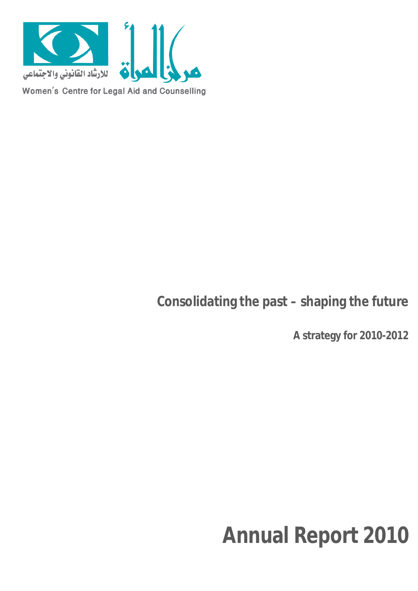

# **Consolidating the past – shaping the future**

**A strategy for 2010-2012**

# **Annual Report 2010**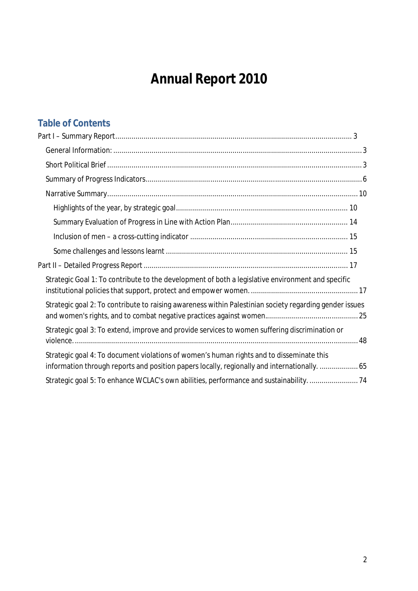# **Annual Report 2010**

# **Table of Contents**

| Strategic Goal 1: To contribute to the development of both a legislative environment and specific                                                                                        |
|------------------------------------------------------------------------------------------------------------------------------------------------------------------------------------------|
| Strategic goal 2: To contribute to raising awareness within Palestinian society regarding gender issues                                                                                  |
| Strategic goal 3: To extend, improve and provide services to women suffering discrimination or                                                                                           |
| Strategic goal 4: To document violations of women's human rights and to disseminate this<br>information through reports and position papers locally, regionally and internationally.  65 |
| Strategic goal 5: To enhance WCLAC's own abilities, performance and sustainability. 74                                                                                                   |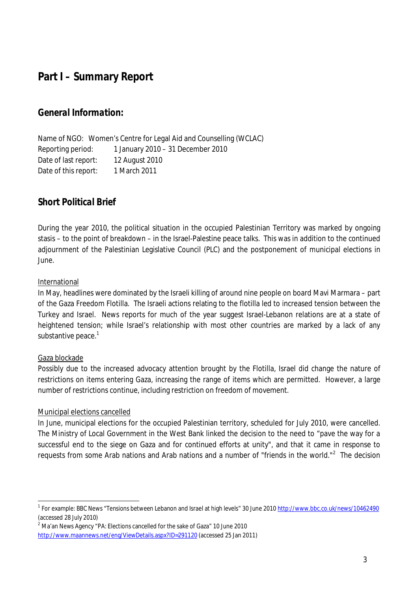# **Part I – Summary Report**

# *General Information:*

Name of NGO: Women's Centre for Legal Aid and Counselling (WCLAC) Reporting period: 1 January 2010 – 31 December 2010 Date of last report: 12 August 2010 Date of this report: 1 March 2011

# *Short Political Brief*

During the year 2010, the political situation in the occupied Palestinian Territory was marked by ongoing stasis – to the point of breakdown – in the Israel-Palestine peace talks. This was in addition to the continued adjournment of the Palestinian Legislative Council (PLC) and the postponement of municipal elections in June.

### International

In May, headlines were dominated by the Israeli killing of around nine people on board Mavi Marmara – part of the Gaza Freedom Flotilla. The Israeli actions relating to the flotilla led to increased tension between the Turkey and Israel. News reports for much of the year suggest Israel-Lebanon relations are at a state of heightened tension; while Israel's relationship with most other countries are marked by a lack of any substantive peace. $^{\rm 1}$ 

### Gaza blockade

Possibly due to the increased advocacy attention brought by the Flotilla, Israel did change the nature of restrictions on items entering Gaza, increasing the range of items which are permitted. However, a large number of restrictions continue, including restriction on freedom of movement.

#### Municipal elections cancelled

In June, municipal elections for the occupied Palestinian territory, scheduled for July 2010, were cancelled. The Ministry of Local Government in the West Bank linked the decision to the need to "pave the way for a successful end to the siege on Gaza and for continued efforts at unity", and that it came in response to requests from some Arab nations and Arab nations and a number of "friends in the world."<sup>2</sup> The decision

<sup>&</sup>lt;u>.</u><br><sup>1</sup> For example: BBC News "Tensions between Lebanon and Israel at high levels" 30 June 2010 <u>http://www.bbc.co.uk/news/10462490</u> (accessed 28 July 2010)

 $^2$  Ma'an News Agency "PA: Elections cancelled for the sake of Gaza" 10 June 2010 http://www.maannews.net/eng/ViewDetails.aspx?ID=291120 (accessed 25 Jan 2011)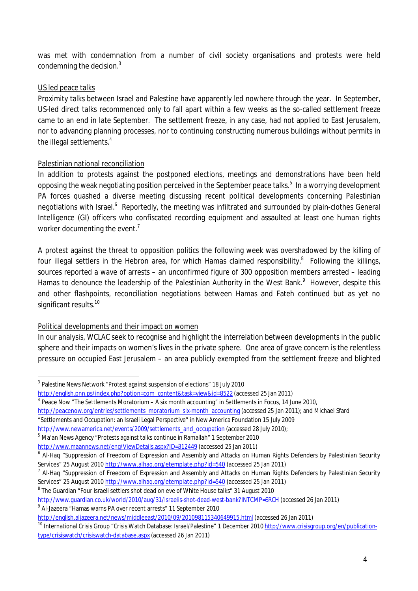was met with condemnation from a number of civil society organisations and protests were held condemning the decision. $^3$ 

# US led peace talks

Proximity talks between Israel and Palestine have apparently led nowhere through the year. In September, US-led direct talks recommenced only to fall apart within a few weeks as the so-called settlement freeze came to an end in late September. The settlement freeze, in any case, had not applied to East Jerusalem, nor to advancing planning processes, nor to continuing constructing numerous buildings without permits in the illegal settlements. $4$ 

# Palestinian national reconciliation

In addition to protests against the postponed elections, meetings and demonstrations have been held opposing the weak negotiating position perceived in the September peace talks. $^5\,$  In a worrying development PA forces quashed a diverse meeting discussing recent political developments concerning Palestinian negotiations with Israel.<sup>6</sup> Reportedly, the meeting was infiltrated and surrounded by plain-clothes General Intelligence (GI) officers who confiscated recording equipment and assaulted at least one human rights worker documenting the event.<sup>7</sup>

A protest against the threat to opposition politics the following week was overshadowed by the killing of four illegal settlers in the Hebron area, for which Hamas claimed responsibility.<sup>8</sup> Following the killings, sources reported a wave of arrests – an unconfirmed figure of 300 opposition members arrested – leading Hamas to denounce the leadership of the Palestinian Authority in the West Bank.<sup>9</sup> However, despite this and other flashpoints, reconciliation negotiations between Hamas and Fateh continued but as yet no significant results.<sup>10</sup>

# Political developments and their impact on women

In our analysis, WCLAC seek to recognise and highlight the interrelation between developments in the public sphere and their impacts on women's lives in the private sphere. One area of grave concern is the relentless pressure on occupied East Jerusalem – an area publicly exempted from the settlement freeze and blighted

 $\overline{a}$  $^3$  Palestine News Network "Protest against suspension of elections" 18 July 2010

http://english.pnn.ps/index.php?option=com\_content&task=view&id=8522 (accessed 25 Jan 2011)

<sup>4</sup> Peace Now "The Settlements Moratorium – A six month accounting" in Settlements in Focus, 14 June 2010,

http://peacenow.org/entries/settlements\_moratorium\_six-month\_accounting (accessed 25 Jan 2011); and Michael Sfard

<sup>&</sup>quot;Settlements and Occupation: an Israeli Legal Perspective" in New America Foundation 15 July 2009

http://www.newamerica.net/events/2009/settlements\_and\_occupation (accessed 28 July 2010);

 $^5$  Ma'an News Agency "Protests against talks continue in Ramallah" 1 September 2010

http://www.maannews.net/eng/ViewDetails.aspx?ID=312449 (accessed 25 Jan 2011)

<sup>&</sup>lt;sup>6</sup> Al-Haq "Suppression of Freedom of Expression and Assembly and Attacks on Human Rights Defenders by Palestinian Security Services" 25 August 2010 http://www.alhaq.org/etemplate.php?id=540 (accessed 25 Jan 2011)

<sup>&</sup>lt;sup>7</sup> Al-Haq "Suppression of Freedom of Expression and Assembly and Attacks on Human Rights Defenders by Palestinian Security Services" 25 August 2010 http://www.alhaq.org/etemplate.php?id=540 (accessed 25 Jan 2011)

 $^8$  The Guardian "Four Israeli settlers shot dead on eve of White House talks" 31 August 2010

http://www.guardian.co.uk/world/2010/aug/31/israelis-shot-dead-west-bank?INTCMP=SRCH (accessed 26 Jan 2011)

<sup>9</sup> Al-Jazeera "Hamas warns PA over recent arrests" 11 September 2010

http://english.aljazeera.net/news/middleeast/2010/09/201098115340649915.html (accessed 26 Jan 2011)

<sup>&</sup>lt;sup>10</sup> International Crisis Group "Crisis Watch Database: Israel/Palestine" 1 December 2010 http://www.crisisgroup.org/en/publicationtype/crisiswatch/crisiswatch-database.aspx (accessed 26 Jan 2011)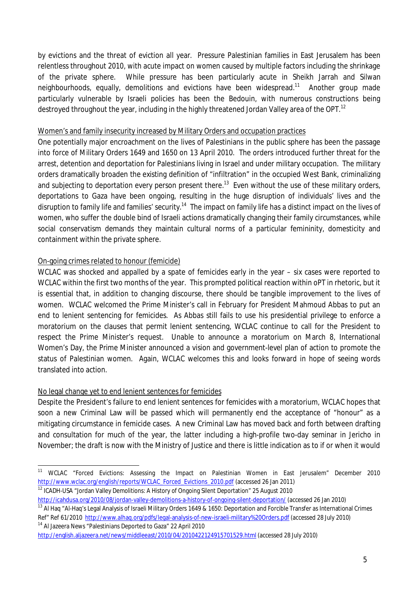by evictions and the threat of eviction all year. Pressure Palestinian families in East Jerusalem has been relentless throughout 2010, with acute impact on women caused by multiple factors including the shrinkage of the private sphere. While pressure has been particularly acute in Sheikh Jarrah and Silwan neighbourhoods, equally, demolitions and evictions have been widespread.<sup>11</sup> Another group made particularly vulnerable by Israeli policies has been the Bedouin, with numerous constructions being destroyed throughout the year, including in the highly threatened Jordan Valley area of the OPT.<sup>12</sup>

#### Women's and family insecurity increased by Military Orders and occupation practices

One potentially major encroachment on the lives of Palestinians in the public sphere has been the passage into force of Military Orders 1649 and 1650 on 13 April 2010. The orders introduced further threat for the arrest, detention and deportation for Palestinians living in Israel and under military occupation. The military orders dramatically broaden the existing definition of "infiltration" in the occupied West Bank, criminalizing and subjecting to deportation every person present there.<sup>13</sup> Even without the use of these military orders, deportations to Gaza have been ongoing, resulting in the huge disruption of individuals' lives and the disruption to family life and families' security.<sup>14</sup> The impact on family life has a distinct impact on the lives of women, who suffer the double bind of Israeli actions dramatically changing their family circumstances, while social conservatism demands they maintain cultural norms of a particular femininity, domesticity and containment within the private sphere.

# On-going crimes related to honour (femicide)

WCLAC was shocked and appalled by a spate of femicides early in the year – six cases were reported to WCLAC within the first two months of the year. This prompted political reaction within oPT in rhetoric, but it is essential that, in addition to changing discourse, there should be tangible improvement to the lives of women. WCLAC welcomed the Prime Minister's call in February for President Mahmoud Abbas to put an end to lenient sentencing for femicides. As Abbas still fails to use his presidential privilege to enforce a moratorium on the clauses that permit lenient sentencing, WCLAC continue to call for the President to respect the Prime Minister's request. Unable to announce a moratorium on March 8, International Women's Day, the Prime Minister announced a vision and government-level plan of action to promote the status of Palestinian women. Again, WCLAC welcomes this and looks forward in hope of seeing words translated into action.

# No legal change yet to end lenient sentences for femicides

Despite the President's failure to end lenient sentences for femicides with a moratorium, WCLAC hopes that soon a new Criminal Law will be passed which will permanently end the acceptance of "honour" as a mitigating circumstance in femicide cases. A new Criminal Law has moved back and forth between drafting and consultation for much of the year, the latter including a high-profile two-day seminar in Jericho in November; the draft is now with the Ministry of Justice and there is little indication as to if or when it would

http://icahdusa.org/2010/08/jordan-valley-demolitions-a-history-of-ongoing-silent-deportation/ (accessed 26 Jan 2010)

 $\overline{a}$ <sup>11</sup> WCLAC "Forced Evictions: Assessing the Impact on Palestinian Women in East Jerusalem" December 2010 http://www.wclac.org/english/reports/WCLAC\_Forced\_Evictions\_2010.pdf (accessed 26 Jan 2011) <sup>12</sup> ICADH-USA "Jordan Valley Demolitions: A History of Ongoing Silent Deportation" 25 August 2010

<sup>&</sup>lt;sup>13</sup> Al Haq "Al-Haq's Legal Analysis of Israeli Military Orders 1649 & 1650: Deportation and Forcible Transfer as International Crimes Ref" Ref 61/2010 http://www.alhaq.org/pdfs/legal-analysis-of-new-israeli-military%20Orders.pdf (accessed 28 July 2010)

<sup>14</sup> Al Jazeera News "Palestinians Deported to Gaza" 22 April 2010 http://english.aljazeera.net/news/middleeast/2010/04/2010422124915701529.html (accessed 28 July 2010)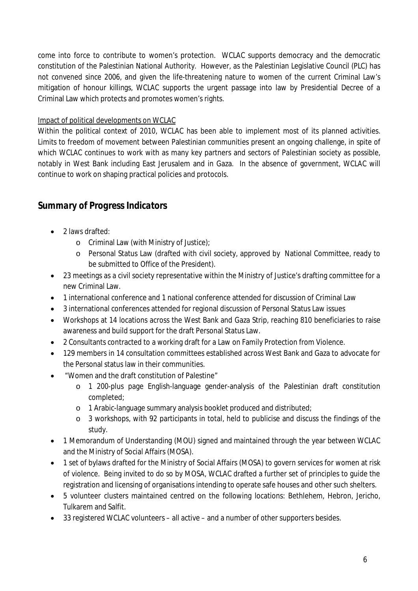come into force to contribute to women's protection. WCLAC supports democracy and the democratic constitution of the Palestinian National Authority. However, as the Palestinian Legislative Council (PLC) has not convened since 2006, and given the life-threatening nature to women of the current Criminal Law's mitigation of honour killings, WCLAC supports the urgent passage into law by Presidential Decree of a Criminal Law which protects and promotes women's rights.

# Impact of political developments on WCLAC

Within the political context of 2010, WCLAC has been able to implement most of its planned activities. Limits to freedom of movement between Palestinian communities present an ongoing challenge, in spite of which WCLAC continues to work with as many key partners and sectors of Palestinian society as possible, notably in West Bank including East Jerusalem and in Gaza. In the absence of government, WCLAC will continue to work on shaping practical policies and protocols.

# *Summary of Progress Indicators*

- 2 laws drafted:
	- o Criminal Law (with Ministry of Justice);
	- o Personal Status Law (drafted with civil society, approved by National Committee, ready to be submitted to Office of the President).
- 23 meetings as a civil society representative within the Ministry of Justice's drafting committee for a new Criminal Law.
- 1 international conference and 1 national conference attended for discussion of Criminal Law
- 3 international conferences attended for regional discussion of Personal Status Law issues
- Workshops at 14 locations across the West Bank and Gaza Strip, reaching 810 beneficiaries to raise awareness and build support for the draft Personal Status Law.
- 2 Consultants contracted to a working draft for a Law on Family Protection from Violence.
- 129 members in 14 consultation committees established across West Bank and Gaza to advocate for the Personal status law in their communities.
- "Women and the draft constitution of Palestine"
	- o 1 200-plus page English-language gender-analysis of the Palestinian draft constitution completed;
	- o 1 Arabic-language summary analysis booklet produced and distributed;
	- o 3 workshops, with 92 participants in total, held to publicise and discuss the findings of the study.
- 1 Memorandum of Understanding (MOU) signed and maintained through the year between WCLAC and the Ministry of Social Affairs (MOSA).
- 1 set of bylaws drafted for the Ministry of Social Affairs (MOSA) to govern services for women at risk of violence. Being invited to do so by MOSA, WCLAC drafted a further set of principles to guide the registration and licensing of organisations intending to operate safe houses and other such shelters.
- 5 volunteer clusters maintained centred on the following locations: Bethlehem, Hebron, Jericho, Tulkarem and Salfit.
- 33 registered WCLAC volunteers all active and a number of other supporters besides.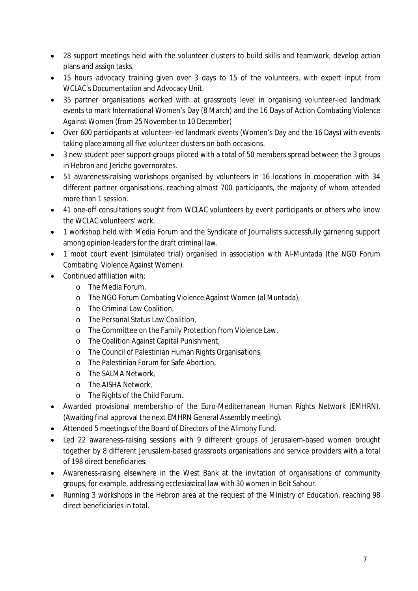- 28 support meetings held with the volunteer clusters to build skills and teamwork, develop action plans and assign tasks.
- 15 hours advocacy training given over 3 days to 15 of the volunteers, with expert input from WCLAC's Documentation and Advocacy Unit.
- 35 partner organisations worked with at grassroots level in organising volunteer-led landmark events to mark International Women's Day (8 March) and the 16 Days of Action Combating Violence Against Women (from 25 November to 10 December)
- Over 600 participants at volunteer-led landmark events (Women's Day and the 16 Days) with events taking place among all five volunteer clusters on both occasions.
- 3 new student peer support groups piloted with a total of 50 members spread between the 3 groups in Hebron and Jericho governorates.
- 51 awareness-raising workshops organised by volunteers in 16 locations in cooperation with 34 different partner organisations, reaching almost 700 participants, the majority of whom attended more than 1 session.
- 41 one-off consultations sought from WCLAC volunteers by event participants or others who know the WCLAC volunteers' work.
- 1 workshop held with Media Forum and the Syndicate of Journalists successfully garnering support among opinion-leaders for the draft criminal law.
- 1 moot court event (simulated trial) organised in association with Al-Muntada (the NGO Forum Combating Violence Against Women).
- Continued affiliation with:
	- o The Media Forum,
	- o The NGO Forum Combating Violence Against Women (al Muntada),
	- o The Criminal Law Coalition,
	- o The Personal Status Law Coalition,
	- o The Committee on the Family Protection from Violence Law,
	- o The Coalition Against Capital Punishment,
	- o The Council of Palestinian Human Rights Organisations,
	- o The Palestinian Forum for Safe Abortion,
	- o The SALMA Network,
	- o The AISHA Network,
	- o The Rights of the Child Forum.
- Awarded provisional membership of the Euro-Mediterranean Human Rights Network (EMHRN). (Awaiting final approval the next EMHRN General Assembly meeting).
- Attended 5 meetings of the Board of Directors of the Alimony Fund.
- Led 22 awareness-raising sessions with 9 different groups of Jerusalem-based women brought together by 8 different Jerusalem-based grassroots organisations and service providers with a total of 198 direct beneficiaries.
- Awareness-raising elsewhere in the West Bank at the invitation of organisations of community groups, for example, addressing ecclesiastical law with 30 women in Beit Sahour.
- Running 3 workshops in the Hebron area at the request of the Ministry of Education, reaching 98 direct beneficiaries in total.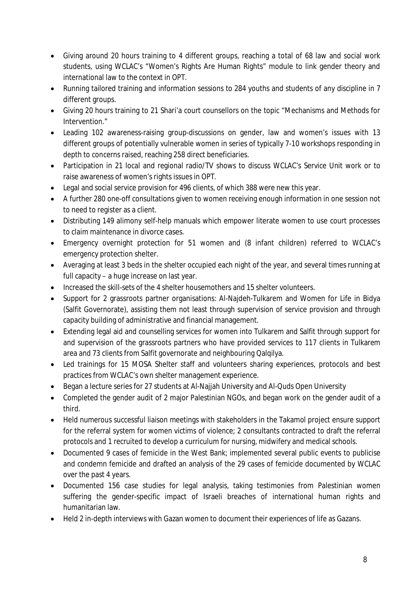- Giving around 20 hours training to 4 different groups, reaching a total of 68 law and social work students, using WCLAC's "Women's Rights Are Human Rights" module to link gender theory and international law to the context in OPT.
- Running tailored training and information sessions to 284 youths and students of any discipline in 7 different groups.
- Giving 20 hours training to 21 Shari'a court counsellors on the topic "Mechanisms and Methods for Intervention."
- Leading 102 awareness-raising group-discussions on gender, law and women's issues with 13 different groups of potentially vulnerable women in series of typically 7-10 workshops responding in depth to concerns raised, reaching 258 direct beneficiaries.
- Participation in 21 local and regional radio/TV shows to discuss WCLAC's Service Unit work or to raise awareness of women's rights issues in OPT.
- Legal and social service provision for 496 clients, of which 388 were new this year.
- A further 280 one-off consultations given to women receiving enough information in one session not to need to register as a client.
- Distributing 149 alimony self-help manuals which empower literate women to use court processes to claim maintenance in divorce cases.
- Emergency overnight protection for 51 women and (8 infant children) referred to WCLAC's emergency protection shelter.
- Averaging at least 3 beds in the shelter occupied each night of the year, and several times running at full capacity – a huge increase on last year.
- Increased the skill-sets of the 4 shelter housemothers and 15 shelter volunteers.
- Support for 2 grassroots partner organisations: Al-Naideh-Tulkarem and Women for Life in Bidya (Salfit Governorate), assisting them not least through supervision of service provision and through capacity building of administrative and financial management.
- Extending legal aid and counselling services for women into Tulkarem and Salfit through support for and supervision of the grassroots partners who have provided services to 117 clients in Tulkarem area and 73 clients from Salfit governorate and neighbouring Qalqilya.
- Led trainings for 15 MOSA Shelter staff and volunteers sharing experiences, protocols and best practices from WCLAC's own shelter management experience.
- Began a lecture series for 27 students at Al-Najjah University and Al-Quds Open University
- Completed the gender audit of 2 major Palestinian NGOs, and began work on the gender audit of a third.
- Held numerous successful liaison meetings with stakeholders in the Takamol project ensure support for the referral system for women victims of violence; 2 consultants contracted to draft the referral protocols and 1 recruited to develop a curriculum for nursing, midwifery and medical schools.
- Documented 9 cases of femicide in the West Bank; implemented several public events to publicise and condemn femicide and drafted an analysis of the 29 cases of femicide documented by WCLAC over the past 4 years.
- Documented 156 case studies for legal analysis, taking testimonies from Palestinian women suffering the gender-specific impact of Israeli breaches of international human rights and humanitarian law.
- Held 2 in-depth interviews with Gazan women to document their experiences of life as Gazans.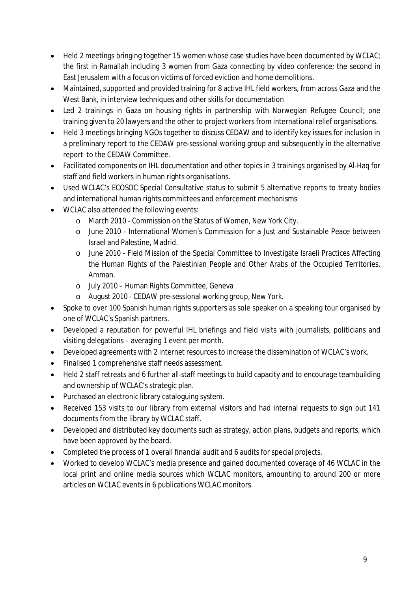- Held 2 meetings bringing together 15 women whose case studies have been documented by WCLAC; the first in Ramallah including 3 women from Gaza connecting by video conference; the second in East Jerusalem with a focus on victims of forced eviction and home demolitions.
- Maintained, supported and provided training for 8 active IHL field workers, from across Gaza and the West Bank, in interview techniques and other skills for documentation
- Led 2 trainings in Gaza on housing rights in partnership with Norwegian Refugee Council; one training given to 20 lawyers and the other to project workers from international relief organisations.
- Held 3 meetings bringing NGOs together to discuss CEDAW and to identify key issues for inclusion in a preliminary report to the CEDAW pre-sessional working group and subsequently in the alternative report to the CEDAW Committee.
- Facilitated components on IHL documentation and other topics in 3 trainings organised by Al-Haq for staff and field workers in human rights organisations.
- Used WCLAC's ECOSOC Special Consultative status to submit 5 alternative reports to treaty bodies and international human rights committees and enforcement mechanisms
- WCLAC also attended the following events:
	- o March 2010 Commission on the Status of Women, New York City.
	- o June 2010 International Women's Commission for a Just and Sustainable Peace between Israel and Palestine, Madrid.
	- o June 2010 Field Mission of the Special Committee to Investigate Israeli Practices Affecting the Human Rights of the Palestinian People and Other Arabs of the Occupied Territories, Amman.
	- o July 2010 Human Rights Committee, Geneva
	- o August 2010 CEDAW pre-sessional working group, New York.
- Spoke to over 100 Spanish human rights supporters as sole speaker on a speaking tour organised by one of WCLAC's Spanish partners.
- Developed a reputation for powerful IHL briefings and field visits with journalists, politicians and visiting delegations – averaging 1 event per month.
- Developed agreements with 2 internet resources to increase the dissemination of WCLAC's work.
- Finalised 1 comprehensive staff needs assessment.
- Held 2 staff retreats and 6 further all-staff meetings to build capacity and to encourage teambuilding and ownership of WCLAC's strategic plan.
- Purchased an electronic library cataloguing system.
- Received 153 visits to our library from external visitors and had internal requests to sign out 141 documents from the library by WCLAC staff.
- Developed and distributed key documents such as strategy, action plans, budgets and reports, which have been approved by the board.
- Completed the process of 1 overall financial audit and 6 audits for special projects.
- Worked to develop WCLAC's media presence and gained documented coverage of 46 WCLAC in the local print and online media sources which WCLAC monitors, amounting to around 200 or more articles on WCLAC events in 6 publications WCLAC monitors.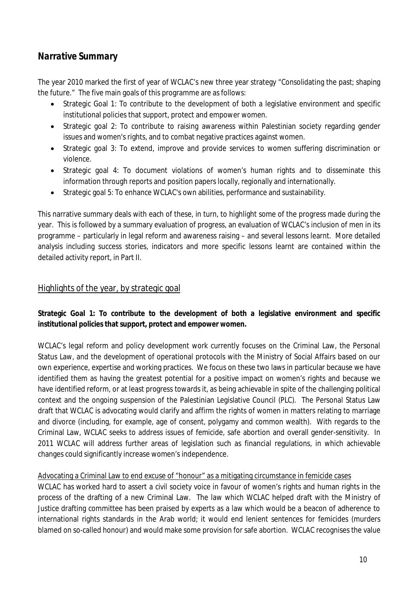# *Narrative Summary*

The year 2010 marked the first of year of WCLAC's new three year strategy "Consolidating the past; shaping the future." The five main goals of this programme are as follows:

- Strategic Goal 1: To contribute to the development of both a legislative environment and specific institutional policies that support, protect and empower women.
- Strategic goal 2: To contribute to raising awareness within Palestinian society regarding gender issues and women's rights, and to combat negative practices against women.
- Strategic goal 3: To extend, improve and provide services to women suffering discrimination or violence.
- Strategic goal 4: To document violations of women's human rights and to disseminate this information through reports and position papers locally, regionally and internationally.
- Strategic goal 5: To enhance WCLAC's own abilities, performance and sustainability.

This narrative summary deals with each of these, in turn, to highlight some of the progress made during the year. This is followed by a summary evaluation of progress, an evaluation of WCLAC's inclusion of men in its programme – particularly in legal reform and awareness raising – and several lessons learnt. More detailed analysis including success stories, indicators and more specific lessons learnt are contained within the detailed activity report, in Part II.

# Highlights of the year, by strategic goal

# **Strategic Goal 1: To contribute to the development of both a legislative environment and specific institutional policies that support, protect and empower women.**

WCLAC's legal reform and policy development work currently focuses on the Criminal Law, the Personal Status Law, and the development of operational protocols with the Ministry of Social Affairs based on our own experience, expertise and working practices. We focus on these two laws in particular because we have identified them as having the greatest potential for a positive impact on women's rights and because we have identified reform, or at least progress towards it, as being achievable in spite of the challenging political context and the ongoing suspension of the Palestinian Legislative Council (PLC). The Personal Status Law draft that WCLAC is advocating would clarify and affirm the rights of women in matters relating to marriage and divorce (including, for example, age of consent, polygamy and common wealth). With regards to the Criminal Law, WCLAC seeks to address issues of femicide, safe abortion and overall gender-sensitivity. In 2011 WCLAC will address further areas of legislation such as financial regulations, in which achievable changes could significantly increase women's independence.

# Advocating a Criminal Law to end excuse of "honour" as a mitigating circumstance in femicide cases

WCLAC has worked hard to assert a civil society voice in favour of women's rights and human rights in the process of the drafting of a new Criminal Law. The law which WCLAC helped draft with the Ministry of Justice drafting committee has been praised by experts as a law which would be a beacon of adherence to international rights standards in the Arab world; it would end lenient sentences for femicides (murders blamed on so-called honour) and would make some provision for safe abortion. WCLAC recognises the value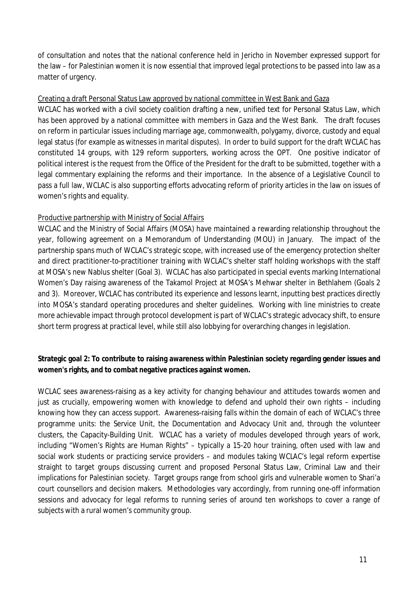of consultation and notes that the national conference held in Jericho in November expressed support for the law – for Palestinian women it is now essential that improved legal protections to be passed into law as a matter of urgency.

#### Creating a draft Personal Status Law approved by national committee in West Bank and Gaza

WCLAC has worked with a civil society coalition drafting a new, unified text for Personal Status Law, which has been approved by a national committee with members in Gaza and the West Bank. The draft focuses on reform in particular issues including marriage age, commonwealth, polygamy, divorce, custody and equal legal status (for example as witnesses in marital disputes). In order to build support for the draft WCLAC has constituted 14 groups, with 129 reform supporters, working across the OPT. One positive indicator of political interest is the request from the Office of the President for the draft to be submitted, together with a legal commentary explaining the reforms and their importance. In the absence of a Legislative Council to pass a full law, WCLAC is also supporting efforts advocating reform of priority articles in the law on issues of women's rights and equality.

### Productive partnership with Ministry of Social Affairs

WCLAC and the Ministry of Social Affairs (MOSA) have maintained a rewarding relationship throughout the year, following agreement on a Memorandum of Understanding (MOU) in January. The impact of the partnership spans much of WCLAC's strategic scope, with increased use of the emergency protection shelter and direct practitioner-to-practitioner training with WCLAC's shelter staff holding workshops with the staff at MOSA's new Nablus shelter (Goal 3). WCLAC has also participated in special events marking International Women's Day raising awareness of the Takamol Project at MOSA's Mehwar shelter in Bethlahem (Goals 2 and 3). Moreover, WCLAC has contributed its experience and lessons learnt, inputting best practices directly into MOSA's standard operating procedures and shelter guidelines. Working with line ministries to create more achievable impact through protocol development is part of WCLAC's strategic advocacy shift, to ensure short term progress at practical level, while still also lobbying for overarching changes in legislation.

# **Strategic goal 2: To contribute to raising awareness within Palestinian society regarding gender issues and women's rights, and to combat negative practices against women.**

WCLAC sees awareness-raising as a key activity for changing behaviour and attitudes towards women and just as crucially, empowering women with knowledge to defend and uphold their own rights – including knowing how they can access support. Awareness-raising falls within the domain of each of WCLAC's three programme units: the Service Unit, the Documentation and Advocacy Unit and, through the volunteer clusters, the Capacity-Building Unit. WCLAC has a variety of modules developed through years of work, including "Women's Rights are Human Rights" – typically a 15-20 hour training, often used with law and social work students or practicing service providers – and modules taking WCLAC's legal reform expertise straight to target groups discussing current and proposed Personal Status Law, Criminal Law and their implications for Palestinian society. Target groups range from school girls and vulnerable women to Shari'a court counsellors and decision makers. Methodologies vary accordingly, from running one-off information sessions and advocacy for legal reforms to running series of around ten workshops to cover a range of subjects with a rural women's community group.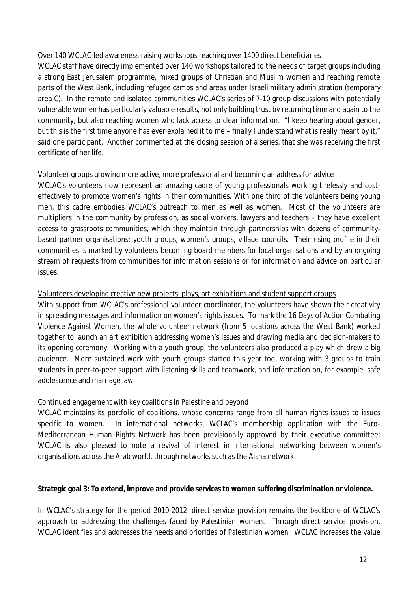#### Over 140 WCLAC-led awareness-raising workshops reaching over 1400 direct beneficiaries

WCLAC staff have directly implemented over 140 workshops tailored to the needs of target groups including a strong East Jerusalem programme, mixed groups of Christian and Muslim women and reaching remote parts of the West Bank, including refugee camps and areas under Israeli military administration (temporary area C). In the remote and isolated communities WCLAC's series of 7-10 group discussions with potentially vulnerable women has particularly valuable results, not only building trust by returning time and again to the community, but also reaching women who lack access to clear information. "I keep hearing about gender, but this is the first time anyone has ever explained it to me – finally I understand what is really meant by it," said one participant. Another commented at the closing session of a series, that she was receiving the first certificate of her life.

### Volunteer groups growing more active, more professional and becoming an address for advice

WCLAC's volunteers now represent an amazing cadre of young professionals working tirelessly and costeffectively to promote women's rights in their communities. With one third of the volunteers being young men, this cadre embodies WCLAC's outreach to men as well as women. Most of the volunteers are multipliers in the community by profession, as social workers, lawyers and teachers – they have excellent access to grassroots communities, which they maintain through partnerships with dozens of communitybased partner organisations: youth groups, women's groups, village councils. Their rising profile in their communities is marked by volunteers becoming board members for local organisations and by an ongoing stream of requests from communities for information sessions or for information and advice on particular issues.

### Volunteers developing creative new projects: plays, art exhibitions and student support groups

With support from WCLAC's professional volunteer coordinator, the volunteers have shown their creativity in spreading messages and information on women's rights issues. To mark the 16 Days of Action Combating Violence Against Women, the whole volunteer network (from 5 locations across the West Bank) worked together to launch an art exhibition addressing women's issues and drawing media and decision-makers to its opening ceremony. Working with a youth group, the volunteers also produced a play which drew a big audience. More sustained work with youth groups started this year too, working with 3 groups to train students in peer-to-peer support with listening skills and teamwork, and information on, for example, safe adolescence and marriage law.

### Continued engagement with key coalitions in Palestine and beyond

WCLAC maintains its portfolio of coalitions, whose concerns range from all human rights issues to issues specific to women. In international networks, WCLAC's membership application with the Euro-Mediterranean Human Rights Network has been provisionally approved by their executive committee; WCLAC is also pleased to note a revival of interest in international networking between women's organisations across the Arab world, through networks such as the Aisha network.

#### **Strategic goal 3: To extend, improve and provide services to women suffering discrimination or violence.**

In WCLAC's strategy for the period 2010-2012, direct service provision remains the backbone of WCLAC's approach to addressing the challenges faced by Palestinian women. Through direct service provision, WCLAC identifies and addresses the needs and priorities of Palestinian women. WCLAC increases the value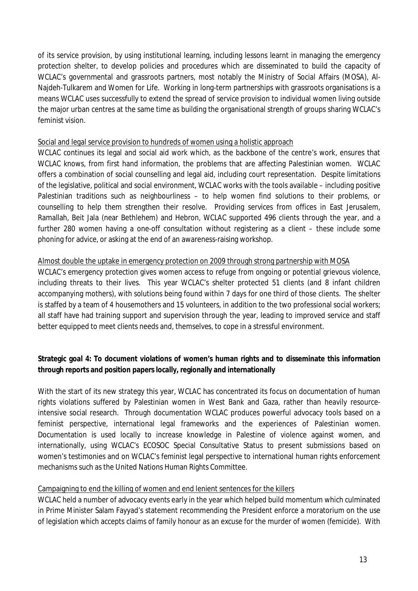of its service provision, by using institutional learning, including lessons learnt in managing the emergency protection shelter, to develop policies and procedures which are disseminated to build the capacity of WCLAC's governmental and grassroots partners, most notably the Ministry of Social Affairs (MOSA), Al-Najdeh-Tulkarem and Women for Life. Working in long-term partnerships with grassroots organisations is a means WCLAC uses successfully to extend the spread of service provision to individual women living outside the major urban centres at the same time as building the organisational strength of groups sharing WCLAC's feminist vision.

### Social and legal service provision to hundreds of women using a holistic approach

WCLAC continues its legal and social aid work which, as the backbone of the centre's work, ensures that WCLAC knows, from first hand information, the problems that are affecting Palestinian women. WCLAC offers a combination of social counselling and legal aid, including court representation. Despite limitations of the legislative, political and social environment, WCLAC works with the tools available – including positive Palestinian traditions such as neighbourliness – to help women find solutions to their problems, or counselling to help them strengthen their resolve. Providing services from offices in East Jerusalem, Ramallah, Beit Jala (near Bethlehem) and Hebron, WCLAC supported 496 clients through the year, and a further 280 women having a one-off consultation without registering as a client – these include some phoning for advice, or asking at the end of an awareness-raising workshop.

### Almost double the uptake in emergency protection on 2009 through strong partnership with MOSA

WCLAC's emergency protection gives women access to refuge from ongoing or potential grievous violence, including threats to their lives. This year WCLAC's shelter protected 51 clients (and 8 infant children accompanying mothers), with solutions being found within 7 days for one third of those clients. The shelter is staffed by a team of 4 housemothers and 15 volunteers, in addition to the two professional social workers; all staff have had training support and supervision through the year, leading to improved service and staff better equipped to meet clients needs and, themselves, to cope in a stressful environment.

# **Strategic goal 4: To document violations of women's human rights and to disseminate this information through reports and position papers locally, regionally and internationally**

With the start of its new strategy this year, WCLAC has concentrated its focus on documentation of human rights violations suffered by Palestinian women in West Bank and Gaza, rather than heavily resourceintensive social research. Through documentation WCLAC produces powerful advocacy tools based on a feminist perspective, international legal frameworks and the experiences of Palestinian women. Documentation is used locally to increase knowledge in Palestine of violence against women, and internationally, using WCLAC's ECOSOC Special Consultative Status to present submissions based on women's testimonies and on WCLAC's feminist legal perspective to international human rights enforcement mechanisms such as the United Nations Human Rights Committee.

### Campaigning to end the killing of women and end lenient sentences for the killers

WCLAC held a number of advocacy events early in the year which helped build momentum which culminated in Prime Minister Salam Fayyad's statement recommending the President enforce a moratorium on the use of legislation which accepts claims of family honour as an excuse for the murder of women (femicide). With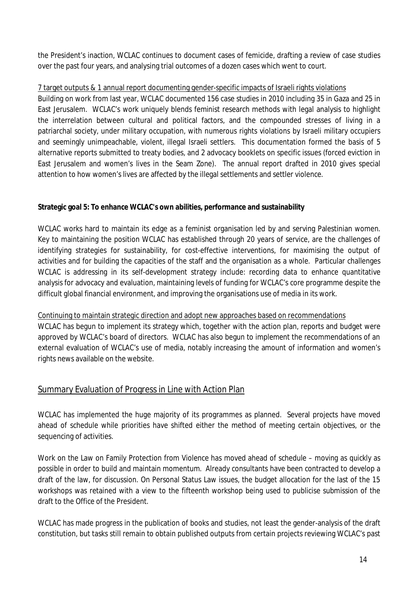the President's inaction, WCLAC continues to document cases of femicide, drafting a review of case studies over the past four years, and analysing trial outcomes of a dozen cases which went to court.

# 7 target outputs & 1 annual report documenting gender-specific impacts of Israeli rights violations

Building on work from last year, WCLAC documented 156 case studies in 2010 including 35 in Gaza and 25 in East Jerusalem. WCLAC's work uniquely blends feminist research methods with legal analysis to highlight the interrelation between cultural and political factors, and the compounded stresses of living in a patriarchal society, under military occupation, with numerous rights violations by Israeli military occupiers and seemingly unimpeachable, violent, illegal Israeli settlers. This documentation formed the basis of 5 alternative reports submitted to treaty bodies, and 2 advocacy booklets on specific issues (forced eviction in East Jerusalem and women's lives in the Seam Zone). The annual report drafted in 2010 gives special attention to how women's lives are affected by the illegal settlements and settler violence.

# **Strategic goal 5: To enhance WCLAC's own abilities, performance and sustainability**

WCLAC works hard to maintain its edge as a feminist organisation led by and serving Palestinian women. Key to maintaining the position WCLAC has established through 20 years of service, are the challenges of identifying strategies for sustainability, for cost-effective interventions, for maximising the output of activities and for building the capacities of the staff and the organisation as a whole. Particular challenges WCLAC is addressing in its self-development strategy include: recording data to enhance quantitative analysis for advocacy and evaluation, maintaining levels of funding for WCLAC's core programme despite the difficult global financial environment, and improving the organisations use of media in its work.

# Continuing to maintain strategic direction and adopt new approaches based on recommendations

WCLAC has begun to implement its strategy which, together with the action plan, reports and budget were approved by WCLAC's board of directors. WCLAC has also begun to implement the recommendations of an external evaluation of WCLAC's use of media, notably increasing the amount of information and women's rights news available on the website.

# Summary Evaluation of Progress in Line with Action Plan

WCLAC has implemented the huge majority of its programmes as planned. Several projects have moved ahead of schedule while priorities have shifted either the method of meeting certain objectives, or the sequencing of activities.

Work on the Law on Family Protection from Violence has moved ahead of schedule – moving as quickly as possible in order to build and maintain momentum. Already consultants have been contracted to develop a draft of the law, for discussion. On Personal Status Law issues, the budget allocation for the last of the 15 workshops was retained with a view to the fifteenth workshop being used to publicise submission of the draft to the Office of the President.

WCLAC has made progress in the publication of books and studies, not least the gender-analysis of the draft constitution, but tasks still remain to obtain published outputs from certain projects reviewing WCLAC's past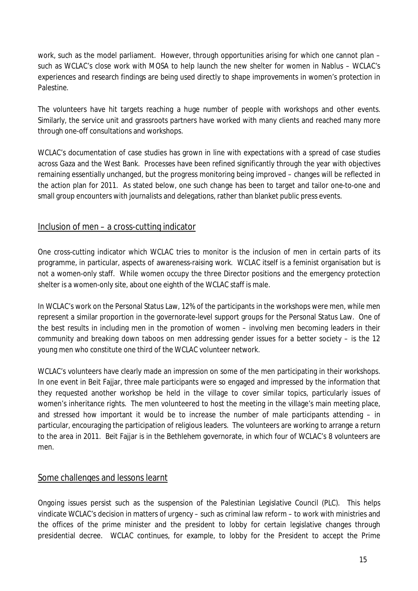work, such as the model parliament. However, through opportunities arising for which one cannot plan – such as WCLAC's close work with MOSA to help launch the new shelter for women in Nablus – WCLAC's experiences and research findings are being used directly to shape improvements in women's protection in Palestine.

The volunteers have hit targets reaching a huge number of people with workshops and other events. Similarly, the service unit and grassroots partners have worked with many clients and reached many more through one-off consultations and workshops.

WCLAC's documentation of case studies has grown in line with expectations with a spread of case studies across Gaza and the West Bank. Processes have been refined significantly through the year with objectives remaining essentially unchanged, but the progress monitoring being improved – changes will be reflected in the action plan for 2011. As stated below, one such change has been to target and tailor one-to-one and small group encounters with journalists and delegations, rather than blanket public press events.

# Inclusion of men – a cross-cutting indicator

One cross-cutting indicator which WCLAC tries to monitor is the inclusion of men in certain parts of its programme, in particular, aspects of awareness-raising work. WCLAC itself is a feminist organisation but is not a women-only staff. While women occupy the three Director positions and the emergency protection shelter is a women-only site, about one eighth of the WCLAC staff is male.

In WCLAC's work on the Personal Status Law, 12% of the participants in the workshops were men, while men represent a similar proportion in the governorate-level support groups for the Personal Status Law. One of the best results in including men in the promotion of women – involving men becoming leaders in their community and breaking down taboos on men addressing gender issues for a better society – is the 12 young men who constitute one third of the WCLAC volunteer network.

WCLAC's volunteers have clearly made an impression on some of the men participating in their workshops. In one event in Beit Fajjar, three male participants were so engaged and impressed by the information that they requested another workshop be held in the village to cover similar topics, particularly issues of women's inheritance rights. The men volunteered to host the meeting in the village's main meeting place, and stressed how important it would be to increase the number of male participants attending – in particular, encouraging the participation of religious leaders. The volunteers are working to arrange a return to the area in 2011. Beit Faijar is in the Bethlehem governorate, in which four of WCLAC's 8 volunteers are men.

# Some challenges and lessons learnt

Ongoing issues persist such as the suspension of the Palestinian Legislative Council (PLC). This helps vindicate WCLAC's decision in matters of urgency – such as criminal law reform – to work with ministries and the offices of the prime minister and the president to lobby for certain legislative changes through presidential decree. WCLAC continues, for example, to lobby for the President to accept the Prime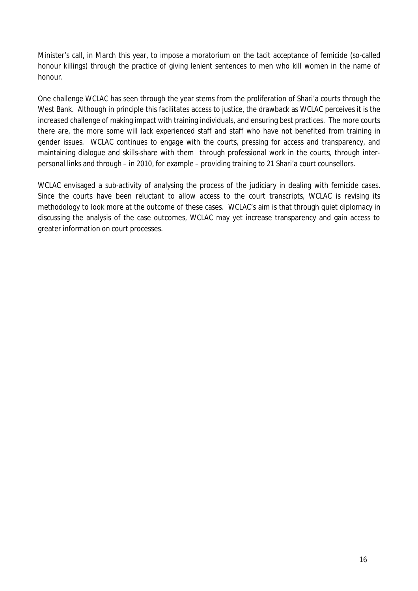Minister's call, in March this year, to impose a moratorium on the tacit acceptance of femicide (so-called honour killings) through the practice of giving lenient sentences to men who kill women in the name of honour.

One challenge WCLAC has seen through the year stems from the proliferation of Shari'a courts through the West Bank. Although in principle this facilitates access to justice, the drawback as WCLAC perceives it is the increased challenge of making impact with training individuals, and ensuring best practices. The more courts there are, the more some will lack experienced staff and staff who have not benefited from training in gender issues. WCLAC continues to engage with the courts, pressing for access and transparency, and maintaining dialogue and skills-share with them through professional work in the courts, through interpersonal links and through – in 2010, for example – providing training to 21 Shari'a court counsellors.

WCLAC envisaged a sub-activity of analysing the process of the judiciary in dealing with femicide cases. Since the courts have been reluctant to allow access to the court transcripts, WCLAC is revising its methodology to look more at the outcome of these cases. WCLAC's aim is that through quiet diplomacy in discussing the analysis of the case outcomes, WCLAC may yet increase transparency and gain access to greater information on court processes.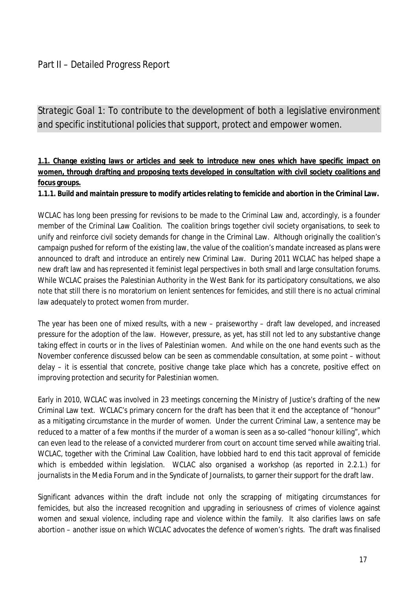# Part II – Detailed Progress Report

*Strategic Goal 1: To contribute to the development of both a legislative environment and specific institutional policies that support, protect and empower women.*

# **1.1. Change existing laws or articles and seek to introduce new ones which have specific impact on women, through drafting and proposing texts developed in consultation with civil society coalitions and focus groups.**

**1.1.1. Build and maintain pressure to modify articles relating to femicide and abortion in the Criminal Law.**

WCLAC has long been pressing for revisions to be made to the Criminal Law and, accordingly, is a founder member of the Criminal Law Coalition. The coalition brings together civil society organisations, to seek to unify and reinforce civil society demands for change in the Criminal Law. Although originally the coalition's campaign pushed for reform of the existing law, the value of the coalition's mandate increased as plans were announced to draft and introduce an entirely new Criminal Law. During 2011 WCLAC has helped shape a new draft law and has represented it feminist legal perspectives in both small and large consultation forums. While WCLAC praises the Palestinian Authority in the West Bank for its participatory consultations, we also note that still there is no moratorium on lenient sentences for femicides, and still there is no actual criminal law adequately to protect women from murder.

The year has been one of mixed results, with a new – praiseworthy – draft law developed, and increased pressure for the adoption of the law. However, pressure, as yet, has still not led to any substantive change taking effect in courts or in the lives of Palestinian women. And while on the one hand events such as the November conference discussed below can be seen as commendable consultation, at some point – without delay – it is essential that concrete, positive change take place which has a concrete, positive effect on improving protection and security for Palestinian women.

Early in 2010, WCLAC was involved in 23 meetings concerning the Ministry of Justice's drafting of the new Criminal Law text. WCLAC's primary concern for the draft has been that it end the acceptance of "honour" as a mitigating circumstance in the murder of women. Under the current Criminal Law, a sentence may be reduced to a matter of a few months if the murder of a woman is seen as a so-called "honour killing", which can even lead to the release of a convicted murderer from court on account time served while awaiting trial. WCLAC, together with the Criminal Law Coalition, have lobbied hard to end this tacit approval of femicide which is embedded within legislation. WCLAC also organised a workshop (as reported in 2.2.1.) for journalists in the Media Forum and in the Syndicate of Journalists, to garner their support for the draft law.

Significant advances within the draft include not only the scrapping of mitigating circumstances for femicides, but also the increased recognition and upgrading in seriousness of crimes of violence against women and sexual violence, including rape and violence within the family. It also clarifies laws on safe abortion – another issue on which WCLAC advocates the defence of women's rights. The draft was finalised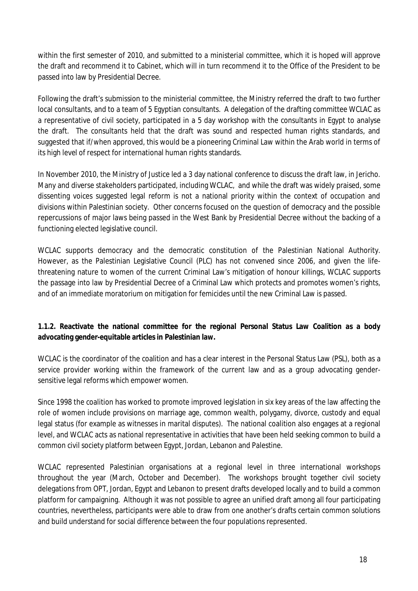within the first semester of 2010, and submitted to a ministerial committee, which it is hoped will approve the draft and recommend it to Cabinet, which will in turn recommend it to the Office of the President to be passed into law by Presidential Decree.

Following the draft's submission to the ministerial committee, the Ministry referred the draft to two further local consultants, and to a team of 5 Egyptian consultants. A delegation of the drafting committee WCLAC as a representative of civil society, participated in a 5 day workshop with the consultants in Egypt to analyse the draft. The consultants held that the draft was sound and respected human rights standards, and suggested that if/when approved, this would be a pioneering Criminal Law within the Arab world in terms of its high level of respect for international human rights standards.

In November 2010, the Ministry of Justice led a 3 day national conference to discuss the draft law, in Jericho. Many and diverse stakeholders participated, including WCLAC, and while the draft was widely praised, some dissenting voices suggested legal reform is not a national priority within the context of occupation and divisions within Palestinian society. Other concerns focused on the question of democracy and the possible repercussions of major laws being passed in the West Bank by Presidential Decree without the backing of a functioning elected legislative council.

WCLAC supports democracy and the democratic constitution of the Palestinian National Authority. However, as the Palestinian Legislative Council (PLC) has not convened since 2006, and given the lifethreatening nature to women of the current Criminal Law's mitigation of honour killings, WCLAC supports the passage into law by Presidential Decree of a Criminal Law which protects and promotes women's rights, and of an immediate moratorium on mitigation for femicides until the new Criminal Law is passed.

# **1.1.2. Reactivate the national committee for the regional Personal Status Law Coalition as a body advocating gender-equitable articles in Palestinian law.**

WCLAC is the coordinator of the coalition and has a clear interest in the Personal Status Law (PSL), both as a service provider working within the framework of the current law and as a group advocating gendersensitive legal reforms which empower women.

Since 1998 the coalition has worked to promote improved legislation in six key areas of the law affecting the role of women include provisions on marriage age, common wealth, polygamy, divorce, custody and equal legal status (for example as witnesses in marital disputes). The national coalition also engages at a regional level, and WCLAC acts as national representative in activities that have been held seeking common to build a common civil society platform between Egypt, Jordan, Lebanon and Palestine.

WCLAC represented Palestinian organisations at a regional level in three international workshops throughout the year (March, October and December). The workshops brought together civil society delegations from OPT, Jordan, Egypt and Lebanon to present drafts developed locally and to build a common platform for campaigning. Although it was not possible to agree an unified draft among all four participating countries, nevertheless, participants were able to draw from one another's drafts certain common solutions and build understand for social difference between the four populations represented.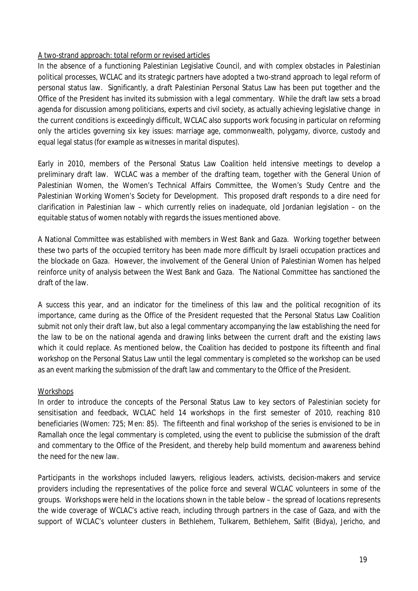# A two-strand approach: total reform or revised articles

In the absence of a functioning Palestinian Legislative Council, and with complex obstacles in Palestinian political processes, WCLAC and its strategic partners have adopted a two-strand approach to legal reform of personal status law. Significantly, a draft Palestinian Personal Status Law has been put together and the Office of the President has invited its submission with a legal commentary. While the draft law sets a broad agenda for discussion among politicians, experts and civil society, as actually achieving legislative change in the current conditions is exceedingly difficult, WCLAC also supports work focusing in particular on reforming only the articles governing six key issues: marriage age, commonwealth, polygamy, divorce, custody and equal legal status (for example as witnesses in marital disputes).

Early in 2010, members of the Personal Status Law Coalition held intensive meetings to develop a preliminary draft law. WCLAC was a member of the drafting team, together with the General Union of Palestinian Women, the Women's Technical Affairs Committee, the Women's Study Centre and the Palestinian Working Women's Society for Development. This proposed draft responds to a dire need for clarification in Palestinian law – which currently relies on inadequate, old Jordanian legislation – on the equitable status of women notably with regards the issues mentioned above.

A National Committee was established with members in West Bank and Gaza. Working together between these two parts of the occupied territory has been made more difficult by Israeli occupation practices and the blockade on Gaza. However, the involvement of the General Union of Palestinian Women has helped reinforce unity of analysis between the West Bank and Gaza. The National Committee has sanctioned the draft of the law.

A success this year, and an indicator for the timeliness of this law and the political recognition of its importance, came during as the Office of the President requested that the Personal Status Law Coalition submit not only their draft law, but also a legal commentary accompanying the law establishing the need for the law to be on the national agenda and drawing links between the current draft and the existing laws which it could replace. As mentioned below, the Coalition has decided to postpone its fifteenth and final workshop on the Personal Status Law until the legal commentary is completed so the workshop can be used as an event marking the submission of the draft law and commentary to the Office of the President.

### **Workshops**

In order to introduce the concepts of the Personal Status Law to key sectors of Palestinian society for sensitisation and feedback, WCLAC held 14 workshops in the first semester of 2010, reaching 810 beneficiaries (Women: 725; Men: 85). The fifteenth and final workshop of the series is envisioned to be in Ramallah once the legal commentary is completed, using the event to publicise the submission of the draft and commentary to the Office of the President, and thereby help build momentum and awareness behind the need for the new law.

Participants in the workshops included lawyers, religious leaders, activists, decision-makers and service providers including the representatives of the police force and several WCLAC volunteers in some of the groups. Workshops were held in the locations shown in the table below – the spread of locations represents the wide coverage of WCLAC's active reach, including through partners in the case of Gaza, and with the support of WCLAC's volunteer clusters in Bethlehem, Tulkarem, Bethlehem, Salfit (Bidya), Jericho, and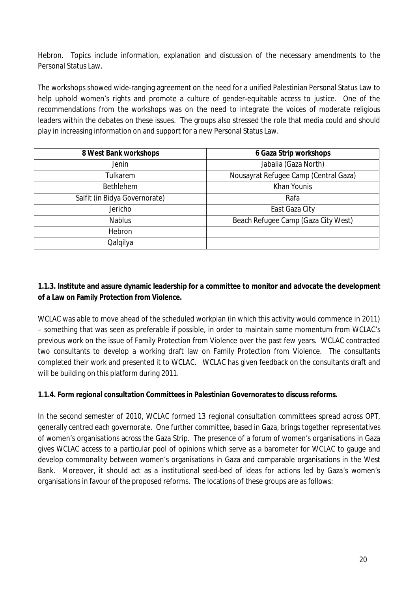Hebron. Topics include information, explanation and discussion of the necessary amendments to the Personal Status Law.

The workshops showed wide-ranging agreement on the need for a unified Palestinian Personal Status Law to help uphold women's rights and promote a culture of gender-equitable access to justice. One of the recommendations from the workshops was on the need to integrate the voices of moderate religious leaders within the debates on these issues. The groups also stressed the role that media could and should play in increasing information on and support for a new Personal Status Law.

| 8 West Bank workshops         | 6 Gaza Strip workshops                |  |
|-------------------------------|---------------------------------------|--|
| <b>Jenin</b>                  | Jabalia (Gaza North)                  |  |
| Tulkarem                      | Nousayrat Refugee Camp (Central Gaza) |  |
| <b>Bethlehem</b>              | Khan Younis                           |  |
| Salfit (in Bidya Governorate) | Rafa                                  |  |
| Jericho                       | East Gaza City                        |  |
| <b>Nablus</b>                 | Beach Refugee Camp (Gaza City West)   |  |
| Hebron                        |                                       |  |
| Qalqilya                      |                                       |  |

# **1.1.3. Institute and assure dynamic leadership for a committee to monitor and advocate the development of a Law on Family Protection from Violence.**

WCLAC was able to move ahead of the scheduled workplan (in which this activity would commence in 2011) – something that was seen as preferable if possible, in order to maintain some momentum from WCLAC's previous work on the issue of Family Protection from Violence over the past few years. WCLAC contracted two consultants to develop a working draft law on Family Protection from Violence. The consultants completed their work and presented it to WCLAC. WCLAC has given feedback on the consultants draft and will be building on this platform during 2011.

# **1.1.4. Form regional consultation Committees in Palestinian Governorates to discuss reforms.**

In the second semester of 2010, WCLAC formed 13 regional consultation committees spread across OPT, generally centred each governorate. One further committee, based in Gaza, brings together representatives of women's organisations across the Gaza Strip. The presence of a forum of women's organisations in Gaza gives WCLAC access to a particular pool of opinions which serve as a barometer for WCLAC to gauge and develop commonality between women's organisations in Gaza and comparable organisations in the West Bank. Moreover, it should act as a institutional seed-bed of ideas for actions led by Gaza's women's organisations in favour of the proposed reforms. The locations of these groups are as follows: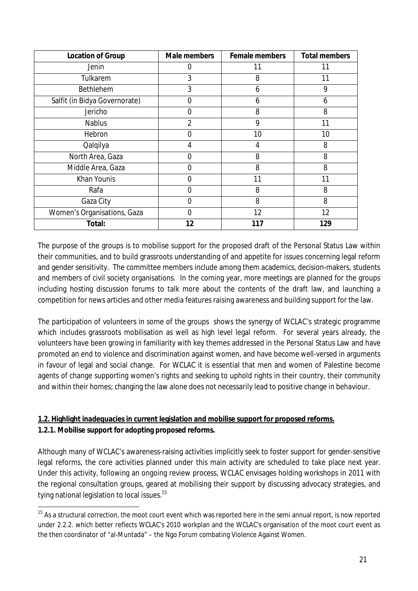| <b>Location of Group</b>      | <b>Male members</b> | <b>Female members</b> | <b>Total members</b> |
|-------------------------------|---------------------|-----------------------|----------------------|
| Jenin                         | 0                   | 11                    | 11                   |
| Tulkarem                      | 3                   | 8                     | 11                   |
| <b>Bethlehem</b>              | 3                   | 6                     | 9                    |
| Salfit (in Bidya Governorate) | ი                   | 6                     | 6                    |
| Jericho                       | 0                   | 8                     | 8                    |
| <b>Nablus</b>                 | $\overline{2}$      | 9                     | 11                   |
| Hebron                        | 0                   | 10                    | 10                   |
| Qalqilya                      | 4                   | 4                     | 8                    |
| North Area, Gaza              | 0                   | 8                     | 8                    |
| Middle Area, Gaza             | ი                   | 8                     | 8                    |
| Khan Younis                   | ი                   | 11                    | 11                   |
| Rafa                          | 0                   | 8                     | 8                    |
| Gaza City                     | ი                   | 8                     | 8                    |
| Women's Organisations, Gaza   | 0                   | 12                    | 12                   |
| Total:                        | 12                  | 117                   | 129                  |

The purpose of the groups is to mobilise support for the proposed draft of the Personal Status Law within their communities, and to build grassroots understanding of and appetite for issues concerning legal reform and gender sensitivity. The committee members include among them academics, decision-makers, students and members of civil society organisations. In the coming year, more meetings are planned for the groups including hosting discussion forums to talk more about the contents of the draft law, and launching a competition for news articles and other media features raising awareness and building support for the law.

The participation of volunteers in some of the groups shows the synergy of WCLAC's strategic programme which includes grassroots mobilisation as well as high level legal reform. For several years already, the volunteers have been growing in familiarity with key themes addressed in the Personal Status Law and have promoted an end to violence and discrimination against women, and have become well-versed in arguments in favour of legal and social change. For WCLAC it is essential that men and women of Palestine become agents of change supporting women's rights and seeking to uphold rights in their country, their community and within their homes; changing the law alone does not necessarily lead to positive change in behaviour.

# **1.2. Highlight inadequacies in current legislation and mobilise support for proposed reforms. 1.2.1. Mobilise support for adopting proposed reforms.**

Although many of WCLAC's awareness-raising activities implicitly seek to foster support for gender-sensitive legal reforms, the core activities planned under this main activity are scheduled to take place next year. Under this activity, following an ongoing review process, WCLAC envisages holding workshops in 2011 with the regional consultation groups, geared at mobilising their support by discussing advocacy strategies, and tying national legislation to local issues.<sup>15</sup>

 $\overline{a}$  $15$  As a structural correction, the moot court event which was reported here in the semi annual report, is now reported under 2.2.2. which better reflects WCLAC's 2010 workplan and the WCLAC's organisation of the moot court event as the then coordinator of "al-Muntada" – the Ngo Forum combating Violence Against Women.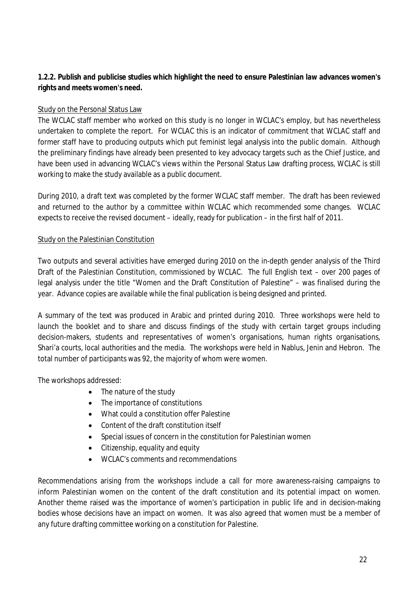# **1.2.2. Publish and publicise studies which highlight the need to ensure Palestinian law advances women's rights and meets women's need.**

# Study on the Personal Status Law

The WCLAC staff member who worked on this study is no longer in WCLAC's employ, but has nevertheless undertaken to complete the report. For WCLAC this is an indicator of commitment that WCLAC staff and former staff have to producing outputs which put feminist legal analysis into the public domain. Although the preliminary findings have already been presented to key advocacy targets such as the Chief Justice, and have been used in advancing WCLAC's views within the Personal Status Law drafting process, WCLAC is still working to make the study available as a public document.

During 2010, a draft text was completed by the former WCLAC staff member. The draft has been reviewed and returned to the author by a committee within WCLAC which recommended some changes. WCLAC expects to receive the revised document – ideally, ready for publication – in the first half of 2011.

### Study on the Palestinian Constitution

Two outputs and several activities have emerged during 2010 on the in-depth gender analysis of the Third Draft of the Palestinian Constitution, commissioned by WCLAC. The full English text – over 200 pages of legal analysis under the title "Women and the Draft Constitution of Palestine" – was finalised during the year. Advance copies are available while the final publication is being designed and printed.

A summary of the text was produced in Arabic and printed during 2010. Three workshops were held to launch the booklet and to share and discuss findings of the study with certain target groups including decision-makers, students and representatives of women's organisations, human rights organisations, Shari'a courts, local authorities and the media. The workshops were held in Nablus, Jenin and Hebron. The total number of participants was 92, the majority of whom were women.

The workshops addressed:

- The nature of the study
- The importance of constitutions
- What could a constitution offer Palestine
- Content of the draft constitution itself
- Special issues of concern in the constitution for Palestinian women
- Citizenship, equality and equity
- WCLAC's comments and recommendations

Recommendations arising from the workshops include a call for more awareness-raising campaigns to inform Palestinian women on the content of the draft constitution and its potential impact on women. Another theme raised was the importance of women's participation in public life and in decision-making bodies whose decisions have an impact on women. It was also agreed that women must be a member of any future drafting committee working on a constitution for Palestine.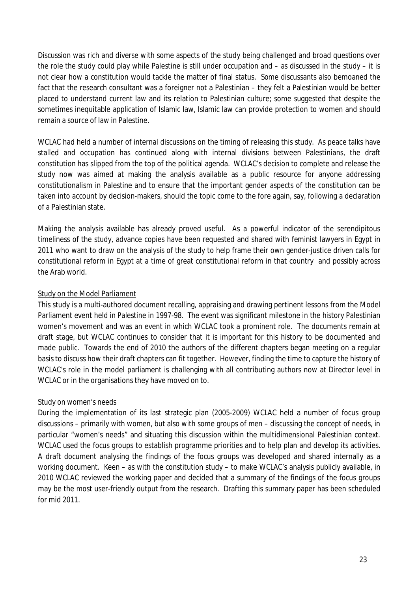Discussion was rich and diverse with some aspects of the study being challenged and broad questions over the role the study could play while Palestine is still under occupation and – as discussed in the study – it is not clear how a constitution would tackle the matter of final status. Some discussants also bemoaned the fact that the research consultant was a foreigner not a Palestinian – they felt a Palestinian would be better placed to understand current law and its relation to Palestinian culture; some suggested that despite the sometimes inequitable application of Islamic law, Islamic law can provide protection to women and should remain a source of law in Palestine.

WCLAC had held a number of internal discussions on the timing of releasing this study. As peace talks have stalled and occupation has continued along with internal divisions between Palestinians, the draft constitution has slipped from the top of the political agenda. WCLAC's decision to complete and release the study now was aimed at making the analysis available as a public resource for anyone addressing constitutionalism in Palestine and to ensure that the important gender aspects of the constitution can be taken into account by decision-makers, should the topic come to the fore again, say, following a declaration of a Palestinian state.

Making the analysis available has already proved useful. As a powerful indicator of the serendipitous timeliness of the study, advance copies have been requested and shared with feminist lawyers in Egypt in 2011 who want to draw on the analysis of the study to help frame their own gender-justice driven calls for constitutional reform in Egypt at a time of great constitutional reform in that country and possibly across the Arab world.

# Study on the Model Parliament

This study is a multi-authored document recalling, appraising and drawing pertinent lessons from the Model Parliament event held in Palestine in 1997-98. The event was significant milestone in the history Palestinian women's movement and was an event in which WCLAC took a prominent role. The documents remain at draft stage, but WCLAC continues to consider that it is important for this history to be documented and made public. Towards the end of 2010 the authors of the different chapters began meeting on a regular basis to discuss how their draft chapters can fit together. However, finding the time to capture the history of WCLAC's role in the model parliament is challenging with all contributing authors now at Director level in WCLAC or in the organisations they have moved on to.

### Study on women's needs

During the implementation of its last strategic plan (2005-2009) WCLAC held a number of focus group discussions – primarily with women, but also with some groups of men – discussing the concept of needs, in particular "women's needs" and situating this discussion within the multidimensional Palestinian context. WCLAC used the focus groups to establish programme priorities and to help plan and develop its activities. A draft document analysing the findings of the focus groups was developed and shared internally as a working document. Keen – as with the constitution study – to make WCLAC's analysis publicly available, in 2010 WCLAC reviewed the working paper and decided that a summary of the findings of the focus groups may be the most user-friendly output from the research. Drafting this summary paper has been scheduled for mid 2011.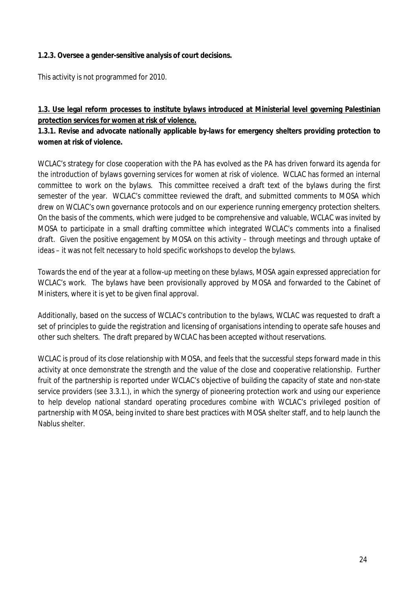#### **1.2.3. Oversee a gender-sensitive analysis of court decisions.**

This activity is not programmed for 2010.

# **1.3. Use legal reform processes to institute bylaws introduced at Ministerial level governing Palestinian protection services for women at risk of violence.**

# **1.3.1. Revise and advocate nationally applicable by-laws for emergency shelters providing protection to women at risk of violence.**

WCLAC's strategy for close cooperation with the PA has evolved as the PA has driven forward its agenda for the introduction of bylaws governing services for women at risk of violence. WCLAC has formed an internal committee to work on the bylaws. This committee received a draft text of the bylaws during the first semester of the year. WCLAC's committee reviewed the draft, and submitted comments to MOSA which drew on WCLAC's own governance protocols and on our experience running emergency protection shelters. On the basis of the comments, which were judged to be comprehensive and valuable, WCLAC was invited by MOSA to participate in a small drafting committee which integrated WCLAC's comments into a finalised draft. Given the positive engagement by MOSA on this activity – through meetings and through uptake of ideas – it was not felt necessary to hold specific workshops to develop the bylaws.

Towards the end of the year at a follow-up meeting on these bylaws, MOSA again expressed appreciation for WCLAC's work. The bylaws have been provisionally approved by MOSA and forwarded to the Cabinet of Ministers, where it is yet to be given final approval.

Additionally, based on the success of WCLAC's contribution to the bylaws, WCLAC was requested to draft a set of principles to guide the registration and licensing of organisations intending to operate safe houses and other such shelters. The draft prepared by WCLAC has been accepted without reservations.

WCLAC is proud of its close relationship with MOSA, and feels that the successful steps forward made in this activity at once demonstrate the strength and the value of the close and cooperative relationship. Further fruit of the partnership is reported under WCLAC's objective of building the capacity of state and non-state service providers (see 3.3.1.), in which the synergy of pioneering protection work and using our experience to help develop national standard operating procedures combine with WCLAC's privileged position of partnership with MOSA, being invited to share best practices with MOSA shelter staff, and to help launch the Nablus shelter.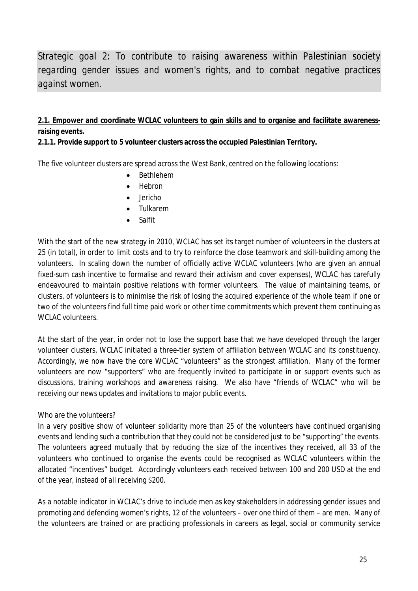*Strategic goal 2: To contribute to raising awareness within Palestinian society regarding gender issues and women's rights, and to combat negative practices against women.*

# **2.1. Empower and coordinate WCLAC volunteers to gain skills and to organise and facilitate awarenessraising events.**

#### **2.1.1. Provide support to 5 volunteer clusters across the occupied Palestinian Territory.**

The five volunteer clusters are spread across the West Bank, centred on the following locations:

- Bethlehem
- Hebron
- $\bullet$  lericho
- Tulkarem
- Salfit

With the start of the new strategy in 2010, WCLAC has set its target number of volunteers in the clusters at 25 (in total), in order to limit costs and to try to reinforce the close teamwork and skill-building among the volunteers. In scaling down the number of officially active WCLAC volunteers (who are given an annual fixed-sum cash incentive to formalise and reward their activism and cover expenses), WCLAC has carefully endeavoured to maintain positive relations with former volunteers. The value of maintaining teams, or clusters, of volunteers is to minimise the risk of losing the acquired experience of the whole team if one or two of the volunteers find full time paid work or other time commitments which prevent them continuing as WCLAC volunteers.

At the start of the year, in order not to lose the support base that we have developed through the larger volunteer clusters, WCLAC initiated a three-tier system of affiliation between WCLAC and its constituency. Accordingly, we now have the core WCLAC "volunteers" as the strongest affiliation. Many of the former volunteers are now "supporters" who are frequently invited to participate in or support events such as discussions, training workshops and awareness raising. We also have "friends of WCLAC" who will be receiving our news updates and invitations to major public events.

#### Who are the volunteers?

In a very positive show of volunteer solidarity more than 25 of the volunteers have continued organising events and lending such a contribution that they could not be considered just to be "supporting" the events. The volunteers agreed mutually that by reducing the size of the incentives they received, all 33 of the volunteers who continued to organise the events could be recognised as WCLAC volunteers within the allocated "incentives" budget. Accordingly volunteers each received between 100 and 200 USD at the end of the year, instead of all receiving \$200.

As a notable indicator in WCLAC's drive to include men as key stakeholders in addressing gender issues and promoting and defending women's rights, 12 of the volunteers – over one third of them – are men. Many of the volunteers are trained or are practicing professionals in careers as legal, social or community service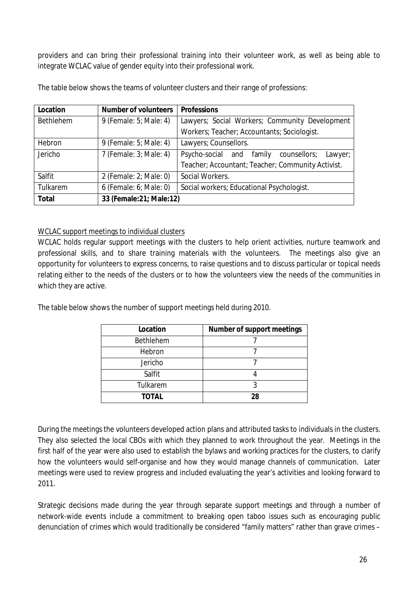providers and can bring their professional training into their volunteer work, as well as being able to integrate WCLAC value of gender equity into their professional work.

| Location     | <b>Number of volunteers</b> | <b>Professions</b>                                     |  |  |
|--------------|-----------------------------|--------------------------------------------------------|--|--|
| Bethlehem    | 9 (Female: 5; Male: 4)      | Lawyers; Social Workers; Community Development         |  |  |
|              |                             | Workers; Teacher; Accountants; Sociologist.            |  |  |
| Hebron       | 9 (Female: 5; Male: 4)      | Lawyers; Counsellors.                                  |  |  |
| Jericho      | 7 (Female: 3; Male: 4)      | Psycho-social and<br>family<br>counsellors;<br>Lawyer; |  |  |
|              |                             | Teacher; Accountant; Teacher; Community Activist.      |  |  |
| Salfit       | 2 (Female: 2; Male: 0)      | Social Workers.                                        |  |  |
| Tulkarem     | 6 (Female: 6; Male: 0)      | Social workers; Educational Psychologist.              |  |  |
| <b>Total</b> | 33 (Female: 21; Male: 12)   |                                                        |  |  |

The table below shows the teams of volunteer clusters and their range of professions:

### WCLAC support meetings to individual clusters

WCLAC holds regular support meetings with the clusters to help orient activities, nurture teamwork and professional skills, and to share training materials with the volunteers. The meetings also give an opportunity for volunteers to express concerns, to raise questions and to discuss particular or topical needs relating either to the needs of the clusters or to how the volunteers view the needs of the communities in which they are active.

The table below shows the number of support meetings held during 2010.

| <b>Location</b>  | <b>Number of support meetings</b> |
|------------------|-----------------------------------|
| <b>Bethlehem</b> |                                   |
| Hebron           |                                   |
| Jericho          |                                   |
| Salfit           |                                   |
| Tulkarem         |                                   |
| <b>TOTAL</b>     | 28                                |

During the meetings the volunteers developed action plans and attributed tasks to individuals in the clusters. They also selected the local CBOs with which they planned to work throughout the year. Meetings in the first half of the year were also used to establish the bylaws and working practices for the clusters, to clarify how the volunteers would self-organise and how they would manage channels of communication. Later meetings were used to review progress and included evaluating the year's activities and looking forward to 2011.

Strategic decisions made during the year through separate support meetings and through a number of network-wide events include a commitment to breaking open taboo issues such as encouraging public denunciation of crimes which would traditionally be considered "family matters" rather than grave crimes –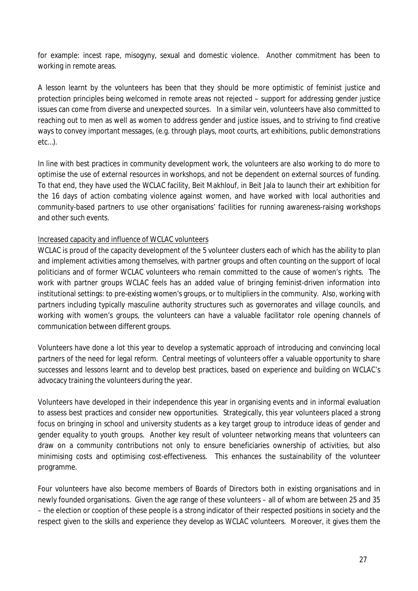for example: incest rape, misogyny, sexual and domestic violence. Another commitment has been to working in remote areas.

A lesson learnt by the volunteers has been that they should be more optimistic of feminist justice and protection principles being welcomed in remote areas not rejected – support for addressing gender justice issues can come from diverse and unexpected sources. In a similar vein, volunteers have also committed to reaching out to men as well as women to address gender and justice issues, and to striving to find creative ways to convey important messages, (e.g. through plays, moot courts, art exhibitions, public demonstrations etc…).

In line with best practices in community development work, the volunteers are also working to do more to optimise the use of external resources in workshops, and not be dependent on external sources of funding. To that end, they have used the WCLAC facility, Beit Makhlouf, in Beit Jala to launch their art exhibition for the 16 days of action combating violence against women, and have worked with local authorities and community-based partners to use other organisations' facilities for running awareness-raising workshops and other such events.

### Increased capacity and influence of WCLAC volunteers

WCLAC is proud of the capacity development of the 5 volunteer clusters each of which has the ability to plan and implement activities among themselves, with partner groups and often counting on the support of local politicians and of former WCLAC volunteers who remain committed to the cause of women's rights. The work with partner groups WCLAC feels has an added value of bringing feminist-driven information into institutional settings: to pre-existing women's groups, or to multipliers in the community. Also, working with partners including typically masculine authority structures such as governorates and village councils, and working with women's groups, the volunteers can have a valuable facilitator role opening channels of communication between different groups.

Volunteers have done a lot this year to develop a systematic approach of introducing and convincing local partners of the need for legal reform. Central meetings of volunteers offer a valuable opportunity to share successes and lessons learnt and to develop best practices, based on experience and building on WCLAC's advocacy training the volunteers during the year.

Volunteers have developed in their independence this year in organising events and in informal evaluation to assess best practices and consider new opportunities. Strategically, this year volunteers placed a strong focus on bringing in school and university students as a key target group to introduce ideas of gender and gender equality to youth groups. Another key result of volunteer networking means that volunteers can draw on a community contributions not only to ensure beneficiaries ownership of activities, but also minimising costs and optimising cost-effectiveness. This enhances the sustainability of the volunteer programme.

Four volunteers have also become members of Boards of Directors both in existing organisations and in newly founded organisations. Given the age range of these volunteers – all of whom are between 25 and 35 – the election or cooption of these people is a strong indicator of their respected positions in society and the respect given to the skills and experience they develop as WCLAC volunteers. Moreover, it gives them the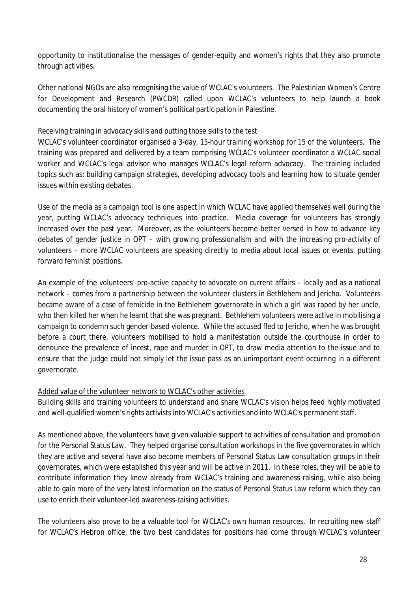opportunity to institutionalise the messages of gender-equity and women's rights that they also promote through activities.

Other national NGOs are also recognising the value of WCLAC's volunteers. The Palestinian Women's Centre for Development and Research (PWCDR) called upon WCLAC's volunteers to help launch a book documenting the oral history of women's political participation in Palestine.

#### Receiving training in advocacy skills and putting those skills to the test

WCLAC's volunteer coordinator organised a 3-day, 15-hour training workshop for 15 of the volunteers. The training was prepared and delivered by a team comprising WCLAC's volunteer coordinator a WCLAC social worker and WCLAC's legal advisor who manages WCLAC's legal reform advocacy. The training included topics such as: building campaign strategies, developing advocacy tools and learning how to situate gender issues within existing debates.

Use of the media as a campaign tool is one aspect in which WCLAC have applied themselves well during the year, putting WCLAC's advocacy techniques into practice. Media coverage for volunteers has strongly increased over the past year. Moreover, as the volunteers become better versed in how to advance key debates of gender justice in OPT – with growing professionalism and with the increasing pro-activity of volunteers – more WCLAC volunteers are speaking directly to media about local issues or events, putting forward feminist positions.

An example of the volunteers' pro-active capacity to advocate on current affairs – locally and as a national network – comes from a partnership between the volunteer clusters in Bethlehem and Jericho. Volunteers became aware of a case of femicide in the Bethlehem governorate in which a girl was raped by her uncle, who then killed her when he learnt that she was pregnant. Bethlehem volunteers were active in mobilising a campaign to condemn such gender-based violence. While the accused fled to Jericho, when he was brought before a court there, volunteers mobilised to hold a manifestation outside the courthouse in order to denounce the prevalence of incest, rape and murder in OPT, to draw media attention to the issue and to ensure that the judge could not simply let the issue pass as an unimportant event occurring in a different governorate.

### Added value of the volunteer network to WCLAC's other activities

Building skills and training volunteers to understand and share WCLAC's vision helps feed highly motivated and well-qualified women's rights activists into WCLAC's activities and into WCLAC's permanent staff.

As mentioned above, the volunteers have given valuable support to activities of consultation and promotion for the Personal Status Law. They helped organise consultation workshops in the five governorates in which they are active and several have also become members of Personal Status Law consultation groups in their governorates, which were established this year and will be active in 2011. In these roles, they will be able to contribute information they know already from WCLAC's training and awareness raising, while also being able to gain more of the very latest information on the status of Personal Status Law reform which they can use to enrich their volunteer-led awareness-raising activities.

The volunteers also prove to be a valuable tool for WCLAC's own human resources. In recruiting new staff for WCLAC's Hebron office, the two best candidates for positions had come through WCLAC's volunteer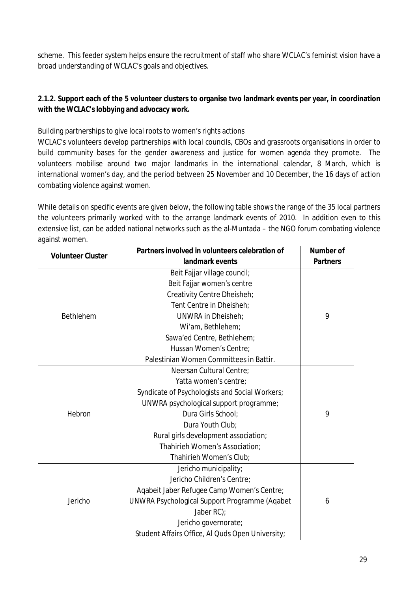scheme. This feeder system helps ensure the recruitment of staff who share WCLAC's feminist vision have a broad understanding of WCLAC's goals and objectives.

# **2.1.2. Support each of the 5 volunteer clusters to organise two landmark events per year, in coordination with the WCLAC's lobbying and advocacy work.**

# Building partnerships to give local roots to women's rights actions

WCLAC's volunteers develop partnerships with local councils, CBOs and grassroots organisations in order to build community bases for the gender awareness and justice for women agenda they promote. The volunteers mobilise around two major landmarks in the international calendar, 8 March, which is international women's day, and the period between 25 November and 10 December, the 16 days of action combating violence against women.

While details on specific events are given below, the following table shows the range of the 35 local partners the volunteers primarily worked with to the arrange landmark events of 2010. In addition even to this extensive list, can be added national networks such as the al-Muntada – the NGO forum combating violence against women.

| <b>Volunteer Cluster</b> | Partners involved in volunteers celebration of   | <b>Number of</b> |
|--------------------------|--------------------------------------------------|------------------|
|                          | landmark events                                  | <b>Partners</b>  |
|                          | Beit Fajjar village council;                     |                  |
|                          | Beit Fajjar women's centre                       |                  |
|                          | Creativity Centre Dheisheh;                      |                  |
|                          | Tent Centre in Dheisheh;                         |                  |
| Bethlehem                | <b>UNWRA in Dheisheh;</b>                        | 9                |
|                          | Wi'am, Bethlehem;                                |                  |
|                          | Sawa'ed Centre, Bethlehem;                       |                  |
|                          | Hussan Women's Centre;                           |                  |
|                          | Palestinian Women Committees in Battir.          |                  |
|                          | Neersan Cultural Centre;                         |                  |
|                          | Yatta women's centre;                            |                  |
|                          | Syndicate of Psychologists and Social Workers;   |                  |
|                          | UNWRA psychological support programme;           |                  |
| Hebron                   | Dura Girls School:                               | 9                |
|                          | Dura Youth Club;                                 |                  |
|                          | Rural girls development association;             |                  |
|                          | Thahirieh Women's Association;                   |                  |
|                          | Thahirieh Women's Club;                          |                  |
|                          | Jericho municipality;                            |                  |
|                          | Jericho Children's Centre:                       |                  |
|                          | Aqabeit Jaber Refugee Camp Women's Centre;       |                  |
| Jericho                  | UNWRA Psychological Support Programme (Aqabet    | 6                |
|                          | Jaber RC);                                       |                  |
|                          | Jericho governorate;                             |                  |
|                          | Student Affairs Office, Al Quds Open University; |                  |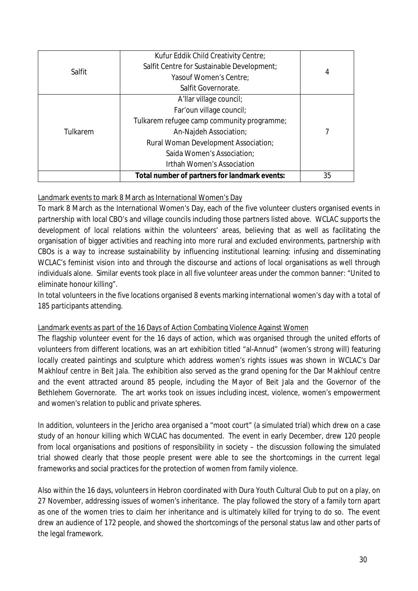|          | Irthah Women's Association<br>Total number of partners for landmark events: | 35 |
|----------|-----------------------------------------------------------------------------|----|
| Tulkarem | Saida Women's Association:                                                  |    |
|          | Rural Woman Development Association;                                        |    |
|          | An-Najdeh Association;                                                      |    |
|          | Tulkarem refugee camp community programme;                                  |    |
|          | Far'oun village council;                                                    |    |
|          | A'llar village council;                                                     |    |
|          | Salfit Governorate.                                                         |    |
| Salfit   | Yasouf Women's Centre;                                                      |    |
|          | Salfit Centre for Sustainable Development;                                  | 4  |
|          | Kufur Eddik Child Creativity Centre;                                        |    |

# Landmark events to mark 8 March as International Women's Day

To mark 8 March as the International Women's Day, each of the five volunteer clusters organised events in partnership with local CBO's and village councils including those partners listed above. WCLAC supports the development of local relations within the volunteers' areas, believing that as well as facilitating the organisation of bigger activities and reaching into more rural and excluded environments, partnership with CBOs is a way to increase sustainability by influencing institutional learning: infusing and disseminating WCLAC's feminist vision into and through the discourse and actions of local organisations as well through individuals alone. Similar events took place in all five volunteer areas under the common banner: "United to eliminate honour killing".

In total volunteers in the five locations organised 8 events marking international women's day with a total of 185 participants attending.

#### Landmark events as part of the 16 Days of Action Combating Violence Against Women

The flagship volunteer event for the 16 days of action, which was organised through the united efforts of volunteers from different locations, was an art exhibition titled "al-Annud" (women's strong will) featuring locally created paintings and sculpture which address women's rights issues was shown in WCLAC's Dar Makhlouf centre in Beit Jala. The exhibition also served as the grand opening for the Dar Makhlouf centre and the event attracted around 85 people, including the Mayor of Beit Jala and the Governor of the Bethlehem Governorate. The art works took on issues including incest, violence, women's empowerment and women's relation to public and private spheres.

In addition, volunteers in the Jericho area organised a "moot court" (a simulated trial) which drew on a case study of an honour killing which WCLAC has documented. The event in early December, drew 120 people from local organisations and positions of responsibility in society – the discussion following the simulated trial showed clearly that those people present were able to see the shortcomings in the current legal frameworks and social practices for the protection of women from family violence.

Also within the 16 days, volunteers in Hebron coordinated with Dura Youth Cultural Club to put on a play, on 27 November, addressing issues of women's inheritance. The play followed the story of a family torn apart as one of the women tries to claim her inheritance and is ultimately killed for trying to do so. The event drew an audience of 172 people, and showed the shortcomings of the personal status law and other parts of the legal framework.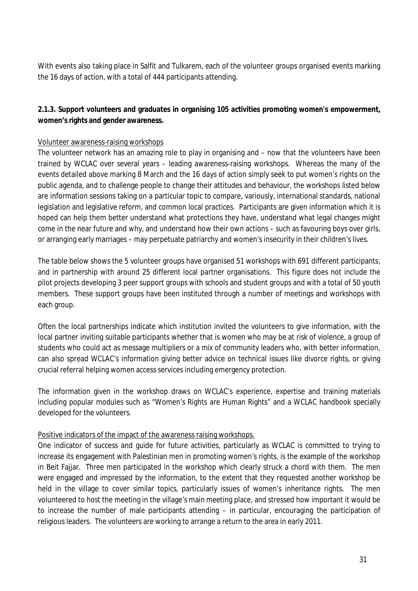With events also taking place in Salfit and Tulkarem, each of the volunteer groups organised events marking the 16 days of action, with a total of 444 participants attending.

# **2.1.3. Support volunteers and graduates in organising 105 activities promoting women's empowerment, women's rights and gender awareness.**

#### Volunteer awareness-raising workshops

The volunteer network has an amazing role to play in organising and – now that the volunteers have been trained by WCLAC over several years – leading awareness-raising workshops. Whereas the many of the events detailed above marking 8 March and the 16 days of action simply seek to put women's rights on the public agenda, and to challenge people to change their attitudes and behaviour, the workshops listed below are information sessions taking on a particular topic to compare, variously, international standards, national legislation and legislative reform, and common local practices. Participants are given information which it is hoped can help them better understand what protections they have, understand what legal changes might come in the near future and why, and understand how their own actions – such as favouring boys over girls, or arranging early marriages – may perpetuate patriarchy and women's insecurity in their children's lives.

The table below shows the 5 volunteer groups have organised 51 workshops with 691 different participants, and in partnership with around 25 different local partner organisations. This figure does not include the pilot projects developing 3 peer support groups with schools and student groups and with a total of 50 youth members. These support groups have been instituted through a number of meetings and workshops with each group.

Often the local partnerships indicate which institution invited the volunteers to give information, with the local partner inviting suitable participants whether that is women who may be at risk of violence, a group of students who could act as message multipliers or a mix of community leaders who, with better information, can also spread WCLAC's information giving better advice on technical issues like divorce rights, or giving crucial referral helping women access services including emergency protection.

The information given in the workshop draws on WCLAC's experience, expertise and training materials including popular modules such as "Women's Rights are Human Rights" and a WCLAC handbook specially developed for the volunteers.

### Positive indicators of the impact of the awareness raising workshops.

One indicator of success and guide for future activities, particularly as WCLAC is committed to trying to increase its engagement with Palestinian men in promoting women's rights, is the example of the workshop in Beit Fajjar. Three men participated in the workshop which clearly struck a chord with them. The men were engaged and impressed by the information, to the extent that they requested another workshop be held in the village to cover similar topics, particularly issues of women's inheritance rights. The men volunteered to host the meeting in the village's main meeting place, and stressed how important it would be to increase the number of male participants attending – in particular, encouraging the participation of religious leaders. The volunteers are working to arrange a return to the area in early 2011.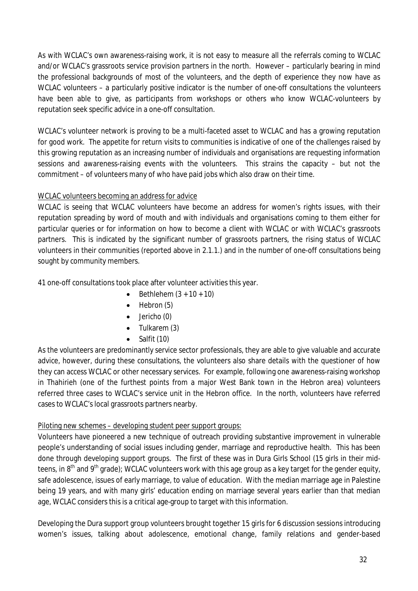As with WCLAC's own awareness-raising work, it is not easy to measure all the referrals coming to WCLAC and/or WCLAC's grassroots service provision partners in the north. However – particularly bearing in mind the professional backgrounds of most of the volunteers, and the depth of experience they now have as WCLAC volunteers – a particularly positive indicator is the number of one-off consultations the volunteers have been able to give, as participants from workshops or others who know WCLAC-volunteers by reputation seek specific advice in a one-off consultation.

WCLAC's volunteer network is proving to be a multi-faceted asset to WCLAC and has a growing reputation for good work. The appetite for return visits to communities is indicative of one of the challenges raised by this growing reputation as an increasing number of individuals and organisations are requesting information sessions and awareness-raising events with the volunteers. This strains the capacity – but not the commitment – of volunteers many of who have paid jobs which also draw on their time.

# WCLAC volunteers becoming an address for advice

WCLAC is seeing that WCLAC volunteers have become an address for women's rights issues, with their reputation spreading by word of mouth and with individuals and organisations coming to them either for particular queries or for information on how to become a client with WCLAC or with WCLAC's grassroots partners. This is indicated by the significant number of grassroots partners, the rising status of WCLAC volunteers in their communities (reported above in 2.1.1.) and in the number of one-off consultations being sought by community members.

41 one-off consultations took place after volunteer activities this year.

- $\bullet$  Bethlehem  $(3 + 10 + 10)$
- $\bullet$  Hebron  $(5)$
- $\bullet$  Jericho (0)
- Tulkarem (3)
- Salfit (10)

As the volunteers are predominantly service sector professionals, they are able to give valuable and accurate advice, however, during these consultations, the volunteers also share details with the questioner of how they can access WCLAC or other necessary services. For example, following one awareness-raising workshop in Thahirieh (one of the furthest points from a major West Bank town in the Hebron area) volunteers referred three cases to WCLAC's service unit in the Hebron office. In the north, volunteers have referred cases to WCLAC's local grassroots partners nearby.

# Piloting new schemes – developing student peer support groups:

Volunteers have pioneered a new technique of outreach providing substantive improvement in vulnerable people's understanding of social issues including gender, marriage and reproductive health. This has been done through developing support groups. The first of these was in Dura Girls School (15 girls in their midteens, in 8<sup>th</sup> and 9<sup>th</sup> grade); WCLAC volunteers work with this age group as a key target for the gender equity, safe adolescence, issues of early marriage, to value of education. With the median marriage age in Palestine being 19 years, and with many girls' education ending on marriage several years earlier than that median age, WCLAC considers this is a critical age-group to target with this information.

Developing the Dura support group volunteers brought together 15 girls for 6 discussion sessions introducing women's issues, talking about adolescence, emotional change, family relations and gender-based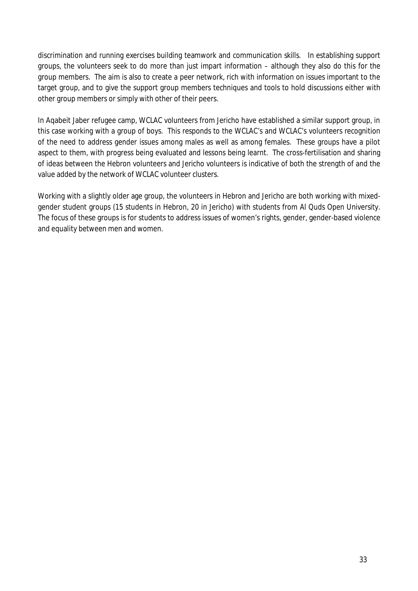discrimination and running exercises building teamwork and communication skills. In establishing support groups, the volunteers seek to do more than just impart information – although they also do this for the group members. The aim is also to create a peer network, rich with information on issues important to the target group, and to give the support group members techniques and tools to hold discussions either with other group members or simply with other of their peers.

In Aqabeit Jaber refugee camp, WCLAC volunteers from Jericho have established a similar support group, in this case working with a group of boys. This responds to the WCLAC's and WCLAC's volunteers recognition of the need to address gender issues among males as well as among females. These groups have a pilot aspect to them, with progress being evaluated and lessons being learnt. The cross-fertilisation and sharing of ideas between the Hebron volunteers and Jericho volunteers is indicative of both the strength of and the value added by the network of WCLAC volunteer clusters.

Working with a slightly older age group, the volunteers in Hebron and Jericho are both working with mixedgender student groups (15 students in Hebron, 20 in Jericho) with students from Al Quds Open University. The focus of these groups is for students to address issues of women's rights, gender, gender-based violence and equality between men and women.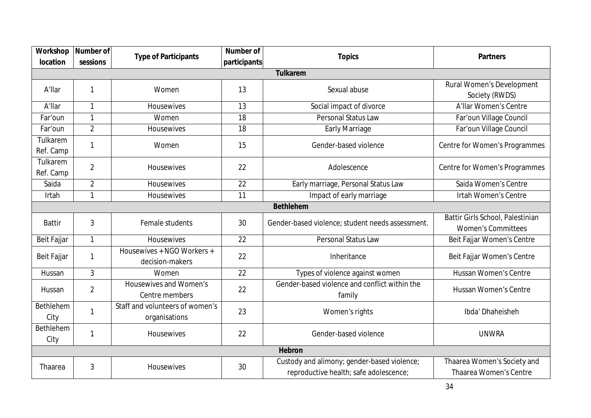| Workshop                     | <b>Number of</b> | <b>Type of Participants</b>                      | <b>Number of</b> | <b>Topics</b>                                                                         | <b>Partners</b>                                               |
|------------------------------|------------------|--------------------------------------------------|------------------|---------------------------------------------------------------------------------------|---------------------------------------------------------------|
| location                     | sessions         |                                                  | participants     |                                                                                       |                                                               |
|                              |                  |                                                  |                  | <b>Tulkarem</b>                                                                       |                                                               |
| A'llar                       |                  | Women                                            | 13               | Sexual abuse                                                                          | Rural Women's Development                                     |
|                              |                  |                                                  |                  |                                                                                       | Society (RWDS)                                                |
| A'llar                       | $\mathbf{1}$     | Housewives                                       | 13               | Social impact of divorce                                                              | A'llar Women's Centre                                         |
| Far'oun                      | 1                | Women                                            | 18               | Personal Status Law                                                                   | Far'oun Village Council                                       |
| Far'oun                      | $\overline{2}$   | Housewives                                       | 18               | <b>Early Marriage</b>                                                                 | Far'oun Village Council                                       |
| Tulkarem<br>Ref. Camp        |                  | Women                                            | 15               | Gender-based violence                                                                 | Centre for Women's Programmes                                 |
| <b>Tulkarem</b><br>Ref. Camp | $\overline{2}$   | <b>Housewives</b>                                | 22               | Adolescence                                                                           | Centre for Women's Programmes                                 |
| Saida                        | $\overline{2}$   | Housewives                                       | 22               | Early marriage, Personal Status Law                                                   | Saida Women's Centre                                          |
| Irtah                        | 1                | Housewives                                       | 11               | Impact of early marriage                                                              | <b>Irtah Women's Centre</b>                                   |
|                              |                  |                                                  |                  | <b>Bethlehem</b>                                                                      |                                                               |
| <b>Battir</b>                | 3                | Female students                                  | 30               | Gender-based violence; student needs assessment.                                      | Battir Girls School, Palestinian<br><b>Women's Committees</b> |
| Beit Fajjar                  | $\mathbf{1}$     | <b>Housewives</b>                                | 22               | Personal Status Law                                                                   | Beit Fajjar Women's Centre                                    |
| Beit Fajjar                  |                  | Housewives + NGO Workers +<br>decision-makers    | 22               | Inheritance                                                                           | Beit Fajjar Women's Centre                                    |
| Hussan                       | 3                | Women                                            | 22               | Types of violence against women                                                       | Hussan Women's Centre                                         |
| Hussan                       | $\overline{2}$   | Housewives and Women's<br>Centre members         | 22               | Gender-based violence and conflict within the<br>family                               | <b>Hussan Women's Centre</b>                                  |
| Bethlehem<br>City            |                  | Staff and volunteers of women's<br>organisations | 23               | Women's rights                                                                        | Ibda' Dhaheisheh                                              |
| Bethlehem<br>City            |                  | Housewives                                       | 22               | Gender-based violence                                                                 | <b>UNWRA</b>                                                  |
| <b>Hebron</b>                |                  |                                                  |                  |                                                                                       |                                                               |
| Thaarea                      | 3                | Housewives                                       | 30               | Custody and alimony; gender-based violence;<br>reproductive health; safe adolescence; | Thaarea Women's Society and<br><b>Thaarea Women's Centre</b>  |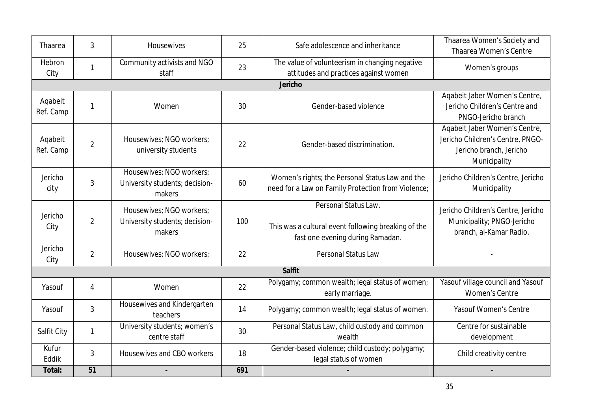| Thaarea     | 3              | Housewives                     | 25  | Safe adolescence and inheritance                    | Thaarea Women's Society and<br>Thaarea Women's Centre |
|-------------|----------------|--------------------------------|-----|-----------------------------------------------------|-------------------------------------------------------|
|             |                |                                |     |                                                     |                                                       |
| Hebron      | 1              | Community activists and NGO    | 23  | The value of volunteerism in changing negative      | Women's groups                                        |
| City        |                | staff                          |     | attitudes and practices against women               |                                                       |
|             |                |                                |     | Jericho                                             |                                                       |
| Aqabeit     |                |                                |     |                                                     | Aqabeit Jaber Women's Centre,                         |
| Ref. Camp   | $\mathbf{1}$   | Women                          | 30  | Gender-based violence                               | Jericho Children's Centre and                         |
|             |                |                                |     |                                                     | PNGO-Jericho branch                                   |
|             |                |                                |     |                                                     | Agabeit Jaber Women's Centre,                         |
| Aqabeit     |                | Housewives; NGO workers;       |     |                                                     | Jericho Children's Centre, PNGO-                      |
| Ref. Camp   | $\overline{2}$ | university students            | 22  | Gender-based discrimination.                        | Jericho branch, Jericho                               |
|             |                |                                |     |                                                     | Municipality                                          |
|             |                | Housewives; NGO workers;       |     |                                                     |                                                       |
| Jericho     | 3              | University students; decision- | 60  | Women's rights; the Personal Status Law and the     | Jericho Children's Centre, Jericho                    |
| city        |                | makers                         |     | need for a Law on Family Protection from Violence;  | Municipality                                          |
|             |                |                                |     | Personal Status Law.                                |                                                       |
| Jericho     |                | Housewives; NGO workers;       |     |                                                     | Jericho Children's Centre, Jericho                    |
|             | $\overline{2}$ | University students; decision- | 100 | This was a cultural event following breaking of the | Municipality; PNGO-Jericho                            |
| City        |                | makers                         |     |                                                     | branch, al-Kamar Radio.                               |
|             |                |                                |     | fast one evening during Ramadan.                    |                                                       |
| Jericho     | $\overline{2}$ | Housewives: NGO workers:       | 22  | Personal Status Law                                 |                                                       |
| City        |                |                                |     |                                                     |                                                       |
|             |                |                                |     | <b>Salfit</b>                                       |                                                       |
| Yasouf      | 4              | Women                          | 22  | Polygamy; common wealth; legal status of women;     | Yasouf village council and Yasouf                     |
|             |                |                                |     | early marriage.                                     | <b>Women's Centre</b>                                 |
| Yasouf      | $\overline{3}$ | Housewives and Kindergarten    | 14  | Polygamy; common wealth; legal status of women.     | Yasouf Women's Centre                                 |
|             |                | teachers                       |     |                                                     |                                                       |
|             |                | University students; women's   |     | Personal Status Law, child custody and common       | Centre for sustainable                                |
| Salfit City | 1              | centre staff                   | 30  | wealth                                              | development                                           |
| Kufur       |                |                                |     | Gender-based violence; child custody; polygamy;     |                                                       |
| Eddik       | $\overline{3}$ | Housewives and CBO workers     | 18  | legal status of women                               | Child creativity centre                               |
| Total:      | 51             |                                | 691 |                                                     |                                                       |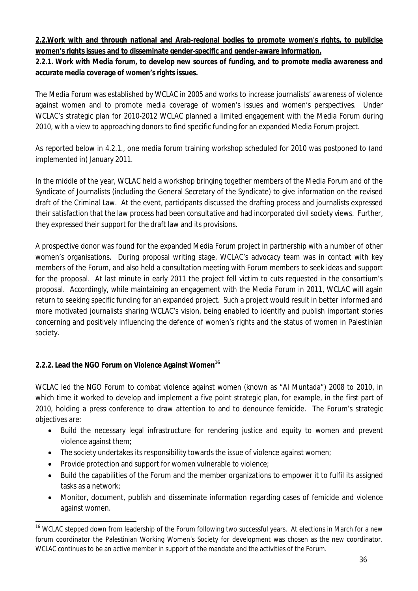# **2.2.Work with and through national and Arab-regional bodies to promote women's rights, to publicise women's rights issues and to disseminate gender-specific and gender-aware information.**

# **2.2.1. Work with Media forum, to develop new sources of funding, and to promote media awareness and accurate media coverage of women's rights issues.**

The Media Forum was established by WCLAC in 2005 and works to increase journalists' awareness of violence against women and to promote media coverage of women's issues and women's perspectives. Under WCLAC's strategic plan for 2010-2012 WCLAC planned a limited engagement with the Media Forum during 2010, with a view to approaching donors to find specific funding for an expanded Media Forum project.

As reported below in 4.2.1., one media forum training workshop scheduled for 2010 was postponed to (and implemented in) January 2011.

In the middle of the year, WCLAC held a workshop bringing together members of the Media Forum and of the Syndicate of Journalists (including the General Secretary of the Syndicate) to give information on the revised draft of the Criminal Law. At the event, participants discussed the drafting process and journalists expressed their satisfaction that the law process had been consultative and had incorporated civil society views. Further, they expressed their support for the draft law and its provisions.

A prospective donor was found for the expanded Media Forum project in partnership with a number of other women's organisations. During proposal writing stage, WCLAC's advocacy team was in contact with key members of the Forum, and also held a consultation meeting with Forum members to seek ideas and support for the proposal. At last minute in early 2011 the project fell victim to cuts requested in the consortium's proposal. Accordingly, while maintaining an engagement with the Media Forum in 2011, WCLAC will again return to seeking specific funding for an expanded project. Such a project would result in better informed and more motivated journalists sharing WCLAC's vision, being enabled to identify and publish important stories concerning and positively influencing the defence of women's rights and the status of women in Palestinian society.

# **2.2.2. Lead the NGO Forum on Violence Against Women<sup>16</sup>**

WCLAC led the NGO Forum to combat violence against women (known as "Al Muntada") 2008 to 2010, in which time it worked to develop and implement a five point strategic plan, for example, in the first part of 2010, holding a press conference to draw attention to and to denounce femicide. The Forum's strategic objectives are:

- Build the necessary legal infrastructure for rendering justice and equity to women and prevent violence against them;
- The society undertakes its responsibility towards the issue of violence against women;
- Provide protection and support for women vulnerable to violence;
- Build the capabilities of the Forum and the member organizations to empower it to fulfil its assigned tasks as a network;
- Monitor, document, publish and disseminate information regarding cases of femicide and violence against women.

 $\ddot{\phantom{a}}$ <sup>16</sup> WCLAC stepped down from leadership of the Forum following two successful years. At elections in March for a new forum coordinator the Palestinian Working Women's Society for development was chosen as the new coordinator. WCLAC continues to be an active member in support of the mandate and the activities of the Forum.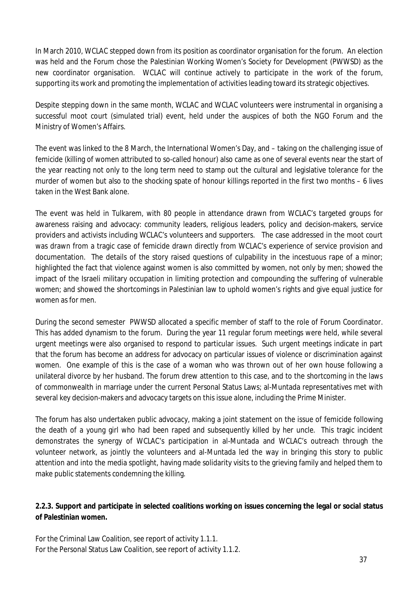In March 2010, WCLAC stepped down from its position as coordinator organisation for the forum. An election was held and the Forum chose the Palestinian Working Women's Society for Development (PWWSD) as the new coordinator organisation. WCLAC will continue actively to participate in the work of the forum, supporting its work and promoting the implementation of activities leading toward its strategic objectives.

Despite stepping down in the same month, WCLAC and WCLAC volunteers were instrumental in organising a successful moot court (simulated trial) event, held under the auspices of both the NGO Forum and the Ministry of Women's Affairs.

The event was linked to the 8 March, the International Women's Day, and – taking on the challenging issue of femicide (killing of women attributed to so-called honour) also came as one of several events near the start of the year reacting not only to the long term need to stamp out the cultural and legislative tolerance for the murder of women but also to the shocking spate of honour killings reported in the first two months – 6 lives taken in the West Bank alone.

The event was held in Tulkarem, with 80 people in attendance drawn from WCLAC's targeted groups for awareness raising and advocacy: community leaders, religious leaders, policy and decision-makers, service providers and activists including WCLAC's volunteers and supporters. The case addressed in the moot court was drawn from a tragic case of femicide drawn directly from WCLAC's experience of service provision and documentation. The details of the story raised questions of culpability in the incestuous rape of a minor; highlighted the fact that violence against women is also committed by women, not only by men; showed the impact of the Israeli military occupation in limiting protection and compounding the suffering of vulnerable women; and showed the shortcomings in Palestinian law to uphold women's rights and give equal justice for women as for men.

During the second semester PWWSD allocated a specific member of staff to the role of Forum Coordinator. This has added dynamism to the forum. During the year 11 regular forum meetings were held, while several urgent meetings were also organised to respond to particular issues. Such urgent meetings indicate in part that the forum has become an address for advocacy on particular issues of violence or discrimination against women. One example of this is the case of a woman who was thrown out of her own house following a unilateral divorce by her husband. The forum drew attention to this case, and to the shortcoming in the laws of commonwealth in marriage under the current Personal Status Laws; al-Muntada representatives met with several key decision-makers and advocacy targets on this issue alone, including the Prime Minister.

The forum has also undertaken public advocacy, making a joint statement on the issue of femicide following the death of a young girl who had been raped and subsequently killed by her uncle. This tragic incident demonstrates the synergy of WCLAC's participation in al-Muntada and WCLAC's outreach through the volunteer network, as jointly the volunteers and al-Muntada led the way in bringing this story to public attention and into the media spotlight, having made solidarity visits to the grieving family and helped them to make public statements condemning the killing.

## **2.2.3. Support and participate in selected coalitions working on issues concerning the legal or social status of Palestinian women.**

For the Criminal Law Coalition, see report of activity 1.1.1. For the Personal Status Law Coalition, see report of activity 1.1.2.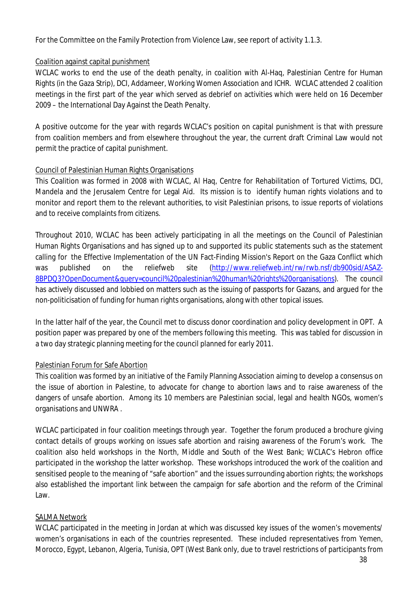For the Committee on the Family Protection from Violence Law, see report of activity 1.1.3.

## Coalition against capital punishment

WCLAC works to end the use of the death penalty, in coalition with Al-Haq, Palestinian Centre for Human Rights (in the Gaza Strip), DCI, Addameer, Working Women Association and ICHR. WCLAC attended 2 coalition meetings in the first part of the year which served as debrief on activities which were held on 16 December 2009 – the International Day Against the Death Penalty.

A positive outcome for the year with regards WCLAC's position on capital punishment is that with pressure from coalition members and from elsewhere throughout the year, the current draft Criminal Law would not permit the practice of capital punishment.

## Council of Palestinian Human Rights Organisations

This Coalition was formed in 2008 with WCLAC, Al Haq, Centre for Rehabilitation of Tortured Victims, DCI, Mandela and the Jerusalem Centre for Legal Aid. Its mission is to identify human rights violations and to monitor and report them to the relevant authorities, to visit Palestinian prisons, to issue reports of violations and to receive complaints from citizens.

Throughout 2010, WCLAC has been actively participating in all the meetings on the Council of Palestinian Human Rights Organisations and has signed up to and supported its public statements such as the statement calling for the Effective Implementation of the UN Fact-Finding Mission's Report on the Gaza Conflict which was published on the reliefweb site (http://www.reliefweb.int/rw/rwb.nsf/db900sid/ASAZ-8BPDQ3?OpenDocument&query=council%20palestinian%20human%20rights%20organisations). The council has actively discussed and lobbied on matters such as the issuing of passports for Gazans, and argued for the non-politicisation of funding for human rights organisations, along with other topical issues.

In the latter half of the year, the Council met to discuss donor coordination and policy development in OPT. A position paper was prepared by one of the members following this meeting. This was tabled for discussion in a two day strategic planning meeting for the council planned for early 2011.

# Palestinian Forum for Safe Abortion

This coalition was formed by an initiative of the Family Planning Association aiming to develop a consensus on the issue of abortion in Palestine, to advocate for change to abortion laws and to raise awareness of the dangers of unsafe abortion. Among its 10 members are Palestinian social, legal and health NGOs, women's organisations and UNWRA .

WCLAC participated in four coalition meetings through year. Together the forum produced a brochure giving contact details of groups working on issues safe abortion and raising awareness of the Forum's work. The coalition also held workshops in the North, Middle and South of the West Bank; WCLAC's Hebron office participated in the workshop the latter workshop. These workshops introduced the work of the coalition and sensitised people to the meaning of "safe abortion" and the issues surrounding abortion rights; the workshops also established the important link between the campaign for safe abortion and the reform of the Criminal Law.

## SALMA Network

WCLAC participated in the meeting in Jordan at which was discussed key issues of the women's movements/ women's organisations in each of the countries represented. These included representatives from Yemen, Morocco, Egypt, Lebanon, Algeria, Tunisia, OPT (West Bank only, due to travel restrictions of participants from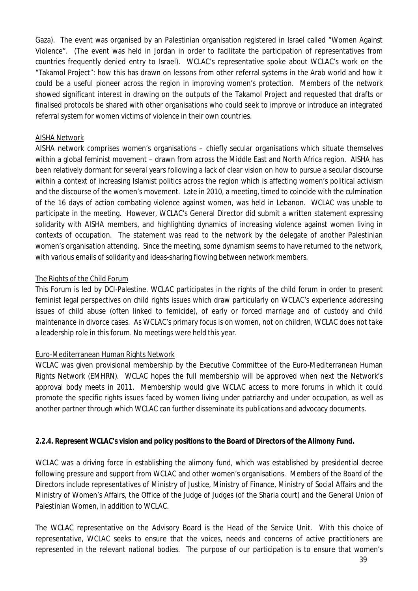Gaza). The event was organised by an Palestinian organisation registered in Israel called "Women Against Violence". (The event was held in Jordan in order to facilitate the participation of representatives from countries frequently denied entry to Israel). WCLAC's representative spoke about WCLAC's work on the "Takamol Project": how this has drawn on lessons from other referral systems in the Arab world and how it could be a useful pioneer across the region in improving women's protection. Members of the network showed significant interest in drawing on the outputs of the Takamol Project and requested that drafts or finalised protocols be shared with other organisations who could seek to improve or introduce an integrated referral system for women victims of violence in their own countries.

#### AISHA Network

AISHA network comprises women's organisations – chiefly secular organisations which situate themselves within a global feminist movement – drawn from across the Middle East and North Africa region. AISHA has been relatively dormant for several years following a lack of clear vision on how to pursue a secular discourse within a context of increasing Islamist politics across the region which is affecting women's political activism and the discourse of the women's movement. Late in 2010, a meeting, timed to coincide with the culmination of the 16 days of action combating violence against women, was held in Lebanon. WCLAC was unable to participate in the meeting. However, WCLAC's General Director did submit a written statement expressing solidarity with AISHA members, and highlighting dynamics of increasing violence against women living in contexts of occupation. The statement was read to the network by the delegate of another Palestinian women's organisation attending. Since the meeting, some dynamism seems to have returned to the network, with various emails of solidarity and ideas-sharing flowing between network members.

## The Rights of the Child Forum

This Forum is led by DCI-Palestine. WCLAC participates in the rights of the child forum in order to present feminist legal perspectives on child rights issues which draw particularly on WCLAC's experience addressing issues of child abuse (often linked to femicide), of early or forced marriage and of custody and child maintenance in divorce cases. As WCLAC's primary focus is on women, not on children, WCLAC does not take a leadership role in this forum. No meetings were held this year.

## Euro-Mediterranean Human Rights Network

WCLAC was given provisional membership by the Executive Committee of the Euro-Mediterranean Human Rights Network (EMHRN). WCLAC hopes the full membership will be approved when next the Network's approval body meets in 2011. Membership would give WCLAC access to more forums in which it could promote the specific rights issues faced by women living under patriarchy and under occupation, as well as another partner through which WCLAC can further disseminate its publications and advocacy documents.

#### **2.2.4. Represent WCLAC's vision and policy positions to the Board of Directors of the Alimony Fund.**

WCLAC was a driving force in establishing the alimony fund, which was established by presidential decree following pressure and support from WCLAC and other women's organisations. Members of the Board of the Directors include representatives of Ministry of Justice, Ministry of Finance, Ministry of Social Affairs and the Ministry of Women's Affairs, the Office of the Judge of Judges (of the Sharia court) and the General Union of Palestinian Women, in addition to WCLAC.

The WCLAC representative on the Advisory Board is the Head of the Service Unit. With this choice of representative, WCLAC seeks to ensure that the voices, needs and concerns of active practitioners are represented in the relevant national bodies. The purpose of our participation is to ensure that women's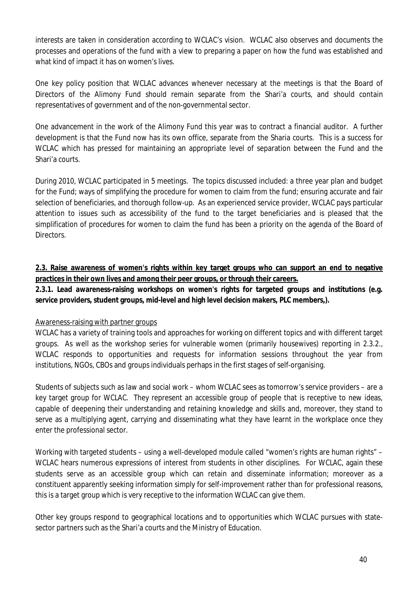interests are taken in consideration according to WCLAC's vision. WCLAC also observes and documents the processes and operations of the fund with a view to preparing a paper on how the fund was established and what kind of impact it has on women's lives.

One key policy position that WCLAC advances whenever necessary at the meetings is that the Board of Directors of the Alimony Fund should remain separate from the Shari'a courts, and should contain representatives of government and of the non-governmental sector.

One advancement in the work of the Alimony Fund this year was to contract a financial auditor. A further development is that the Fund now has its own office, separate from the Sharia courts. This is a success for WCLAC which has pressed for maintaining an appropriate level of separation between the Fund and the Shari'a courts.

During 2010, WCLAC participated in 5 meetings. The topics discussed included: a three year plan and budget for the Fund; ways of simplifying the procedure for women to claim from the fund; ensuring accurate and fair selection of beneficiaries, and thorough follow-up. As an experienced service provider, WCLAC pays particular attention to issues such as accessibility of the fund to the target beneficiaries and is pleased that the simplification of procedures for women to claim the fund has been a priority on the agenda of the Board of **Directors** 

# **2.3. Raise awareness of women's rights within key target groups who can support an end to negative practices in their own lives and among their peer groups, or through their careers.**

**2.3.1. Lead awareness-raising workshops on women's rights for targeted groups and institutions (e.g. service providers, student groups, mid-level and high level decision makers, PLC members,).**

## Awareness-raising with partner groups

WCLAC has a variety of training tools and approaches for working on different topics and with different target groups. As well as the workshop series for vulnerable women (primarily housewives) reporting in 2.3.2., WCLAC responds to opportunities and requests for information sessions throughout the year from institutions, NGOs, CBOs and groups individuals perhaps in the first stages of self-organising.

Students of subjects such as law and social work – whom WCLAC sees as tomorrow's service providers – are a key target group for WCLAC. They represent an accessible group of people that is receptive to new ideas, capable of deepening their understanding and retaining knowledge and skills and, moreover, they stand to serve as a multiplying agent, carrying and disseminating what they have learnt in the workplace once they enter the professional sector.

Working with targeted students – using a well-developed module called "women's rights are human rights" – WCLAC hears numerous expressions of interest from students in other disciplines. For WCLAC, again these students serve as an accessible group which can retain and disseminate information; moreover as a constituent apparently seeking information simply for self-improvement rather than for professional reasons, this is a target group which is very receptive to the information WCLAC can give them.

Other key groups respond to geographical locations and to opportunities which WCLAC pursues with statesector partners such as the Shari'a courts and the Ministry of Education.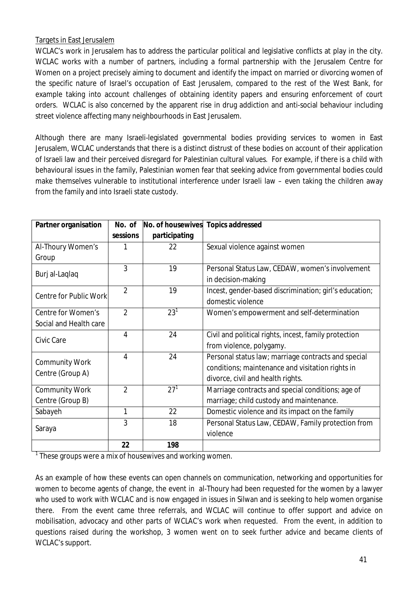## Targets in East Jerusalem

WCLAC's work in Jerusalem has to address the particular political and legislative conflicts at play in the city. WCLAC works with a number of partners, including a formal partnership with the Jerusalem Centre for Women on a project precisely aiming to document and identify the impact on married or divorcing women of the specific nature of Israel's occupation of East Jerusalem, compared to the rest of the West Bank, for example taking into account challenges of obtaining identity papers and ensuring enforcement of court orders. WCLAC is also concerned by the apparent rise in drug addiction and anti-social behaviour including street violence affecting many neighbourhoods in East Jerusalem.

Although there are many Israeli-legislated governmental bodies providing services to women in East Jerusalem, WCLAC understands that there is a distinct distrust of these bodies on account of their application of Israeli law and their perceived disregard for Palestinian cultural values. For example, if there is a child with behavioural issues in the family, Palestinian women fear that seeking advice from governmental bodies could make themselves vulnerable to institutional interference under Israeli law – even taking the children away from the family and into Israeli state custody.

| <b>Partner organisation</b> | No. of         | No. of housewives | <b>Topics addressed</b>                                |
|-----------------------------|----------------|-------------------|--------------------------------------------------------|
|                             | sessions       | participating     |                                                        |
| Al-Thoury Women's           |                | 22                | Sexual violence against women                          |
| Group                       |                |                   |                                                        |
|                             | 3              | 19                | Personal Status Law, CEDAW, women's involvement        |
| Burj al-Laqlaq              |                |                   | in decision-making                                     |
| Centre for Public Work      | $\overline{2}$ | 19                | Incest, gender-based discrimination; girl's education; |
|                             |                |                   | domestic violence                                      |
| Centre for Women's          | $\overline{2}$ | $23^{1}$          | Women's empowerment and self-determination             |
| Social and Health care      |                |                   |                                                        |
| Civic Care                  | 4              | 24                | Civil and political rights, incest, family protection  |
|                             |                |                   | from violence, polygamy.                               |
| <b>Community Work</b>       | 4              | 24                | Personal status law; marriage contracts and special    |
| Centre (Group A)            |                |                   | conditions; maintenance and visitation rights in       |
|                             |                |                   | divorce, civil and health rights.                      |
| <b>Community Work</b>       | $\overline{2}$ | $27^{1}$          | Marriage contracts and special conditions; age of      |
| Centre (Group B)            |                |                   | marriage; child custody and maintenance.               |
| Sabayeh                     | 1              | 22                | Domestic violence and its impact on the family         |
|                             | 3              | 18                | Personal Status Law, CEDAW, Family protection from     |
| Saraya                      |                |                   | violence                                               |
|                             | 22             | 198               |                                                        |

 $1$  These groups were a mix of housewives and working women.

As an example of how these events can open channels on communication, networking and opportunities for women to become agents of change, the event in al-Thoury had been requested for the women by a lawyer who used to work with WCLAC and is now engaged in issues in Silwan and is seeking to help women organise there. From the event came three referrals, and WCLAC will continue to offer support and advice on mobilisation, advocacy and other parts of WCLAC's work when requested. From the event, in addition to questions raised during the workshop, 3 women went on to seek further advice and became clients of WCLAC's support.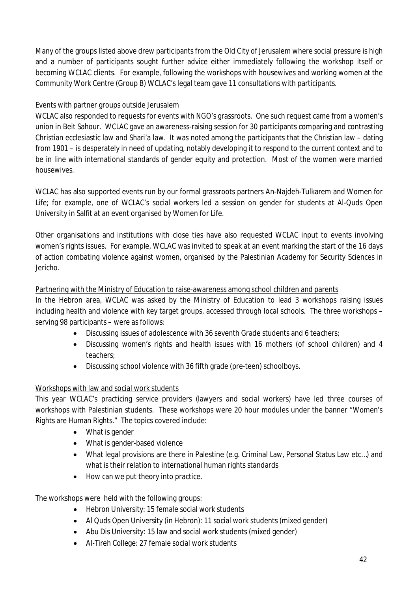Many of the groups listed above drew participants from the Old City of Jerusalem where social pressure is high and a number of participants sought further advice either immediately following the workshop itself or becoming WCLAC clients. For example, following the workshops with housewives and working women at the Community Work Centre (Group B) WCLAC's legal team gave 11 consultations with participants.

## Events with partner groups outside Jerusalem

WCLAC also responded to requests for events with NGO's grassroots. One such request came from a women's union in Beit Sahour. WCLAC gave an awareness-raising session for 30 participants comparing and contrasting Christian ecclesiastic law and Shari'a law. It was noted among the participants that the Christian law – dating from 1901 – is desperately in need of updating, notably developing it to respond to the current context and to be in line with international standards of gender equity and protection. Most of the women were married housewives.

WCLAC has also supported events run by our formal grassroots partners An-Najdeh-Tulkarem and Women for Life; for example, one of WCLAC's social workers led a session on gender for students at Al-Quds Open University in Salfit at an event organised by Women for Life.

Other organisations and institutions with close ties have also requested WCLAC input to events involving women's rights issues. For example, WCLAC was invited to speak at an event marking the start of the 16 days of action combating violence against women, organised by the Palestinian Academy for Security Sciences in Jericho.

## Partnering with the Ministry of Education to raise-awareness among school children and parents

In the Hebron area, WCLAC was asked by the Ministry of Education to lead 3 workshops raising issues including health and violence with key target groups, accessed through local schools. The three workshops – serving 98 participants – were as follows:

- Discussing issues of adolescence with 36 seventh Grade students and 6 teachers;
- Discussing women's rights and health issues with 16 mothers (of school children) and 4 teachers;
- Discussing school violence with 36 fifth grade (pre-teen) schoolboys.

# Workshops with law and social work students

This year WCLAC's practicing service providers (lawyers and social workers) have led three courses of workshops with Palestinian students. These workshops were 20 hour modules under the banner "Women's Rights are Human Rights." The topics covered include:

- What is gender
- What is gender-based violence
- What legal provisions are there in Palestine (e.g. Criminal Law, Personal Status Law etc…) and what is their relation to international human rights standards
- How can we put theory into practice.

The workshops were held with the following groups:

- Hebron University: 15 female social work students
- Al Quds Open University (in Hebron): 11 social work students (mixed gender)
- Abu Dis University: 15 law and social work students (mixed gender)
- Al-Tireh College: 27 female social work students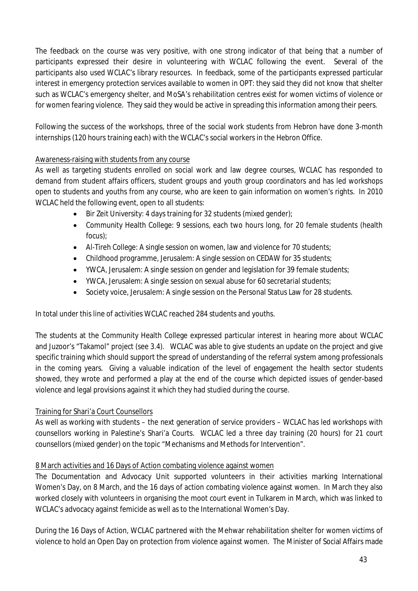The feedback on the course was very positive, with one strong indicator of that being that a number of participants expressed their desire in volunteering with WCLAC following the event. Several of the participants also used WCLAC's library resources. In feedback, some of the participants expressed particular interest in emergency protection services available to women in OPT: they said they did not know that shelter such as WCLAC's emergency shelter, and MoSA's rehabilitation centres exist for women victims of violence or for women fearing violence. They said they would be active in spreading this information among their peers.

Following the success of the workshops, three of the social work students from Hebron have done 3-month internships (120 hours training each) with the WCLAC's social workers in the Hebron Office.

## Awareness-raising with students from any course

As well as targeting students enrolled on social work and law degree courses, WCLAC has responded to demand from student affairs officers, student groups and youth group coordinators and has led workshops open to students and youths from any course, who are keen to gain information on women's rights. In 2010 WCLAC held the following event, open to all students:

- Bir Zeit University: 4 days training for 32 students (mixed gender);
- Community Health College: 9 sessions, each two hours long, for 20 female students (health focus);
- Al-Tireh College: A single session on women, law and violence for 70 students;
- Childhood programme, Jerusalem: A single session on CEDAW for 35 students;
- YWCA, Jerusalem: A single session on gender and legislation for 39 female students;
- YWCA, Jerusalem: A single session on sexual abuse for 60 secretarial students;
- Society voice, Jerusalem: A single session on the Personal Status Law for 28 students.

In total under this line of activities WCLAC reached 284 students and youths.

The students at the Community Health College expressed particular interest in hearing more about WCLAC and Juzoor's "Takamol" project (see 3.4). WCLAC was able to give students an update on the project and give specific training which should support the spread of understanding of the referral system among professionals in the coming years. Giving a valuable indication of the level of engagement the health sector students showed, they wrote and performed a play at the end of the course which depicted issues of gender-based violence and legal provisions against it which they had studied during the course.

# Training for Shari'a Court Counsellors

As well as working with students – the next generation of service providers – WCLAC has led workshops with counsellors working in Palestine's Shari'a Courts. WCLAC led a three day training (20 hours) for 21 court counsellors (mixed gender) on the topic "Mechanisms and Methods for Intervention".

# 8 March activities and 16 Days of Action combating violence against women

The Documentation and Advocacy Unit supported volunteers in their activities marking International Women's Day, on 8 March, and the 16 days of action combating violence against women. In March they also worked closely with volunteers in organising the moot court event in Tulkarem in March, which was linked to WCLAC's advocacy against femicide as well as to the International Women's Day.

During the 16 Days of Action, WCLAC partnered with the Mehwar rehabilitation shelter for women victims of violence to hold an Open Day on protection from violence against women. The Minister of Social Affairs made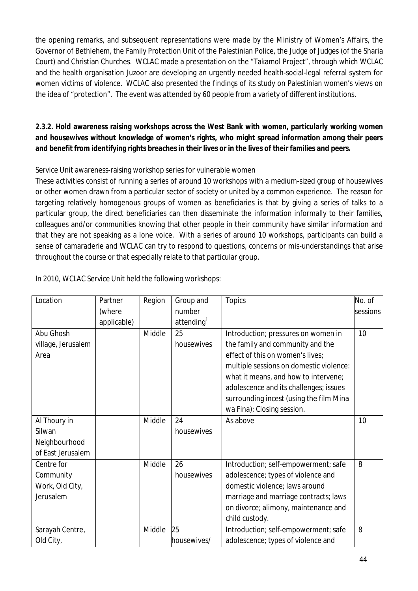the opening remarks, and subsequent representations were made by the Ministry of Women's Affairs, the Governor of Bethlehem, the Family Protection Unit of the Palestinian Police, the Judge of Judges (of the Sharia Court) and Christian Churches. WCLAC made a presentation on the "Takamol Project", through which WCLAC and the health organisation Juzoor are developing an urgently needed health-social-legal referral system for women victims of violence. WCLAC also presented the findings of its study on Palestinian women's views on the idea of "protection". The event was attended by 60 people from a variety of different institutions.

# **2.3.2. Hold awareness raising workshops across the West Bank with women, particularly working women and housewives without knowledge of women's rights, who might spread information among their peers and benefit from identifying rights breaches in their lives or in the lives of their families and peers.**

# Service Unit awareness-raising workshop series for vulnerable women

These activities consist of running a series of around 10 workshops with a medium-sized group of housewives or other women drawn from a particular sector of society or united by a common experience. The reason for targeting relatively homogenous groups of women as beneficiaries is that by giving a series of talks to a particular group, the direct beneficiaries can then disseminate the information informally to their families, colleagues and/or communities knowing that other people in their community have similar information and that they are not speaking as a lone voice. With a series of around 10 workshops, participants can build a sense of camaraderie and WCLAC can try to respond to questions, concerns or mis-understandings that arise throughout the course or that especially relate to that particular group.

| Location           | Partner     | Region | Group and              | <b>Topics</b>                           | No. of   |
|--------------------|-------------|--------|------------------------|-----------------------------------------|----------|
|                    | (where      |        | number                 |                                         | sessions |
|                    | applicable) |        | attending <sup>1</sup> |                                         |          |
| Abu Ghosh          |             | Middle | 25                     | Introduction; pressures on women in     | 10       |
| village, Jerusalem |             |        | housewives             | the family and community and the        |          |
| Area               |             |        |                        | effect of this on women's lives;        |          |
|                    |             |        |                        | multiple sessions on domestic violence: |          |
|                    |             |        |                        | what it means, and how to intervene;    |          |
|                    |             |        |                        | adolescence and its challenges; issues  |          |
|                    |             |        |                        | surrounding incest (using the film Mina |          |
|                    |             |        |                        | wa Fina); Closing session.              |          |
| Al Thoury in       |             | Middle | 24                     | As above                                | 10       |
| Silwan             |             |        | housewives             |                                         |          |
| Neighbourhood      |             |        |                        |                                         |          |
| of East Jerusalem  |             |        |                        |                                         |          |
| Centre for         |             | Middle | 26                     | Introduction; self-empowerment; safe    | 8        |
| Community          |             |        | housewives             | adolescence; types of violence and      |          |
| Work, Old City,    |             |        |                        | domestic violence; laws around          |          |
| Jerusalem          |             |        |                        | marriage and marriage contracts; laws   |          |
|                    |             |        |                        | on divorce; alimony, maintenance and    |          |
|                    |             |        |                        | child custody.                          |          |
| Sarayah Centre,    |             | Middle | 25                     | Introduction; self-empowerment; safe    | 8        |
| Old City,          |             |        | housewives/            | adolescence; types of violence and      |          |

In 2010, WCLAC Service Unit held the following workshops: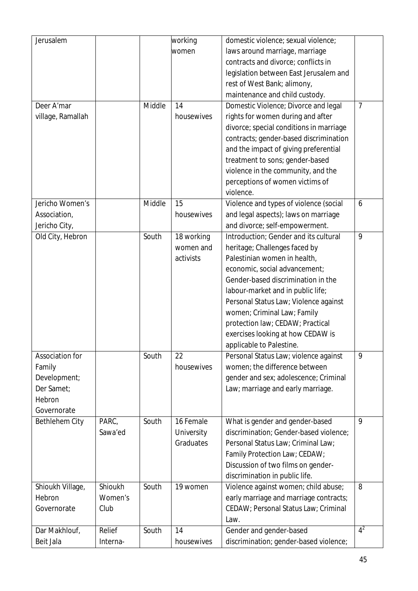| Jerusalem         |          |        | working    | domestic violence; sexual violence;     |                |
|-------------------|----------|--------|------------|-----------------------------------------|----------------|
|                   |          |        | women      | laws around marriage, marriage          |                |
|                   |          |        |            | contracts and divorce; conflicts in     |                |
|                   |          |        |            | legislation between East Jerusalem and  |                |
|                   |          |        |            | rest of West Bank; alimony,             |                |
|                   |          |        |            | maintenance and child custody.          |                |
| Deer A'mar        |          | Middle | 14         | Domestic Violence; Divorce and legal    | $\overline{7}$ |
| village, Ramallah |          |        | housewives | rights for women during and after       |                |
|                   |          |        |            | divorce; special conditions in marriage |                |
|                   |          |        |            | contracts; gender-based discrimination  |                |
|                   |          |        |            | and the impact of giving preferential   |                |
|                   |          |        |            | treatment to sons; gender-based         |                |
|                   |          |        |            | violence in the community, and the      |                |
|                   |          |        |            | perceptions of women victims of         |                |
|                   |          |        |            | violence.                               |                |
| Jericho Women's   |          | Middle | 15         | Violence and types of violence (social  | 6              |
|                   |          |        |            |                                         |                |
| Association,      |          |        | housewives | and legal aspects); laws on marriage    |                |
| Jericho City,     |          |        |            | and divorce; self-empowerment.          |                |
| Old City, Hebron  |          | South  | 18 working | Introduction; Gender and its cultural   | 9              |
|                   |          |        | women and  | heritage; Challenges faced by           |                |
|                   |          |        | activists  | Palestinian women in health,            |                |
|                   |          |        |            | economic, social advancement;           |                |
|                   |          |        |            | Gender-based discrimination in the      |                |
|                   |          |        |            | labour-market and in public life;       |                |
|                   |          |        |            | Personal Status Law; Violence against   |                |
|                   |          |        |            | women; Criminal Law; Family             |                |
|                   |          |        |            | protection law; CEDAW; Practical        |                |
|                   |          |        |            | exercises looking at how CEDAW is       |                |
|                   |          |        |            | applicable to Palestine.                |                |
| Association for   |          | South  | 22         | Personal Status Law; violence against   | 9              |
| Family            |          |        | housewives | women; the difference between           |                |
| Development;      |          |        |            | gender and sex; adolescence; Criminal   |                |
| Der Samet;        |          |        |            | Law; marriage and early marriage.       |                |
| Hebron            |          |        |            |                                         |                |
| Governorate       |          |        |            |                                         |                |
| Bethlehem City    | PARC,    | South  | 16 Female  | What is gender and gender-based         | 9              |
|                   | Sawa'ed  |        | University | discrimination; Gender-based violence;  |                |
|                   |          |        | Graduates  | Personal Status Law; Criminal Law;      |                |
|                   |          |        |            | Family Protection Law; CEDAW;           |                |
|                   |          |        |            | Discussion of two films on gender-      |                |
|                   |          |        |            | discrimination in public life.          |                |
| Shioukh Village,  | Shioukh  | South  | 19 women   | Violence against women; child abuse;    | 8              |
| Hebron            | Women's  |        |            | early marriage and marriage contracts;  |                |
| Governorate       | Club     |        |            | CEDAW; Personal Status Law; Criminal    |                |
|                   |          |        |            | Law.                                    |                |
| Dar Makhlouf,     | Relief   | South  | 14         | Gender and gender-based                 | $4^2$          |
| Beit Jala         | Interna- |        | housewives | discrimination; gender-based violence;  |                |
|                   |          |        |            |                                         |                |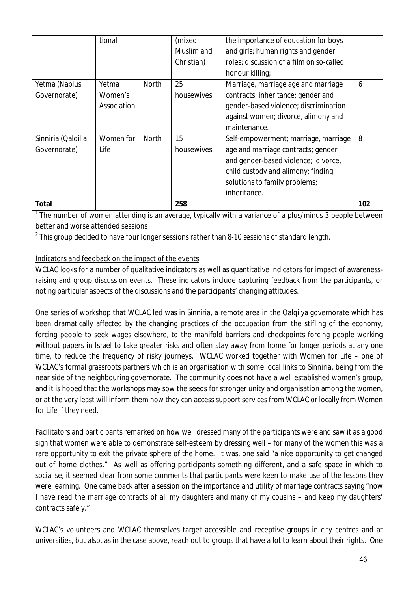|                    | tional      |              | (mixed     | the importance of education for boys     |     |
|--------------------|-------------|--------------|------------|------------------------------------------|-----|
|                    |             |              | Muslim and | and girls; human rights and gender       |     |
|                    |             |              | Christian) | roles; discussion of a film on so-called |     |
|                    |             |              |            | honour killing;                          |     |
| Yetma (Nablus      | Yetma       | <b>North</b> | 25         | Marriage, marriage age and marriage      | 6   |
| Governorate)       | Women's     |              | housewives | contracts; inheritance; gender and       |     |
|                    | Association |              |            | gender-based violence; discrimination    |     |
|                    |             |              |            | against women; divorce, alimony and      |     |
|                    |             |              |            | maintenance.                             |     |
| Sinniria (Qalqilia | Women for   | North        | 15         | Self-empowerment; marriage, marriage     | 8   |
| Governorate)       | Life        |              | housewives | age and marriage contracts; gender       |     |
|                    |             |              |            | and gender-based violence; divorce,      |     |
|                    |             |              |            | child custody and alimony; finding       |     |
|                    |             |              |            | solutions to family problems;            |     |
|                    |             |              |            | inheritance.                             |     |
| <b>Total</b>       |             |              | 258        |                                          | 102 |

<sup>1</sup> The number of women attending is an average, typically with a variance of a plus/minus 3 people between better and worse attended sessions

 $^2$  This group decided to have four longer sessions rather than 8-10 sessions of standard length.

# Indicators and feedback on the impact of the events

WCLAC looks for a number of qualitative indicators as well as quantitative indicators for impact of awarenessraising and group discussion events. These indicators include capturing feedback from the participants, or noting particular aspects of the discussions and the participants' changing attitudes.

One series of workshop that WCLAC led was in Sinniria, a remote area in the Qalqilya governorate which has been dramatically affected by the changing practices of the occupation from the stifling of the economy, forcing people to seek wages elsewhere, to the manifold barriers and checkpoints forcing people working without papers in Israel to take greater risks and often stay away from home for longer periods at any one time, to reduce the frequency of risky journeys. WCLAC worked together with Women for Life – one of WCLAC's formal grassroots partners which is an organisation with some local links to Sinniria, being from the near side of the neighbouring governorate. The community does not have a well established women's group, and it is hoped that the workshops may sow the seeds for stronger unity and organisation among the women, or at the very least will inform them how they can access support services from WCLAC or locally from Women for Life if they need.

Facilitators and participants remarked on how well dressed many of the participants were and saw it as a good sign that women were able to demonstrate self-esteem by dressing well – for many of the women this was a rare opportunity to exit the private sphere of the home. It was, one said "a nice opportunity to get changed out of home clothes." As well as offering participants something different, and a safe space in which to socialise, it seemed clear from some comments that participants were keen to make use of the lessons they were learning. One came back after a session on the importance and utility of marriage contracts saying "now I have read the marriage contracts of all my daughters and many of my cousins – and keep my daughters' contracts safely."

WCLAC's volunteers and WCLAC themselves target accessible and receptive groups in city centres and at universities, but also, as in the case above, reach out to groups that have a lot to learn about their rights. One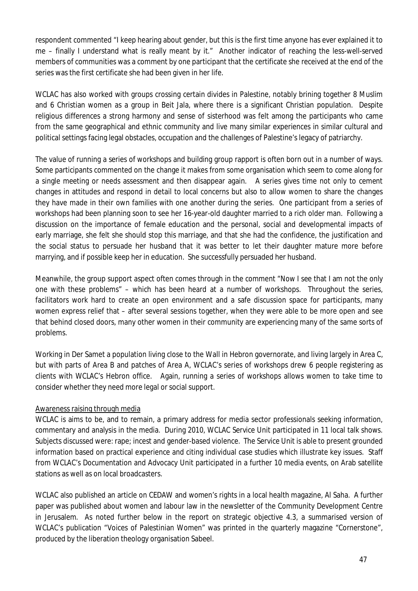respondent commented "I keep hearing about gender, but this is the first time anyone has ever explained it to me – finally I understand what is really meant by it." Another indicator of reaching the less-well-served members of communities was a comment by one participant that the certificate she received at the end of the series was the first certificate she had been given in her life.

WCLAC has also worked with groups crossing certain divides in Palestine, notably brining together 8 Muslim and 6 Christian women as a group in Beit Jala, where there is a significant Christian population. Despite religious differences a strong harmony and sense of sisterhood was felt among the participants who came from the same geographical and ethnic community and live many similar experiences in similar cultural and political settings facing legal obstacles, occupation and the challenges of Palestine's legacy of patriarchy.

The value of running a series of workshops and building group rapport is often born out in a number of ways. Some participants commented on the change it makes from some organisation which seem to come along for a single meeting or needs assessment and then disappear again. A series gives time not only to cement changes in attitudes and respond in detail to local concerns but also to allow women to share the changes they have made in their own families with one another during the series. One participant from a series of workshops had been planning soon to see her 16-year-old daughter married to a rich older man. Following a discussion on the importance of female education and the personal, social and developmental impacts of early marriage, she felt she should stop this marriage, and that she had the confidence, the justification and the social status to persuade her husband that it was better to let their daughter mature more before marrying, and if possible keep her in education. She successfully persuaded her husband.

Meanwhile, the group support aspect often comes through in the comment "Now I see that I am not the only one with these problems" – which has been heard at a number of workshops. Throughout the series, facilitators work hard to create an open environment and a safe discussion space for participants, many women express relief that – after several sessions together, when they were able to be more open and see that behind closed doors, many other women in their community are experiencing many of the same sorts of problems.

Working in Der Samet a population living close to the Wall in Hebron governorate, and living largely in Area C, but with parts of Area B and patches of Area A, WCLAC's series of workshops drew 6 people registering as clients with WCLAC's Hebron office. Again, running a series of workshops allows women to take time to consider whether they need more legal or social support.

# Awareness raising through media

WCLAC is aims to be, and to remain, a primary address for media sector professionals seeking information, commentary and analysis in the media. During 2010, WCLAC Service Unit participated in 11 local talk shows. Subjects discussed were: rape; incest and gender-based violence. The Service Unit is able to present grounded information based on practical experience and citing individual case studies which illustrate key issues. Staff from WCLAC's Documentation and Advocacy Unit participated in a further 10 media events, on Arab satellite stations as well as on local broadcasters.

WCLAC also published an article on CEDAW and women's rights in a local health magazine, Al Saha. A further paper was published about women and labour law in the newsletter of the Community Development Centre in Jerusalem. As noted further below in the report on strategic objective 4.3, a summarised version of WCLAC's publication "Voices of Palestinian Women" was printed in the quarterly magazine "Cornerstone", produced by the liberation theology organisation Sabeel.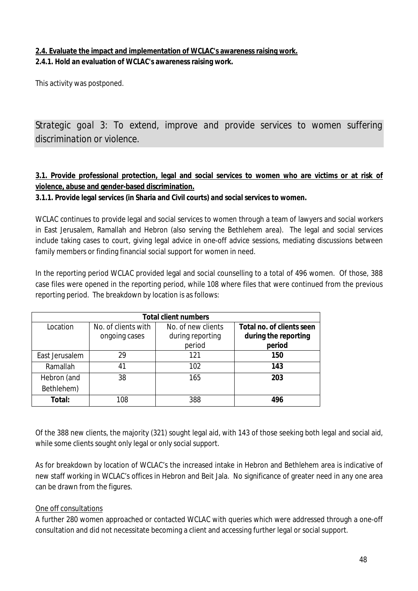# **2.4. Evaluate the impact and implementation of WCLAC's awareness raising work. 2.4.1. Hold an evaluation of WCLAC's awareness raising work.**

This activity was postponed.

*Strategic goal 3: To extend, improve and provide services to women suffering discrimination or violence.*

# **3.1. Provide professional protection, legal and social services to women who are victims or at risk of violence, abuse and gender-based discrimination.**

**3.1.1. Provide legal services (in Sharia and Civil courts) and social services to women.**

WCLAC continues to provide legal and social services to women through a team of lawyers and social workers in East Jerusalem, Ramallah and Hebron (also serving the Bethlehem area). The legal and social services include taking cases to court, giving legal advice in one-off advice sessions, mediating discussions between family members or finding financial social support for women in need.

In the reporting period WCLAC provided legal and social counselling to a total of 496 women. Of those, 388 case files were opened in the reporting period, while 108 where files that were continued from the previous reporting period. The breakdown by location is as follows:

| <b>Total client numbers</b> |                                      |                                                  |                                                             |  |
|-----------------------------|--------------------------------------|--------------------------------------------------|-------------------------------------------------------------|--|
| Location                    | No. of clients with<br>ongoing cases | No. of new clients<br>during reporting<br>period | Total no. of clients seen<br>during the reporting<br>period |  |
| East Jerusalem              | 29                                   | 121                                              | 150                                                         |  |
| Ramallah                    | 41                                   | 102                                              | 143                                                         |  |
| Hebron (and<br>Bethlehem)   | 38                                   | 165                                              | 203                                                         |  |
| Total:                      | 108                                  | 388                                              | 496                                                         |  |

Of the 388 new clients, the majority (321) sought legal aid, with 143 of those seeking both legal and social aid, while some clients sought only legal or only social support.

As for breakdown by location of WCLAC's the increased intake in Hebron and Bethlehem area is indicative of new staff working in WCLAC's offices in Hebron and Beit Jala. No significance of greater need in any one area can be drawn from the figures.

## One off consultations

A further 280 women approached or contacted WCLAC with queries which were addressed through a one-off consultation and did not necessitate becoming a client and accessing further legal or social support.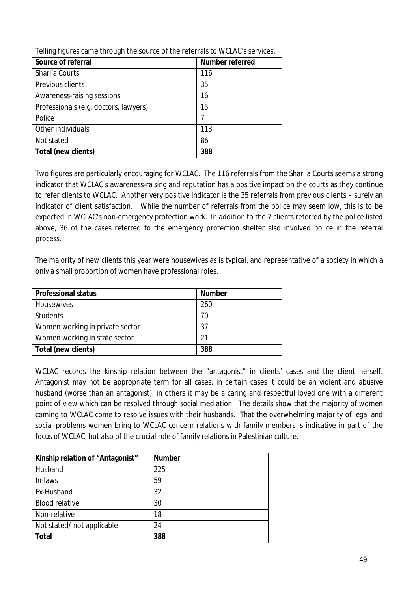| Source of referral                    | <b>Number referred</b> |
|---------------------------------------|------------------------|
| Shari'a Courts                        | 116                    |
| Previous clients                      | 35                     |
| Awareness-raising sessions            | 16                     |
| Professionals (e.g. doctors, lawyers) | 15                     |
| Police                                |                        |
| Other individuals                     | 113                    |
| Not stated                            | 86                     |
| Total (new clients)                   | 388                    |

Telling figures came through the source of the referrals to WCLAC's services.

Two figures are particularly encouraging for WCLAC. The 116 referrals from the Shari'a Courts seems a strong indicator that WCLAC's awareness-raising and reputation has a positive impact on the courts as they continue to refer clients to WCLAC. Another very positive indicator is the 35 referrals from previous clients – surely an indicator of client satisfaction. While the number of referrals from the police may seem low, this is to be expected in WCLAC's non-emergency protection work. In addition to the 7 clients referred by the police listed above, 36 of the cases referred to the emergency protection shelter also involved police in the referral process.

The majority of new clients this year were housewives as is typical, and representative of a society in which a only a small proportion of women have professional roles.

| <b>Professional status</b>      | <b>Number</b> |
|---------------------------------|---------------|
| Housewives                      | 260           |
| <b>Students</b>                 | 70            |
| Women working in private sector | 37            |
| Women working in state sector   | 21            |
| Total (new clients)             | 388           |

WCLAC records the kinship relation between the "antagonist" in clients' cases and the client herself. Antagonist may not be appropriate term for all cases: in certain cases it could be an violent and abusive husband (worse than an antagonist), in others it may be a caring and respectful loved one with a different point of view which can be resolved through social mediation. The details show that the majority of women coming to WCLAC come to resolve issues with their husbands. That the overwhelming majority of legal and social problems women bring to WCLAC concern relations with family members is indicative in part of the focus of WCLAC, but also of the crucial role of family relations in Palestinian culture.

| Kinship relation of "Antagonist" | <b>Number</b> |
|----------------------------------|---------------|
| Husband                          | 225           |
| In-laws                          | 59            |
| Ex-Husband                       | 32            |
| <b>Blood relative</b>            | 30            |
| Non-relative                     | 18            |
| Not stated/not applicable        | 24            |
| <b>Total</b>                     | 388           |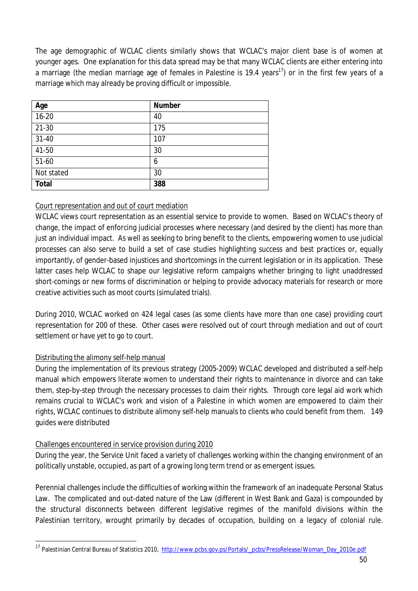The age demographic of WCLAC clients similarly shows that WCLAC's major client base is of women at younger ages. One explanation for this data spread may be that many WCLAC clients are either entering into a marriage (the median marriage age of females in Palestine is 19.4 years<sup>17</sup>) or in the first few years of a marriage which may already be proving difficult or impossible.

| Age          | <b>Number</b> |
|--------------|---------------|
| $16 - 20$    | 40            |
| $21-30$      | 175           |
| $31 - 40$    | 107           |
| 41-50        | 30            |
| 51-60        | 6             |
| Not stated   | 30            |
| <b>Total</b> | 388           |

# Court representation and out of court mediation

WCLAC views court representation as an essential service to provide to women. Based on WCLAC's theory of change, the impact of enforcing judicial processes where necessary (and desired by the client) has more than just an individual impact. As well as seeking to bring benefit to the clients, empowering women to use judicial processes can also serve to build a set of case studies highlighting success and best practices or, equally importantly, of gender-based injustices and shortcomings in the current legislation or in its application. These latter cases help WCLAC to shape our legislative reform campaigns whether bringing to light unaddressed short-comings or new forms of discrimination or helping to provide advocacy materials for research or more creative activities such as moot courts (simulated trials).

During 2010, WCLAC worked on 424 legal cases (as some clients have more than one case) providing court representation for 200 of these. Other cases were resolved out of court through mediation and out of court settlement or have yet to go to court.

# Distributing the alimony self-help manual

 $\overline{a}$ 

During the implementation of its previous strategy (2005-2009) WCLAC developed and distributed a self-help manual which empowers literate women to understand their rights to maintenance in divorce and can take them, step-by-step through the necessary processes to claim their rights. Through core legal aid work which remains crucial to WCLAC's work and vision of a Palestine in which women are empowered to claim their rights, WCLAC continues to distribute alimony self-help manuals to clients who could benefit from them. 149 guides were distributed

## Challenges encountered in service provision during 2010

During the year, the Service Unit faced a variety of challenges working within the changing environment of an politically unstable, occupied, as part of a growing long term trend or as emergent issues.

Perennial challenges include the difficulties of working within the framework of an inadequate Personal Status Law. The complicated and out-dated nature of the Law (different in West Bank and Gaza) is compounded by the structural disconnects between different legislative regimes of the manifold divisions within the Palestinian territory, wrought primarily by decades of occupation, building on a legacy of colonial rule.

<sup>&</sup>lt;sup>17</sup> Palestinian Central Bureau of Statistics 2010, http://www.pcbs.gov.ps/Portals/\_pcbs/PressRelease/Woman\_Day\_2010e.pdf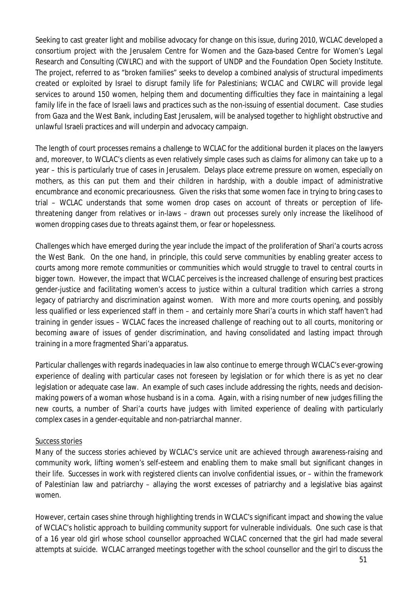Seeking to cast greater light and mobilise advocacy for change on this issue, during 2010, WCLAC developed a consortium project with the Jerusalem Centre for Women and the Gaza-based Centre for Women's Legal Research and Consulting (CWLRC) and with the support of UNDP and the Foundation Open Society Institute. The project, referred to as "broken families" seeks to develop a combined analysis of structural impediments created or exploited by Israel to disrupt family life for Palestinians; WCLAC and CWLRC will provide legal services to around 150 women, helping them and documenting difficulties they face in maintaining a legal family life in the face of Israeli laws and practices such as the non-issuing of essential document. Case studies from Gaza and the West Bank, including East Jerusalem, will be analysed together to highlight obstructive and unlawful Israeli practices and will underpin and advocacy campaign.

The length of court processes remains a challenge to WCLAC for the additional burden it places on the lawyers and, moreover, to WCLAC's clients as even relatively simple cases such as claims for alimony can take up to a year – this is particularly true of cases in Jerusalem. Delays place extreme pressure on women, especially on mothers, as this can put them and their children in hardship, with a double impact of administrative encumbrance and economic precariousness. Given the risks that some women face in trying to bring cases to trial – WCLAC understands that some women drop cases on account of threats or perception of lifethreatening danger from relatives or in-laws – drawn out processes surely only increase the likelihood of women dropping cases due to threats against them, or fear or hopelessness.

Challenges which have emerged during the year include the impact of the proliferation of Shari'a courts across the West Bank. On the one hand, in principle, this could serve communities by enabling greater access to courts among more remote communities or communities which would struggle to travel to central courts in bigger town. However, the impact that WCLAC perceives is the increased challenge of ensuring best practices gender-justice and facilitating women's access to justice within a cultural tradition which carries a strong legacy of patriarchy and discrimination against women. With more and more courts opening, and possibly less qualified or less experienced staff in them – and certainly more Shari'a courts in which staff haven't had training in gender issues – WCLAC faces the increased challenge of reaching out to all courts, monitoring or becoming aware of issues of gender discrimination, and having consolidated and lasting impact through training in a more fragmented Shari'a apparatus.

Particular challenges with regards inadequacies in law also continue to emerge through WCLAC's ever-growing experience of dealing with particular cases not foreseen by legislation or for which there is as yet no clear legislation or adequate case law. An example of such cases include addressing the rights, needs and decisionmaking powers of a woman whose husband is in a coma. Again, with a rising number of new judges filling the new courts, a number of Shari'a courts have judges with limited experience of dealing with particularly complex cases in a gender-equitable and non-patriarchal manner.

## Success stories

Many of the success stories achieved by WCLAC's service unit are achieved through awareness-raising and community work, lifting women's self-esteem and enabling them to make small but significant changes in their life. Successes in work with registered clients can involve confidential issues, or – within the framework of Palestinian law and patriarchy – allaying the worst excesses of patriarchy and a legislative bias against women.

However, certain cases shine through highlighting trends in WCLAC's significant impact and showing the value of WCLAC's holistic approach to building community support for vulnerable individuals. One such case is that of a 16 year old girl whose school counsellor approached WCLAC concerned that the girl had made several attempts at suicide. WCLAC arranged meetings together with the school counsellor and the girl to discuss the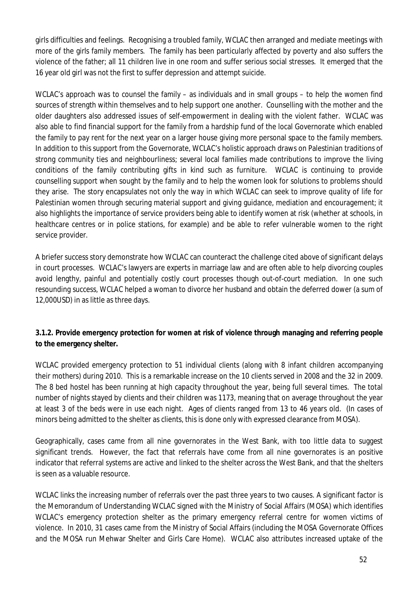girls difficulties and feelings. Recognising a troubled family, WCLAC then arranged and mediate meetings with more of the girls family members. The family has been particularly affected by poverty and also suffers the violence of the father; all 11 children live in one room and suffer serious social stresses. It emerged that the 16 year old girl was not the first to suffer depression and attempt suicide.

WCLAC's approach was to counsel the family – as individuals and in small groups – to help the women find sources of strength within themselves and to help support one another. Counselling with the mother and the older daughters also addressed issues of self-empowerment in dealing with the violent father. WCLAC was also able to find financial support for the family from a hardship fund of the local Governorate which enabled the family to pay rent for the next year on a larger house giving more personal space to the family members. In addition to this support from the Governorate, WCLAC's holistic approach draws on Palestinian traditions of strong community ties and neighbourliness; several local families made contributions to improve the living conditions of the family contributing gifts in kind such as furniture. WCLAC is continuing to provide counselling support when sought by the family and to help the women look for solutions to problems should they arise. The story encapsulates not only the way in which WCLAC can seek to improve quality of life for Palestinian women through securing material support and giving guidance, mediation and encouragement; it also highlights the importance of service providers being able to identify women at risk (whether at schools, in healthcare centres or in police stations, for example) and be able to refer vulnerable women to the right service provider.

A briefer success story demonstrate how WCLAC can counteract the challenge cited above of significant delays in court processes. WCLAC's lawyers are experts in marriage law and are often able to help divorcing couples avoid lengthy, painful and potentially costly court processes though out-of-court mediation. In one such resounding success, WCLAC helped a woman to divorce her husband and obtain the deferred dower (a sum of 12,000USD) in as little as three days.

# **3.1.2. Provide emergency protection for women at risk of violence through managing and referring people to the emergency shelter.**

WCLAC provided emergency protection to 51 individual clients (along with 8 infant children accompanying their mothers) during 2010. This is a remarkable increase on the 10 clients served in 2008 and the 32 in 2009. The 8 bed hostel has been running at high capacity throughout the year, being full several times. The total number of nights stayed by clients and their children was 1173, meaning that on average throughout the year at least 3 of the beds were in use each night. Ages of clients ranged from 13 to 46 years old. (In cases of minors being admitted to the shelter as clients, this is done only with expressed clearance from MOSA).

Geographically, cases came from all nine governorates in the West Bank, with too little data to suggest significant trends. However, the fact that referrals have come from all nine governorates is an positive indicator that referral systems are active and linked to the shelter across the West Bank, and that the shelters is seen as a valuable resource.

WCLAC links the increasing number of referrals over the past three years to two causes. A significant factor is the Memorandum of Understanding WCLAC signed with the Ministry of Social Affairs (MOSA) which identifies WCLAC's emergency protection shelter as the primary emergency referral centre for women victims of violence. In 2010, 31 cases came from the Ministry of Social Affairs (including the MOSA Governorate Offices and the MOSA run Mehwar Shelter and Girls Care Home). WCLAC also attributes increased uptake of the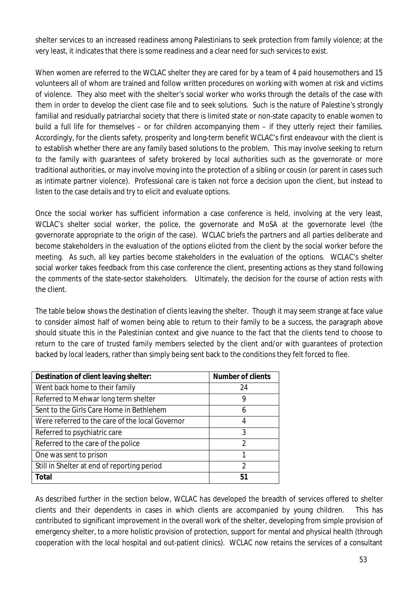shelter services to an increased readiness among Palestinians to seek protection from family violence; at the very least, it indicates that there is some readiness and a clear need for such services to exist.

When women are referred to the WCLAC shelter they are cared for by a team of 4 paid housemothers and 15 volunteers all of whom are trained and follow written procedures on working with women at risk and victims of violence. They also meet with the shelter's social worker who works through the details of the case with them in order to develop the client case file and to seek solutions. Such is the nature of Palestine's strongly familial and residually patriarchal society that there is limited state or non-state capacity to enable women to build a full life for themselves – or for children accompanying them – if they utterly reject their families. Accordingly, for the clients safety, prosperity and long-term benefit WCLAC's first endeavour with the client is to establish whether there are any family based solutions to the problem. This may involve seeking to return to the family with guarantees of safety brokered by local authorities such as the governorate or more traditional authorities, or may involve moving into the protection of a sibling or cousin (or parent in cases such as intimate partner violence). Professional care is taken not force a decision upon the client, but instead to listen to the case details and try to elicit and evaluate options.

Once the social worker has sufficient information a case conference is held, involving at the very least, WCLAC's shelter social worker, the police, the governorate and MoSA at the governorate level (the governorate appropriate to the origin of the case). WCLAC briefs the partners and all parties deliberate and become stakeholders in the evaluation of the options elicited from the client by the social worker before the meeting. As such, all key parties become stakeholders in the evaluation of the options. WCLAC's shelter social worker takes feedback from this case conference the client, presenting actions as they stand following the comments of the state-sector stakeholders. Ultimately, the decision for the course of action rests with the client.

The table below shows the destination of clients leaving the shelter. Though it may seem strange at face value to consider almost half of women being able to return to their family to be a success, the paragraph above should situate this in the Palestinian context and give nuance to the fact that the clients tend to choose to return to the care of trusted family members selected by the client and/or with guarantees of protection backed by local leaders, rather than simply being sent back to the conditions they felt forced to flee.

| Destination of client leaving shelter:          | <b>Number of clients</b> |
|-------------------------------------------------|--------------------------|
| Went back home to their family                  | 24                       |
| Referred to Mehwar long term shelter            | 9                        |
| Sent to the Girls Care Home in Bethlehem        | 6                        |
| Were referred to the care of the local Governor | 4                        |
| Referred to psychiatric care                    | 3                        |
| Referred to the care of the police              | $\mathfrak{D}$           |
| One was sent to prison                          | 1                        |
| Still in Shelter at end of reporting period     | $\mathfrak{D}$           |
| <b>Total</b>                                    | 51                       |

As described further in the section below, WCLAC has developed the breadth of services offered to shelter clients and their dependents in cases in which clients are accompanied by young children. This has contributed to significant improvement in the overall work of the shelter, developing from simple provision of emergency shelter, to a more holistic provision of protection, support for mental and physical health (through cooperation with the local hospital and out-patient clinics). WCLAC now retains the services of a consultant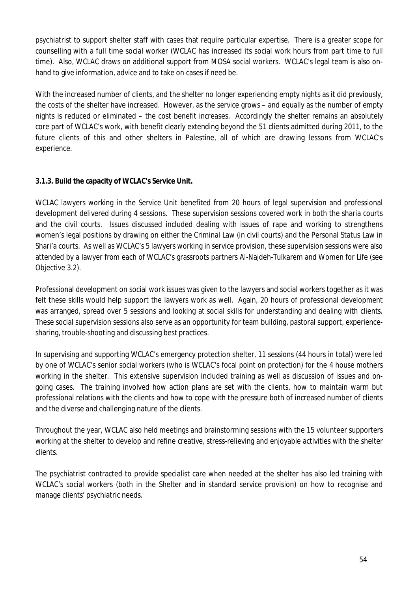psychiatrist to support shelter staff with cases that require particular expertise. There is a greater scope for counselling with a full time social worker (WCLAC has increased its social work hours from part time to full time). Also, WCLAC draws on additional support from MOSA social workers. WCLAC's legal team is also onhand to give information, advice and to take on cases if need be.

With the increased number of clients, and the shelter no longer experiencing empty nights as it did previously, the costs of the shelter have increased. However, as the service grows – and equally as the number of empty nights is reduced or eliminated – the cost benefit increases. Accordingly the shelter remains an absolutely core part of WCLAC's work, with benefit clearly extending beyond the 51 clients admitted during 2011, to the future clients of this and other shelters in Palestine, all of which are drawing lessons from WCLAC's experience.

# **3.1.3. Build the capacity of WCLAC's Service Unit.**

WCLAC lawyers working in the Service Unit benefited from 20 hours of legal supervision and professional development delivered during 4 sessions. These supervision sessions covered work in both the sharia courts and the civil courts. Issues discussed included dealing with issues of rape and working to strengthens women's legal positions by drawing on either the Criminal Law (in civil courts) and the Personal Status Law in Shari'a courts. As well as WCLAC's 5 lawyers working in service provision, these supervision sessions were also attended by a lawyer from each of WCLAC's grassroots partners Al-Najdeh-Tulkarem and Women for Life (see Objective 3.2).

Professional development on social work issues was given to the lawyers and social workers together as it was felt these skills would help support the lawyers work as well. Again, 20 hours of professional development was arranged, spread over 5 sessions and looking at social skills for understanding and dealing with clients. These social supervision sessions also serve as an opportunity for team building, pastoral support, experiencesharing, trouble-shooting and discussing best practices.

In supervising and supporting WCLAC's emergency protection shelter, 11 sessions (44 hours in total) were led by one of WCLAC's senior social workers (who is WCLAC's focal point on protection) for the 4 house mothers working in the shelter. This extensive supervision included training as well as discussion of issues and ongoing cases. The training involved how action plans are set with the clients, how to maintain warm but professional relations with the clients and how to cope with the pressure both of increased number of clients and the diverse and challenging nature of the clients.

Throughout the year, WCLAC also held meetings and brainstorming sessions with the 15 volunteer supporters working at the shelter to develop and refine creative, stress-relieving and enjoyable activities with the shelter clients.

The psychiatrist contracted to provide specialist care when needed at the shelter has also led training with WCLAC's social workers (both in the Shelter and in standard service provision) on how to recognise and manage clients' psychiatric needs.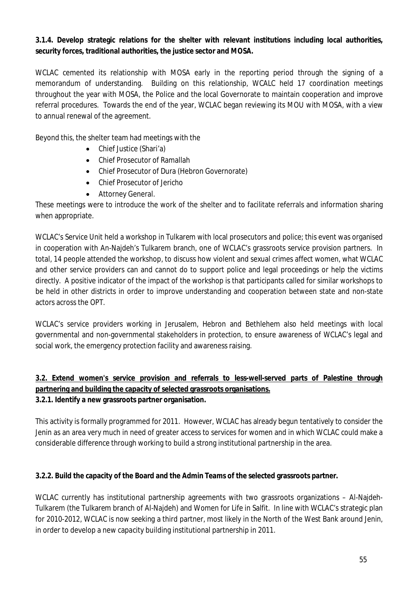## **3.1.4. Develop strategic relations for the shelter with relevant institutions including local authorities, security forces, traditional authorities, the justice sector and MOSA.**

WCLAC cemented its relationship with MOSA early in the reporting period through the signing of a memorandum of understanding. Building on this relationship, WCALC held 17 coordination meetings throughout the year with MOSA, the Police and the local Governorate to maintain cooperation and improve referral procedures. Towards the end of the year, WCLAC began reviewing its MOU with MOSA, with a view to annual renewal of the agreement.

Beyond this, the shelter team had meetings with the

- Chief Justice (Shari'a)
- Chief Prosecutor of Ramallah
- Chief Prosecutor of Dura (Hebron Governorate)
- Chief Prosecutor of Jericho
- Attorney General.

These meetings were to introduce the work of the shelter and to facilitate referrals and information sharing when appropriate.

WCLAC's Service Unit held a workshop in Tulkarem with local prosecutors and police; this event was organised in cooperation with An-Najdeh's Tulkarem branch, one of WCLAC's grassroots service provision partners. In total, 14 people attended the workshop, to discuss how violent and sexual crimes affect women, what WCLAC and other service providers can and cannot do to support police and legal proceedings or help the victims directly. A positive indicator of the impact of the workshop is that participants called for similar workshops to be held in other districts in order to improve understanding and cooperation between state and non-state actors across the OPT.

WCLAC's service providers working in Jerusalem, Hebron and Bethlehem also held meetings with local governmental and non-governmental stakeholders in protection, to ensure awareness of WCLAC's legal and social work, the emergency protection facility and awareness raising.

# **3.2. Extend women's service provision and referrals to less-well-served parts of Palestine through partnering and building the capacity of selected grassroots organisations.**

# **3.2.1. Identify a new grassroots partner organisation.**

This activity is formally programmed for 2011. However, WCLAC has already begun tentatively to consider the Jenin as an area very much in need of greater access to services for women and in which WCLAC could make a considerable difference through working to build a strong institutional partnership in the area.

## **3.2.2. Build the capacity of the Board and the Admin Teams of the selected grassroots partner.**

WCLAC currently has institutional partnership agreements with two grassroots organizations – Al-Najdeh-Tulkarem (the Tulkarem branch of Al-Najdeh) and Women for Life in Salfit. In line with WCLAC's strategic plan for 2010-2012, WCLAC is now seeking a third partner, most likely in the North of the West Bank around Jenin, in order to develop a new capacity building institutional partnership in 2011.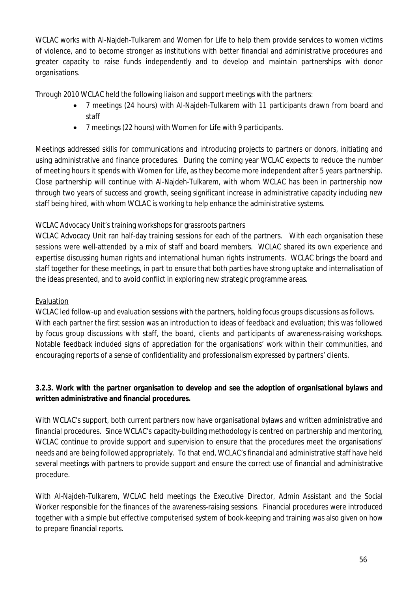WCLAC works with Al-Najdeh-Tulkarem and Women for Life to help them provide services to women victims of violence, and to become stronger as institutions with better financial and administrative procedures and greater capacity to raise funds independently and to develop and maintain partnerships with donor organisations.

Through 2010 WCLAC held the following liaison and support meetings with the partners:

- 7 meetings (24 hours) with Al-Najdeh-Tulkarem with 11 participants drawn from board and staff
- 7 meetings (22 hours) with Women for Life with 9 participants.

Meetings addressed skills for communications and introducing projects to partners or donors, initiating and using administrative and finance procedures. During the coming year WCLAC expects to reduce the number of meeting hours it spends with Women for Life, as they become more independent after 5 years partnership. Close partnership will continue with Al-Najdeh-Tulkarem, with whom WCLAC has been in partnership now through two years of success and growth, seeing significant increase in administrative capacity including new staff being hired, with whom WCLAC is working to help enhance the administrative systems.

# WCLAC Advocacy Unit's training workshops for grassroots partners

WCLAC Advocacy Unit ran half-day training sessions for each of the partners. With each organisation these sessions were well-attended by a mix of staff and board members. WCLAC shared its own experience and expertise discussing human rights and international human rights instruments. WCLAC brings the board and staff together for these meetings, in part to ensure that both parties have strong uptake and internalisation of the ideas presented, and to avoid conflict in exploring new strategic programme areas.

# Evaluation

WCLAC led follow-up and evaluation sessions with the partners, holding focus groups discussions as follows. With each partner the first session was an introduction to ideas of feedback and evaluation; this was followed by focus group discussions with staff, the board, clients and participants of awareness-raising workshops. Notable feedback included signs of appreciation for the organisations' work within their communities, and encouraging reports of a sense of confidentiality and professionalism expressed by partners' clients.

# **3.2.3. Work with the partner organisation to develop and see the adoption of organisational bylaws and written administrative and financial procedures.**

With WCLAC's support, both current partners now have organisational bylaws and written administrative and financial procedures. Since WCLAC's capacity-building methodology is centred on partnership and mentoring, WCLAC continue to provide support and supervision to ensure that the procedures meet the organisations' needs and are being followed appropriately. To that end, WCLAC's financial and administrative staff have held several meetings with partners to provide support and ensure the correct use of financial and administrative procedure.

With Al-Najdeh-Tulkarem, WCLAC held meetings the Executive Director, Admin Assistant and the Social Worker responsible for the finances of the awareness-raising sessions. Financial procedures were introduced together with a simple but effective computerised system of book-keeping and training was also given on how to prepare financial reports.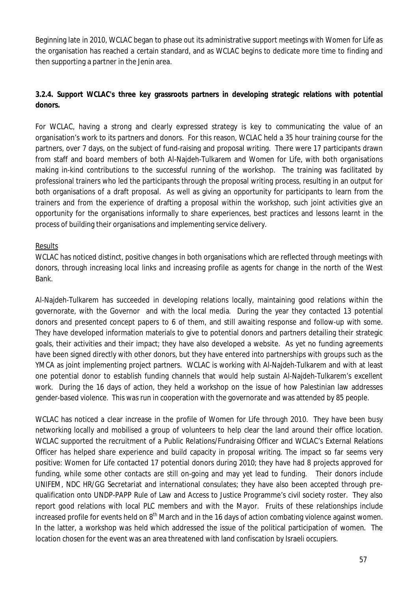Beginning late in 2010, WCLAC began to phase out its administrative support meetings with Women for Life as the organisation has reached a certain standard, and as WCLAC begins to dedicate more time to finding and then supporting a partner in the Jenin area.

# **3.2.4. Support WCLAC's three key grassroots partners in developing strategic relations with potential donors.**

For WCLAC, having a strong and clearly expressed strategy is key to communicating the value of an organisation's work to its partners and donors. For this reason, WCLAC held a 35 hour training course for the partners, over 7 days, on the subject of fund-raising and proposal writing. There were 17 participants drawn from staff and board members of both Al-Najdeh-Tulkarem and Women for Life, with both organisations making in-kind contributions to the successful running of the workshop. The training was facilitated by professional trainers who led the participants through the proposal writing process, resulting in an output for both organisations of a draft proposal. As well as giving an opportunity for participants to learn from the trainers and from the experience of drafting a proposal within the workshop, such joint activities give an opportunity for the organisations informally to share experiences, best practices and lessons learnt in the process of building their organisations and implementing service delivery.

## Results

WCLAC has noticed distinct, positive changes in both organisations which are reflected through meetings with donors, through increasing local links and increasing profile as agents for change in the north of the West Bank.

Al-Najdeh-Tulkarem has succeeded in developing relations locally, maintaining good relations within the governorate, with the Governor and with the local media. During the year they contacted 13 potential donors and presented concept papers to 6 of them, and still awaiting response and follow-up with some. They have developed information materials to give to potential donors and partners detailing their strategic goals, their activities and their impact; they have also developed a website. As yet no funding agreements have been signed directly with other donors, but they have entered into partnerships with groups such as the YMCA as joint implementing project partners. WCLAC is working with Al-Najdeh-Tulkarem and with at least one potential donor to establish funding channels that would help sustain Al-Najdeh-Tulkarem's excellent work. During the 16 days of action, they held a workshop on the issue of how Palestinian law addresses gender-based violence. This was run in cooperation with the governorate and was attended by 85 people.

WCLAC has noticed a clear increase in the profile of Women for Life through 2010. They have been busy networking locally and mobilised a group of volunteers to help clear the land around their office location. WCLAC supported the recruitment of a Public Relations/Fundraising Officer and WCLAC's External Relations Officer has helped share experience and build capacity in proposal writing. The impact so far seems very positive: Women for Life contacted 17 potential donors during 2010; they have had 8 projects approved for funding, while some other contacts are still on-going and may yet lead to funding. Their donors include UNIFEM, NDC HR/GG Secretariat and international consulates; they have also been accepted through prequalification onto UNDP-PAPP Rule of Law and Access to Justice Programme's civil society roster. They also report good relations with local PLC members and with the Mayor. Fruits of these relationships include increased profile for events held on 8<sup>th</sup> March and in the 16 days of action combating violence against women. In the latter, a workshop was held which addressed the issue of the political participation of women. The location chosen for the event was an area threatened with land confiscation by Israeli occupiers.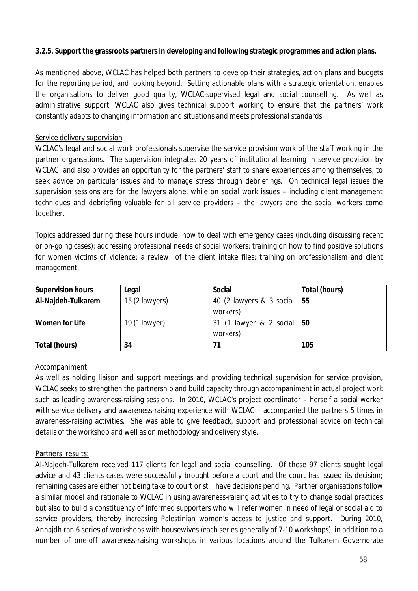## **3.2.5. Support the grassroots partners in developing and following strategic programmes and action plans.**

As mentioned above, WCLAC has helped both partners to develop their strategies, action plans and budgets for the reporting period, and looking beyond. Setting actionable plans with a strategic orientation, enables the organisations to deliver good quality, WCLAC-supervised legal and social counselling. As well as administrative support, WCLAC also gives technical support working to ensure that the partners' work constantly adapts to changing information and situations and meets professional standards.

## Service delivery supervision

WCLAC's legal and social work professionals supervise the service provision work of the staff working in the partner organsations. The supervision integrates 20 years of institutional learning in service provision by WCLAC and also provides an opportunity for the partners' staff to share experiences among themselves, to seek advice on particular issues and to manage stress through debriefings. On technical legal issues the supervision sessions are for the lawyers alone, while on social work issues – including client management techniques and debriefing valuable for all service providers – the lawyers and the social workers come together.

Topics addressed during these hours include: how to deal with emergency cases (including discussing recent or on-going cases); addressing professional needs of social workers; training on how to find positive solutions for women victims of violence; a review of the client intake files; training on professionalism and client management.

| <b>Supervision hours</b> | Legal          | <b>Social</b>                 | Total (hours) |
|--------------------------|----------------|-------------------------------|---------------|
| Al-Najdeh-Tulkarem       | 15 (2 lawyers) | 40 (2 lawyers & 3 social   55 |               |
|                          |                | workers)                      |               |
| <b>Women for Life</b>    | 19 (1 lawyer)  | 31 (1 lawyer & 2 social   50  |               |
|                          |                | workers)                      |               |
| Total (hours)            | 34             | 71                            | 105           |

## Accompaniment

As well as holding liaison and support meetings and providing technical supervision for service provision, WCLAC seeks to strengthen the partnership and build capacity through accompaniment in actual project work such as leading awareness-raising sessions. In 2010, WCLAC's project coordinator – herself a social worker with service delivery and awareness-raising experience with WCLAC – accompanied the partners 5 times in awareness-raising activities. She was able to give feedback, support and professional advice on technical details of the workshop and well as on methodology and delivery style.

## Partners' results:

Al-Najdeh-Tulkarem received 117 clients for legal and social counselling. Of these 97 clients sought legal advice and 43 clients cases were successfully brought before a court and the court has issued its decision; remaining cases are either not being take to court or still have decisions pending. Partner organisations follow a similar model and rationale to WCLAC in using awareness-raising activities to try to change social practices but also to build a constituency of informed supporters who will refer women in need of legal or social aid to service providers, thereby increasing Palestinian women's access to justice and support. During 2010, Annajdh ran 6 series of workshops with housewives (each series generally of 7-10 workshops), in addition to a number of one-off awareness-raising workshops in various locations around the Tulkarem Governorate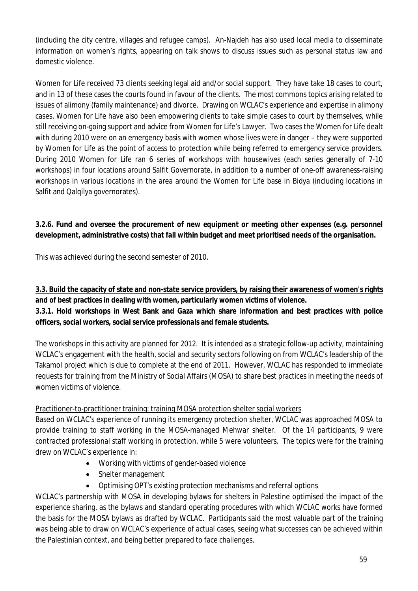(including the city centre, villages and refugee camps). An-Najdeh has also used local media to disseminate information on women's rights, appearing on talk shows to discuss issues such as personal status law and domestic violence.

Women for Life received 73 clients seeking legal aid and/or social support. They have take 18 cases to court, and in 13 of these cases the courts found in favour of the clients. The most commons topics arising related to issues of alimony (family maintenance) and divorce. Drawing on WCLAC's experience and expertise in alimony cases, Women for Life have also been empowering clients to take simple cases to court by themselves, while still receiving on-going support and advice from Women for Life's Lawyer. Two cases the Women for Life dealt with during 2010 were on an emergency basis with women whose lives were in danger – they were supported by Women for Life as the point of access to protection while being referred to emergency service providers. During 2010 Women for Life ran 6 series of workshops with housewives (each series generally of 7-10 workshops) in four locations around Salfit Governorate, in addition to a number of one-off awareness-raising workshops in various locations in the area around the Women for Life base in Bidya (including locations in Salfit and Qalqilya governorates).

# **3.2.6. Fund and oversee the procurement of new equipment or meeting other expenses (e.g. personnel development, administrative costs) that fall within budget and meet prioritised needs of the organisation.**

This was achieved during the second semester of 2010.

# **3.3. Build the capacity of state and non-state service providers, by raising their awareness of women's rights and of best practices in dealing with women, particularly women victims of violence.**

# **3.3.1. Hold workshops in West Bank and Gaza which share information and best practices with police officers, social workers, social service professionals and female students.**

The workshops in this activity are planned for 2012. It is intended as a strategic follow-up activity, maintaining WCLAC's engagement with the health, social and security sectors following on from WCLAC's leadership of the Takamol project which is due to complete at the end of 2011. However, WCLAC has responded to immediate requests for training from the Ministry of Social Affairs (MOSA) to share best practices in meeting the needs of women victims of violence.

# Practitioner-to-practitioner training: training MOSA protection shelter social workers

Based on WCLAC's experience of running its emergency protection shelter, WCLAC was approached MOSA to provide training to staff working in the MOSA-managed Mehwar shelter. Of the 14 participants, 9 were contracted professional staff working in protection, while 5 were volunteers. The topics were for the training drew on WCLAC's experience in:

- Working with victims of gender-based violence
- Shelter management
- Optimising OPT's existing protection mechanisms and referral options

WCLAC's partnership with MOSA in developing bylaws for shelters in Palestine optimised the impact of the experience sharing, as the bylaws and standard operating procedures with which WCLAC works have formed the basis for the MOSA bylaws as drafted by WCLAC. Participants said the most valuable part of the training was being able to draw on WCLAC's experience of actual cases, seeing what successes can be achieved within the Palestinian context, and being better prepared to face challenges.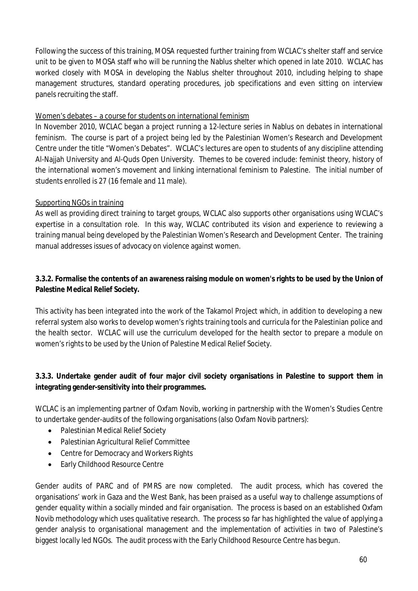Following the success of this training, MOSA requested further training from WCLAC's shelter staff and service unit to be given to MOSA staff who will be running the Nablus shelter which opened in late 2010. WCLAC has worked closely with MOSA in developing the Nablus shelter throughout 2010, including helping to shape management structures, standard operating procedures, job specifications and even sitting on interview panels recruiting the staff.

## Women's debates – a course for students on international feminism

In November 2010, WCLAC began a project running a 12-lecture series in Nablus on debates in international feminism. The course is part of a project being led by the Palestinian Women's Research and Development Centre under the title "Women's Debates". WCLAC's lectures are open to students of any discipline attending Al-Najjah University and Al-Quds Open University. Themes to be covered include: feminist theory, history of the international women's movement and linking international feminism to Palestine. The initial number of students enrolled is 27 (16 female and 11 male).

## Supporting NGOs in training

As well as providing direct training to target groups, WCLAC also supports other organisations using WCLAC's expertise in a consultation role. In this way, WCLAC contributed its vision and experience to reviewing a training manual being developed by the Palestinian Women's Research and Development Center. The training manual addresses issues of advocacy on violence against women.

# **3.3.2. Formalise the contents of an awareness raising module on women's rights to be used by the Union of Palestine Medical Relief Society.**

This activity has been integrated into the work of the Takamol Project which, in addition to developing a new referral system also works to develop women's rights training tools and curricula for the Palestinian police and the health sector. WCLAC will use the curriculum developed for the health sector to prepare a module on women's rights to be used by the Union of Palestine Medical Relief Society.

# **3.3.3. Undertake gender audit of four major civil society organisations in Palestine to support them in integrating gender-sensitivity into their programmes.**

WCLAC is an implementing partner of Oxfam Novib, working in partnership with the Women's Studies Centre to undertake gender-audits of the following organisations (also Oxfam Novib partners):

- Palestinian Medical Relief Society
- Palestinian Agricultural Relief Committee
- Centre for Democracy and Workers Rights
- Early Childhood Resource Centre

Gender audits of PARC and of PMRS are now completed. The audit process, which has covered the organisations' work in Gaza and the West Bank, has been praised as a useful way to challenge assumptions of gender equality within a socially minded and fair organisation. The process is based on an established Oxfam Novib methodology which uses qualitative research. The process so far has highlighted the value of applying a gender analysis to organisational management and the implementation of activities in two of Palestine's biggest locally led NGOs. The audit process with the Early Childhood Resource Centre has begun.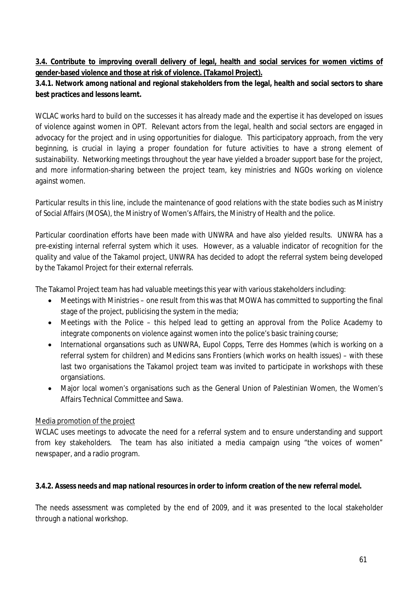## **3.4. Contribute to improving overall delivery of legal, health and social services for women victims of gender-based violence and those at risk of violence. (Takamol Project).**

# **3.4.1. Network among national and regional stakeholders from the legal, health and social sectors to share best practices and lessons learnt.**

WCLAC works hard to build on the successes it has already made and the expertise it has developed on issues of violence against women in OPT. Relevant actors from the legal, health and social sectors are engaged in advocacy for the project and in using opportunities for dialogue. This participatory approach, from the very beginning, is crucial in laying a proper foundation for future activities to have a strong element of sustainability. Networking meetings throughout the year have yielded a broader support base for the project, and more information-sharing between the project team, key ministries and NGOs working on violence against women.

Particular results in this line, include the maintenance of good relations with the state bodies such as Ministry of Social Affairs (MOSA), the Ministry of Women's Affairs, the Ministry of Health and the police.

Particular coordination efforts have been made with UNWRA and have also yielded results. UNWRA has a pre-existing internal referral system which it uses. However, as a valuable indicator of recognition for the quality and value of the Takamol project, UNWRA has decided to adopt the referral system being developed by the Takamol Project for their external referrals.

The Takamol Project team has had valuable meetings this year with various stakeholders including:

- Meetings with Ministries one result from this was that MOWA has committed to supporting the final stage of the project, publicising the system in the media;
- Meetings with the Police this helped lead to getting an approval from the Police Academy to integrate components on violence against women into the police's basic training course;
- International organsations such as UNWRA, Eupol Copps, Terre des Hommes (which is working on a referral system for children) and Medicins sans Frontiers (which works on health issues) – with these last two organisations the Takamol project team was invited to participate in workshops with these organsiations.
- Major local women's organisations such as the General Union of Palestinian Women, the Women's Affairs Technical Committee and Sawa.

# Media promotion of the project

WCLAC uses meetings to advocate the need for a referral system and to ensure understanding and support from key stakeholders. The team has also initiated a media campaign using "the voices of women" newspaper, and a radio program.

# **3.4.2. Assess needs and map national resources in order to inform creation of the new referral model.**

The needs assessment was completed by the end of 2009, and it was presented to the local stakeholder through a national workshop.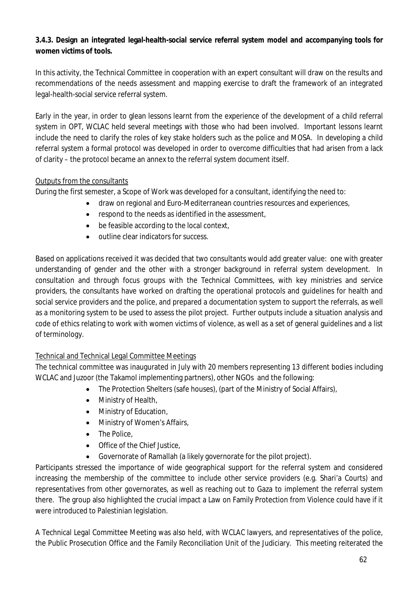# **3.4.3. Design an integrated legal-health-social service referral system model and accompanying tools for women victims of tools.**

In this activity, the Technical Committee in cooperation with an expert consultant will draw on the results and recommendations of the needs assessment and mapping exercise to draft the framework of an integrated legal-health-social service referral system.

Early in the year, in order to glean lessons learnt from the experience of the development of a child referral system in OPT, WCLAC held several meetings with those who had been involved. Important lessons learnt include the need to clarify the roles of key stake holders such as the police and MOSA. In developing a child referral system a formal protocol was developed in order to overcome difficulties that had arisen from a lack of clarity – the protocol became an annex to the referral system document itself.

# Outputs from the consultants

During the first semester, a Scope of Work was developed for a consultant, identifying the need to:

- draw on regional and Euro-Mediterranean countries resources and experiences,
- respond to the needs as identified in the assessment,
- be feasible according to the local context,
- outline clear indicators for success.

Based on applications received it was decided that two consultants would add greater value: one with greater understanding of gender and the other with a stronger background in referral system development. In consultation and through focus groups with the Technical Committees, with key ministries and service providers, the consultants have worked on drafting the operational protocols and guidelines for health and social service providers and the police, and prepared a documentation system to support the referrals, as well as a monitoring system to be used to assess the pilot project. Further outputs include a situation analysis and code of ethics relating to work with women victims of violence, as well as a set of general guidelines and a list of terminology.

# Technical and Technical Legal Committee Meetings

The technical committee was inaugurated in July with 20 members representing 13 different bodies including WCLAC and Juzoor (the Takamol implementing partners), other NGOs and the following:

- The Protection Shelters (safe houses), (part of the Ministry of Social Affairs),
- Ministry of Health,
- Ministry of Education,
- Ministry of Women's Affairs,
- The Police,
- Office of the Chief Justice,
- Governorate of Ramallah (a likely governorate for the pilot project).

Participants stressed the importance of wide geographical support for the referral system and considered increasing the membership of the committee to include other service providers (e.g. Shari'a Courts) and representatives from other governorates, as well as reaching out to Gaza to implement the referral system there. The group also highlighted the crucial impact a Law on Family Protection from Violence could have if it were introduced to Palestinian legislation.

A Technical Legal Committee Meeting was also held, with WCLAC lawyers, and representatives of the police, the Public Prosecution Office and the Family Reconciliation Unit of the Judiciary. This meeting reiterated the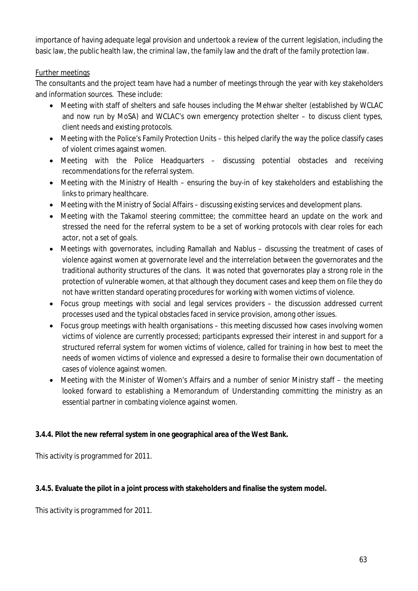importance of having adequate legal provision and undertook a review of the current legislation, including the basic law, the public health law, the criminal law, the family law and the draft of the family protection law.

# Further meetings

The consultants and the project team have had a number of meetings through the year with key stakeholders and information sources. These include:

- Meeting with staff of shelters and safe houses including the Mehwar shelter (established by WCLAC and now run by MoSA) and WCLAC's own emergency protection shelter – to discuss client types, client needs and existing protocols.
- Meeting with the Police's Family Protection Units this helped clarify the way the police classify cases of violent crimes against women.
- Meeting with the Police Headquarters discussing potential obstacles and receiving recommendations for the referral system.
- Meeting with the Ministry of Health ensuring the buy-in of key stakeholders and establishing the links to primary healthcare.
- Meeting with the Ministry of Social Affairs discussing existing services and development plans.
- Meeting with the Takamol steering committee; the committee heard an update on the work and stressed the need for the referral system to be a set of working protocols with clear roles for each actor, not a set of goals.
- Meetings with governorates, including Ramallah and Nablus discussing the treatment of cases of violence against women at governorate level and the interrelation between the governorates and the traditional authority structures of the clans. It was noted that governorates play a strong role in the protection of vulnerable women, at that although they document cases and keep them on file they do not have written standard operating procedures for working with women victims of violence.
- Focus group meetings with social and legal services providers the discussion addressed current processes used and the typical obstacles faced in service provision, among other issues.
- Focus group meetings with health organisations this meeting discussed how cases involving women victims of violence are currently processed; participants expressed their interest in and support for a structured referral system for women victims of violence, called for training in how best to meet the needs of women victims of violence and expressed a desire to formalise their own documentation of cases of violence against women.
- Meeting with the Minister of Women's Affairs and a number of senior Ministry staff the meeting looked forward to establishing a Memorandum of Understanding committing the ministry as an essential partner in combating violence against women.

# **3.4.4. Pilot the new referral system in one geographical area of the West Bank.**

This activity is programmed for 2011.

# **3.4.5. Evaluate the pilot in a joint process with stakeholders and finalise the system model.**

This activity is programmed for 2011.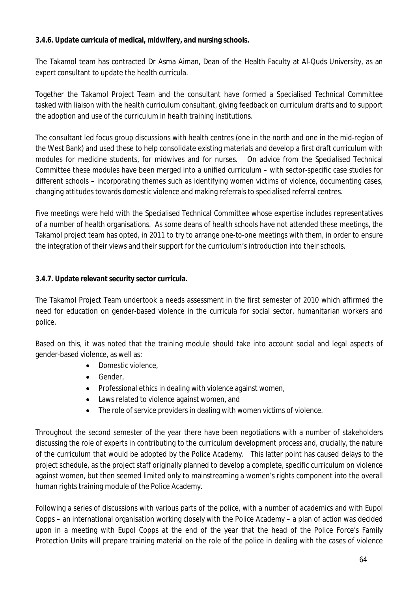## **3.4.6. Update curricula of medical, midwifery, and nursing schools.**

The Takamol team has contracted Dr Asma Aiman, Dean of the Health Faculty at Al-Quds University, as an expert consultant to update the health curricula.

Together the Takamol Project Team and the consultant have formed a Specialised Technical Committee tasked with liaison with the health curriculum consultant, giving feedback on curriculum drafts and to support the adoption and use of the curriculum in health training institutions.

The consultant led focus group discussions with health centres (one in the north and one in the mid-region of the West Bank) and used these to help consolidate existing materials and develop a first draft curriculum with modules for medicine students, for midwives and for nurses. On advice from the Specialised Technical Committee these modules have been merged into a unified curriculum – with sector-specific case studies for different schools – incorporating themes such as identifying women victims of violence, documenting cases, changing attitudes towards domestic violence and making referrals to specialised referral centres.

Five meetings were held with the Specialised Technical Committee whose expertise includes representatives of a number of health organisations. As some deans of health schools have not attended these meetings, the Takamol project team has opted, in 2011 to try to arrange one-to-one meetings with them, in order to ensure the integration of their views and their support for the curriculum's introduction into their schools.

# **3.4.7. Update relevant security sector curricula.**

The Takamol Project Team undertook a needs assessment in the first semester of 2010 which affirmed the need for education on gender-based violence in the curricula for social sector, humanitarian workers and police.

Based on this, it was noted that the training module should take into account social and legal aspects of gender-based violence, as well as:

- Domestic violence.
- **•** Gender
- Professional ethics in dealing with violence against women,
- Laws related to violence against women, and
- The role of service providers in dealing with women victims of violence.

Throughout the second semester of the year there have been negotiations with a number of stakeholders discussing the role of experts in contributing to the curriculum development process and, crucially, the nature of the curriculum that would be adopted by the Police Academy. This latter point has caused delays to the project schedule, as the project staff originally planned to develop a complete, specific curriculum on violence against women, but then seemed limited only to mainstreaming a women's rights component into the overall human rights training module of the Police Academy.

Following a series of discussions with various parts of the police, with a number of academics and with Eupol Copps – an international organisation working closely with the Police Academy – a plan of action was decided upon in a meeting with Eupol Copps at the end of the year that the head of the Police Force's Family Protection Units will prepare training material on the role of the police in dealing with the cases of violence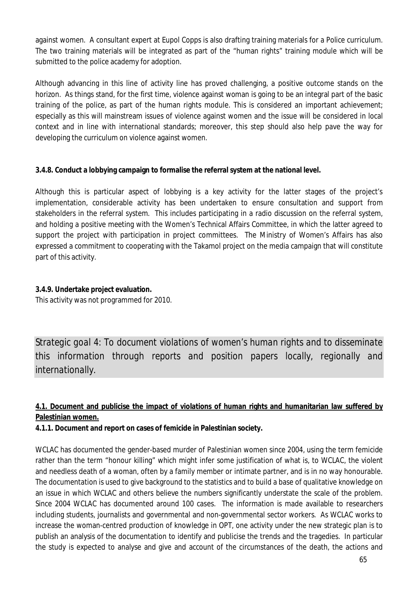against women. A consultant expert at Eupol Copps is also drafting training materials for a Police curriculum. The two training materials will be integrated as part of the "human rights" training module which will be submitted to the police academy for adoption.

Although advancing in this line of activity line has proved challenging, a positive outcome stands on the horizon. As things stand, for the first time, violence against woman is going to be an integral part of the basic training of the police, as part of the human rights module. This is considered an important achievement; especially as this will mainstream issues of violence against women and the issue will be considered in local context and in line with international standards; moreover, this step should also help pave the way for developing the curriculum on violence against women.

## **3.4.8. Conduct a lobbying campaign to formalise the referral system at the national level.**

Although this is particular aspect of lobbying is a key activity for the latter stages of the project's implementation, considerable activity has been undertaken to ensure consultation and support from stakeholders in the referral system. This includes participating in a radio discussion on the referral system, and holding a positive meeting with the Women's Technical Affairs Committee, in which the latter agreed to support the project with participation in project committees. The Ministry of Women's Affairs has also expressed a commitment to cooperating with the Takamol project on the media campaign that will constitute part of this activity.

## **3.4.9. Undertake project evaluation.**

This activity was not programmed for 2010.

*Strategic goal 4: To document violations of women's human rights and to disseminate this information through reports and position papers locally, regionally and internationally.* 

# **4.1. Document and publicise the impact of violations of human rights and humanitarian law suffered by Palestinian women.**

# **4.1.1. Document and report on cases of femicide in Palestinian society.**

WCLAC has documented the gender-based murder of Palestinian women since 2004, using the term femicide rather than the term "honour killing" which might infer some justification of what is, to WCLAC, the violent and needless death of a woman, often by a family member or intimate partner, and is in no way honourable. The documentation is used to give background to the statistics and to build a base of qualitative knowledge on an issue in which WCLAC and others believe the numbers significantly understate the scale of the problem. Since 2004 WCLAC has documented around 100 cases. The information is made available to researchers including students, journalists and governmental and non-governmental sector workers. As WCLAC works to increase the woman-centred production of knowledge in OPT, one activity under the new strategic plan is to publish an analysis of the documentation to identify and publicise the trends and the tragedies. In particular the study is expected to analyse and give and account of the circumstances of the death, the actions and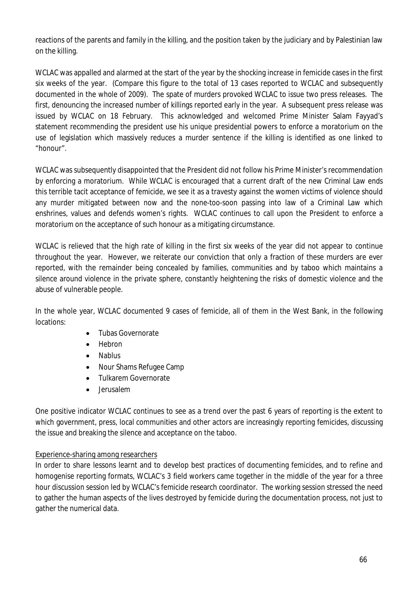reactions of the parents and family in the killing, and the position taken by the judiciary and by Palestinian law on the killing.

WCLAC was appalled and alarmed at the start of the year by the shocking increase in femicide cases in the first six weeks of the year. (Compare this figure to the total of 13 cases reported to WCLAC and subsequently documented in the whole of 2009). The spate of murders provoked WCLAC to issue two press releases. The first, denouncing the increased number of killings reported early in the year. A subsequent press release was issued by WCLAC on 18 February. This acknowledged and welcomed Prime Minister Salam Fayyad's statement recommending the president use his unique presidential powers to enforce a moratorium on the use of legislation which massively reduces a murder sentence if the killing is identified as one linked to "honour".

WCLAC was subsequently disappointed that the President did not follow his Prime Minister's recommendation by enforcing a moratorium. While WCLAC is encouraged that a current draft of the new Criminal Law ends this terrible tacit acceptance of femicide, we see it as a travesty against the women victims of violence should any murder mitigated between now and the none-too-soon passing into law of a Criminal Law which enshrines, values and defends women's rights. WCLAC continues to call upon the President to enforce a moratorium on the acceptance of such honour as a mitigating circumstance.

WCLAC is relieved that the high rate of killing in the first six weeks of the year did not appear to continue throughout the year. However, we reiterate our conviction that only a fraction of these murders are ever reported, with the remainder being concealed by families, communities and by taboo which maintains a silence around violence in the private sphere, constantly heightening the risks of domestic violence and the abuse of vulnerable people.

In the whole year, WCLAC documented 9 cases of femicide, all of them in the West Bank, in the following locations:

- Tubas Governorate
- Hebron
- Nablus
- Nour Shams Refugee Camp
- Tulkarem Governorate
- lerusalem

One positive indicator WCLAC continues to see as a trend over the past 6 years of reporting is the extent to which government, press, local communities and other actors are increasingly reporting femicides, discussing the issue and breaking the silence and acceptance on the taboo.

# Experience-sharing among researchers

In order to share lessons learnt and to develop best practices of documenting femicides, and to refine and homogenise reporting formats, WCLAC's 3 field workers came together in the middle of the year for a three hour discussion session led by WCLAC's femicide research coordinator. The working session stressed the need to gather the human aspects of the lives destroyed by femicide during the documentation process, not just to gather the numerical data.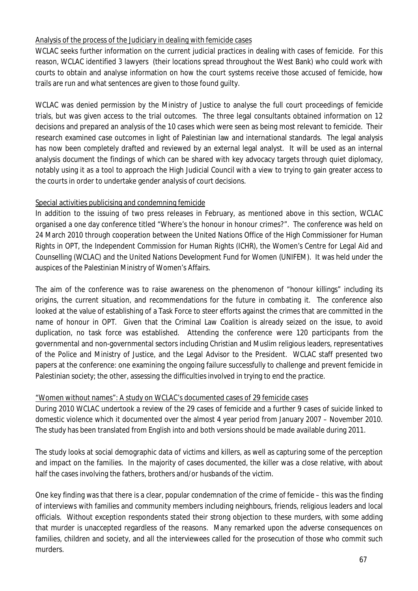## Analysis of the process of the Judiciary in dealing with femicide cases

WCLAC seeks further information on the current judicial practices in dealing with cases of femicide. For this reason, WCLAC identified 3 lawyers (their locations spread throughout the West Bank) who could work with courts to obtain and analyse information on how the court systems receive those accused of femicide, how trails are run and what sentences are given to those found guilty.

WCLAC was denied permission by the Ministry of Justice to analyse the full court proceedings of femicide trials, but was given access to the trial outcomes. The three legal consultants obtained information on 12 decisions and prepared an analysis of the 10 cases which were seen as being most relevant to femicide. Their research examined case outcomes in light of Palestinian law and international standards. The legal analysis has now been completely drafted and reviewed by an external legal analyst. It will be used as an internal analysis document the findings of which can be shared with key advocacy targets through quiet diplomacy, notably using it as a tool to approach the High Judicial Council with a view to trying to gain greater access to the courts in order to undertake gender analysis of court decisions.

## Special activities publicising and condemning femicide

In addition to the issuing of two press releases in February, as mentioned above in this section, WCLAC organised a one day conference titled "Where's the honour in honour crimes?". The conference was held on 24 March 2010 through cooperation between the United Nations Office of the High Commissioner for Human Rights in OPT, the Independent Commission for Human Rights (ICHR), the Women's Centre for Legal Aid and Counselling (WCLAC) and the United Nations Development Fund for Women (UNIFEM). It was held under the auspices of the Palestinian Ministry of Women's Affairs.

The aim of the conference was to raise awareness on the phenomenon of "honour killings" including its origins, the current situation, and recommendations for the future in combating it. The conference also looked at the value of establishing of a Task Force to steer efforts against the crimes that are committed in the name of honour in OPT. Given that the Criminal Law Coalition is already seized on the issue, to avoid duplication, no task force was established. Attending the conference were 120 participants from the governmental and non-governmental sectors including Christian and Muslim religious leaders, representatives of the Police and Ministry of Justice, and the Legal Advisor to the President. WCLAC staff presented two papers at the conference: one examining the ongoing failure successfully to challenge and prevent femicide in Palestinian society; the other, assessing the difficulties involved in trying to end the practice.

## "Women without names": A study on WCLAC's documented cases of 29 femicide cases

During 2010 WCLAC undertook a review of the 29 cases of femicide and a further 9 cases of suicide linked to domestic violence which it documented over the almost 4 year period from January 2007 – November 2010. The study has been translated from English into and both versions should be made available during 2011.

The study looks at social demographic data of victims and killers, as well as capturing some of the perception and impact on the families. In the majority of cases documented, the killer was a close relative, with about half the cases involving the fathers, brothers and/or husbands of the victim.

One key finding was that there is a clear, popular condemnation of the crime of femicide – this was the finding of interviews with families and community members including neighbours, friends, religious leaders and local officials. Without exception respondents stated their strong objection to these murders, with some adding that murder is unaccepted regardless of the reasons. Many remarked upon the adverse consequences on families, children and society, and all the interviewees called for the prosecution of those who commit such murders.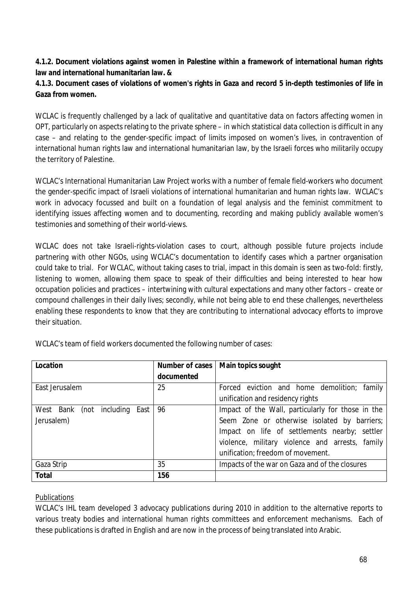## **4.1.2. Document violations against women in Palestine within a framework of international human rights law and international humanitarian law. &**

# **4.1.3. Document cases of violations of women's rights in Gaza and record 5 in-depth testimonies of life in Gaza from women.**

WCLAC is frequently challenged by a lack of qualitative and quantitative data on factors affecting women in OPT, particularly on aspects relating to the private sphere – in which statistical data collection is difficult in any case – and relating to the gender-specific impact of limits imposed on women's lives, in contravention of international human rights law and international humanitarian law, by the Israeli forces who militarily occupy the territory of Palestine.

WCLAC's International Humanitarian Law Project works with a number of female field-workers who document the gender-specific impact of Israeli violations of international humanitarian and human rights law. WCLAC's work in advocacy focussed and built on a foundation of legal analysis and the feminist commitment to identifying issues affecting women and to documenting, recording and making publicly available women's testimonies and something of their world-views.

WCLAC does not take Israeli-rights-violation cases to court, although possible future projects include partnering with other NGOs, using WCLAC's documentation to identify cases which a partner organisation could take to trial. For WCLAC, without taking cases to trial, impact in this domain is seen as two-fold: firstly, listening to women, allowing them space to speak of their difficulties and being interested to hear how occupation policies and practices – intertwining with cultural expectations and many other factors – create or compound challenges in their daily lives; secondly, while not being able to end these challenges, nevertheless enabling these respondents to know that they are contributing to international advocacy efforts to improve their situation.

| Location                                  |            | Number of cases   Main topics sought              |
|-------------------------------------------|------------|---------------------------------------------------|
|                                           | documented |                                                   |
| East Jerusalem                            | 25         | Forced eviction and home demolition; family       |
|                                           |            | unification and residency rights                  |
| West<br>including<br>East<br>Bank<br>(not | 96         | Impact of the Wall, particularly for those in the |
| Jerusalem)                                |            | Seem Zone or otherwise isolated by barriers;      |
|                                           |            | Impact on life of settlements nearby; settler     |
|                                           |            | violence, military violence and arrests, family   |
|                                           |            | unification; freedom of movement.                 |
| Gaza Strip                                | 35         | Impacts of the war on Gaza and of the closures    |
| <b>Total</b>                              | 156        |                                                   |

WCLAC's team of field workers documented the following number of cases:

# Publications

WCLAC's IHL team developed 3 advocacy publications during 2010 in addition to the alternative reports to various treaty bodies and international human rights committees and enforcement mechanisms. Each of these publications is drafted in English and are now in the process of being translated into Arabic.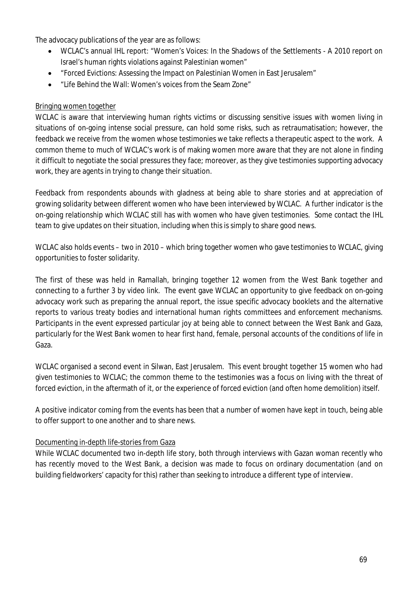The advocacy publications of the year are as follows:

- WCLAC's annual IHL report: "Women's Voices: In the Shadows of the Settlements A 2010 report on Israel's human rights violations against Palestinian women"
- "Forced Evictions: Assessing the Impact on Palestinian Women in East Jerusalem"
- "Life Behind the Wall: Women's voices from the Seam Zone"

## Bringing women together

WCLAC is aware that interviewing human rights victims or discussing sensitive issues with women living in situations of on-going intense social pressure, can hold some risks, such as retraumatisation; however, the feedback we receive from the women whose testimonies we take reflects a therapeutic aspect to the work. A common theme to much of WCLAC's work is of making women more aware that they are not alone in finding it difficult to negotiate the social pressures they face; moreover, as they give testimonies supporting advocacy work, they are agents in trying to change their situation.

Feedback from respondents abounds with gladness at being able to share stories and at appreciation of growing solidarity between different women who have been interviewed by WCLAC. A further indicator is the on-going relationship which WCLAC still has with women who have given testimonies. Some contact the IHL team to give updates on their situation, including when this is simply to share good news.

WCLAC also holds events – two in 2010 – which bring together women who gave testimonies to WCLAC, giving opportunities to foster solidarity.

The first of these was held in Ramallah, bringing together 12 women from the West Bank together and connecting to a further 3 by video link. The event gave WCLAC an opportunity to give feedback on on-going advocacy work such as preparing the annual report, the issue specific advocacy booklets and the alternative reports to various treaty bodies and international human rights committees and enforcement mechanisms. Participants in the event expressed particular joy at being able to connect between the West Bank and Gaza, particularly for the West Bank women to hear first hand, female, personal accounts of the conditions of life in Gaza.

WCLAC organised a second event in Silwan, East Jerusalem. This event brought together 15 women who had given testimonies to WCLAC; the common theme to the testimonies was a focus on living with the threat of forced eviction, in the aftermath of it, or the experience of forced eviction (and often home demolition) itself.

A positive indicator coming from the events has been that a number of women have kept in touch, being able to offer support to one another and to share news.

## Documenting in-depth life-stories from Gaza

While WCLAC documented two in-depth life story, both through interviews with Gazan woman recently who has recently moved to the West Bank, a decision was made to focus on ordinary documentation (and on building fieldworkers' capacity for this) rather than seeking to introduce a different type of interview.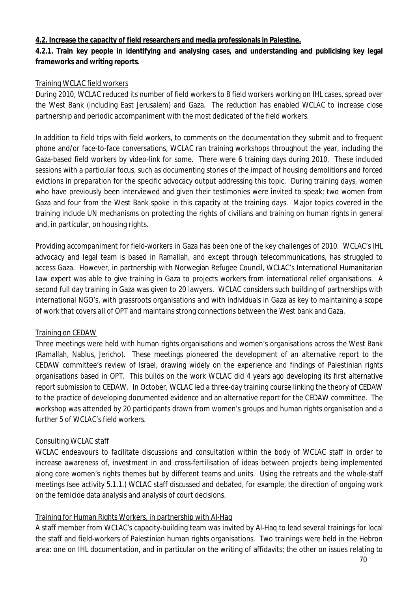#### **4.2. Increase the capacity of field researchers and media professionals in Palestine.**

## **4.2.1. Train key people in identifying and analysing cases, and understanding and publicising key legal frameworks and writing reports.**

## Training WCLAC field workers

During 2010, WCLAC reduced its number of field workers to 8 field workers working on IHL cases, spread over the West Bank (including East Jerusalem) and Gaza. The reduction has enabled WCLAC to increase close partnership and periodic accompaniment with the most dedicated of the field workers.

In addition to field trips with field workers, to comments on the documentation they submit and to frequent phone and/or face-to-face conversations, WCLAC ran training workshops throughout the year, including the Gaza-based field workers by video-link for some. There were 6 training days during 2010. These included sessions with a particular focus, such as documenting stories of the impact of housing demolitions and forced evictions in preparation for the specific advocacy output addressing this topic. During training days, women who have previously been interviewed and given their testimonies were invited to speak; two women from Gaza and four from the West Bank spoke in this capacity at the training days. Major topics covered in the training include UN mechanisms on protecting the rights of civilians and training on human rights in general and, in particular, on housing rights.

Providing accompaniment for field-workers in Gaza has been one of the key challenges of 2010. WCLAC's IHL advocacy and legal team is based in Ramallah, and except through telecommunications, has struggled to access Gaza. However, in partnership with Norwegian Refugee Council, WCLAC's International Humanitarian Law expert was able to give training in Gaza to projects workers from international relief organisations. A second full day training in Gaza was given to 20 lawyers. WCLAC considers such building of partnerships with international NGO's, with grassroots organisations and with individuals in Gaza as key to maintaining a scope of work that covers all of OPT and maintains strong connections between the West bank and Gaza.

## Training on CEDAW

Three meetings were held with human rights organisations and women's organisations across the West Bank (Ramallah, Nablus, Jericho). These meetings pioneered the development of an alternative report to the CEDAW committee's review of Israel, drawing widely on the experience and findings of Palestinian rights organisations based in OPT. This builds on the work WCLAC did 4 years ago developing its first alternative report submission to CEDAW. In October, WCLAC led a three-day training course linking the theory of CEDAW to the practice of developing documented evidence and an alternative report for the CEDAW committee. The workshop was attended by 20 participants drawn from women's groups and human rights organisation and a further 5 of WCLAC's field workers.

## Consulting WCLAC staff

WCLAC endeavours to facilitate discussions and consultation within the body of WCLAC staff in order to increase awareness of, investment in and cross-fertilisation of ideas between projects being implemented along core women's rights themes but by different teams and units. Using the retreats and the whole-staff meetings (see activity 5.1.1.) WCLAC staff discussed and debated, for example, the direction of ongoing work on the femicide data analysis and analysis of court decisions.

## Training for Human Rights Workers, in partnership with Al-Haq

A staff member from WCLAC's capacity-building team was invited by Al-Haq to lead several trainings for local the staff and field-workers of Palestinian human rights organisations. Two trainings were held in the Hebron area: one on IHL documentation, and in particular on the writing of affidavits; the other on issues relating to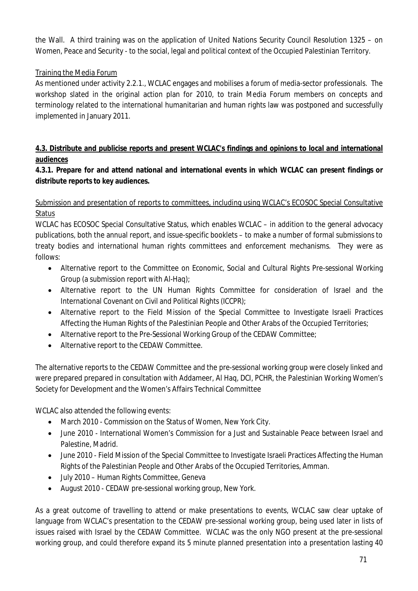the Wall. A third training was on the application of United Nations Security Council Resolution 1325 – on Women, Peace and Security - to the social, legal and political context of the Occupied Palestinian Territory.

# Training the Media Forum

As mentioned under activity 2.2.1., WCLAC engages and mobilises a forum of media-sector professionals. The workshop slated in the original action plan for 2010, to train Media Forum members on concepts and terminology related to the international humanitarian and human rights law was postponed and successfully implemented in January 2011.

# **4.3. Distribute and publicise reports and present WCLAC's findings and opinions to local and international audiences**

# **4.3.1. Prepare for and attend national and international events in which WCLAC can present findings or distribute reports to key audiences.**

# Submission and presentation of reports to committees, including using WCLAC's ECOSOC Special Consultative Status

WCLAC has ECOSOC Special Consultative Status, which enables WCLAC – in addition to the general advocacy publications, both the annual report, and issue-specific booklets – to make a number of formal submissions to treaty bodies and international human rights committees and enforcement mechanisms. They were as follows:

- Alternative report to the Committee on Economic, Social and Cultural Rights Pre-sessional Working Group (a submission report with Al-Haq);
- Alternative report to the UN Human Rights Committee for consideration of Israel and the International Covenant on Civil and Political Rights (ICCPR);
- Alternative report to the Field Mission of the Special Committee to Investigate Israeli Practices Affecting the Human Rights of the Palestinian People and Other Arabs of the Occupied Territories;
- Alternative report to the Pre-Sessional Working Group of the CEDAW Committee;
- Alternative report to the CEDAW Committee.

The alternative reports to the CEDAW Committee and the pre-sessional working group were closely linked and were prepared prepared in consultation with Addameer, Al Haq, DCI, PCHR, the Palestinian Working Women's Society for Development and the Women's Affairs Technical Committee

WCLAC also attended the following events:

- March 2010 Commission on the Status of Women, New York City.
- June 2010 International Women's Commission for a Just and Sustainable Peace between Israel and Palestine, Madrid.
- June 2010 Field Mission of the Special Committee to Investigate Israeli Practices Affecting the Human Rights of the Palestinian People and Other Arabs of the Occupied Territories, Amman.
- July 2010 Human Rights Committee, Geneva
- August 2010 CEDAW pre-sessional working group, New York.

As a great outcome of travelling to attend or make presentations to events, WCLAC saw clear uptake of language from WCLAC's presentation to the CEDAW pre-sessional working group, being used later in lists of issues raised with Israel by the CEDAW Committee. WCLAC was the only NGO present at the pre-sessional working group, and could therefore expand its 5 minute planned presentation into a presentation lasting 40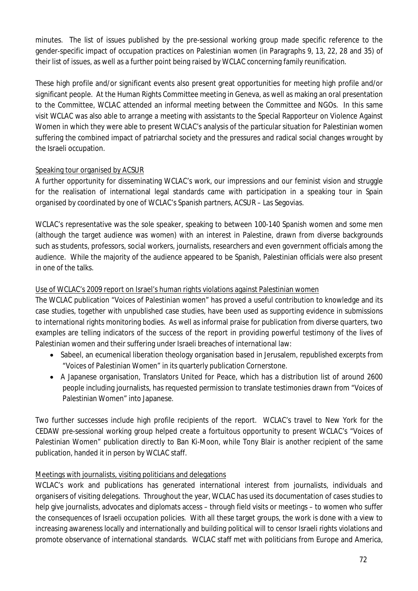minutes. The list of issues published by the pre-sessional working group made specific reference to the gender-specific impact of occupation practices on Palestinian women (in Paragraphs 9, 13, 22, 28 and 35) of their list of issues, as well as a further point being raised by WCLAC concerning family reunification.

These high profile and/or significant events also present great opportunities for meeting high profile and/or significant people. At the Human Rights Committee meeting in Geneva, as well as making an oral presentation to the Committee, WCLAC attended an informal meeting between the Committee and NGOs. In this same visit WCLAC was also able to arrange a meeting with assistants to the Special Rapporteur on Violence Against Women in which they were able to present WCLAC's analysis of the particular situation for Palestinian women suffering the combined impact of patriarchal society and the pressures and radical social changes wrought by the Israeli occupation.

# Speaking tour organised by ACSUR

A further opportunity for disseminating WCLAC's work, our impressions and our feminist vision and struggle for the realisation of international legal standards came with participation in a speaking tour in Spain organised by coordinated by one of WCLAC's Spanish partners, ACSUR – Las Segovias.

WCLAC's representative was the sole speaker, speaking to between 100-140 Spanish women and some men (although the target audience was women) with an interest in Palestine, drawn from diverse backgrounds such as students, professors, social workers, journalists, researchers and even government officials among the audience. While the majority of the audience appeared to be Spanish, Palestinian officials were also present in one of the talks.

# Use of WCLAC's 2009 report on Israel's human rights violations against Palestinian women

The WCLAC publication "Voices of Palestinian women" has proved a useful contribution to knowledge and its case studies, together with unpublished case studies, have been used as supporting evidence in submissions to international rights monitoring bodies. As well as informal praise for publication from diverse quarters, two examples are telling indicators of the success of the report in providing powerful testimony of the lives of Palestinian women and their suffering under Israeli breaches of international law:

- Sabeel, an ecumenical liberation theology organisation based in Jerusalem, republished excerpts from "Voices of Palestinian Women" in its quarterly publication Cornerstone.
- A Japanese organisation, Translators United for Peace, which has a distribution list of around 2600 people including journalists, has requested permission to translate testimonies drawn from "Voices of Palestinian Women" into Japanese.

Two further successes include high profile recipients of the report. WCLAC's travel to New York for the CEDAW pre-sessional working group helped create a fortuitous opportunity to present WCLAC's "Voices of Palestinian Women" publication directly to Ban Ki-Moon, while Tony Blair is another recipient of the same publication, handed it in person by WCLAC staff.

# Meetings with journalists, visiting politicians and delegations

WCLAC's work and publications has generated international interest from journalists, individuals and organisers of visiting delegations. Throughout the year, WCLAC has used its documentation of cases studies to help give journalists, advocates and diplomats access – through field visits or meetings – to women who suffer the consequences of Israeli occupation policies. With all these target groups, the work is done with a view to increasing awareness locally and internationally and building political will to censor Israeli rights violations and promote observance of international standards. WCLAC staff met with politicians from Europe and America,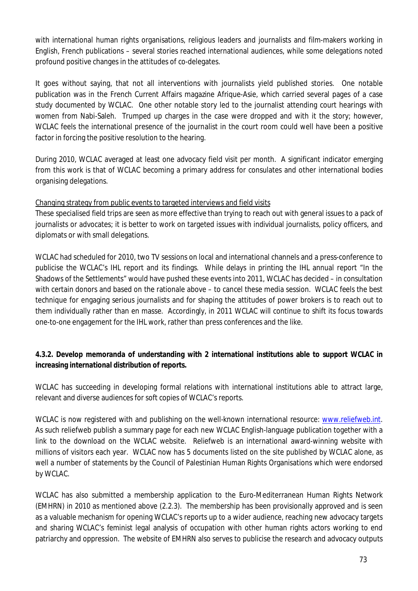with international human rights organisations, religious leaders and journalists and film-makers working in English, French publications – several stories reached international audiences, while some delegations noted profound positive changes in the attitudes of co-delegates.

It goes without saying, that not all interventions with journalists yield published stories. One notable publication was in the French Current Affairs magazine Afrique-Asie, which carried several pages of a case study documented by WCLAC. One other notable story led to the journalist attending court hearings with women from Nabi-Saleh. Trumped up charges in the case were dropped and with it the story; however, WCLAC feels the international presence of the journalist in the court room could well have been a positive factor in forcing the positive resolution to the hearing.

During 2010, WCLAC averaged at least one advocacy field visit per month. A significant indicator emerging from this work is that of WCLAC becoming a primary address for consulates and other international bodies organising delegations.

### Changing strategy from public events to targeted interviews and field visits

These specialised field trips are seen as more effective than trying to reach out with general issues to a pack of journalists or advocates; it is better to work on targeted issues with individual journalists, policy officers, and diplomats or with small delegations.

WCLAC had scheduled for 2010, two TV sessions on local and international channels and a press-conference to publicise the WCLAC's IHL report and its findings. While delays in printing the IHL annual report "In the Shadows of the Settlements" would have pushed these events into 2011, WCLAC has decided – in consultation with certain donors and based on the rationale above – to cancel these media session. WCLAC feels the best technique for engaging serious journalists and for shaping the attitudes of power brokers is to reach out to them individually rather than en masse. Accordingly, in 2011 WCLAC will continue to shift its focus towards one-to-one engagement for the IHL work, rather than press conferences and the like.

## **4.3.2. Develop memoranda of understanding with 2 international institutions able to support WCLAC in increasing international distribution of reports.**

WCLAC has succeeding in developing formal relations with international institutions able to attract large, relevant and diverse audiences for soft copies of WCLAC's reports.

WCLAC is now registered with and publishing on the well-known international resource: www.reliefweb.int. As such reliefweb publish a summary page for each new WCLAC English-language publication together with a link to the download on the WCLAC website. Reliefweb is an international award-winning website with millions of visitors each year. WCLAC now has 5 documents listed on the site published by WCLAC alone, as well a number of statements by the Council of Palestinian Human Rights Organisations which were endorsed by WCLAC.

WCLAC has also submitted a membership application to the Euro-Mediterranean Human Rights Network (EMHRN) in 2010 as mentioned above (2.2.3). The membership has been provisionally approved and is seen as a valuable mechanism for opening WCLAC's reports up to a wider audience, reaching new advocacy targets and sharing WCLAC's feminist legal analysis of occupation with other human rights actors working to end patriarchy and oppression. The website of EMHRN also serves to publicise the research and advocacy outputs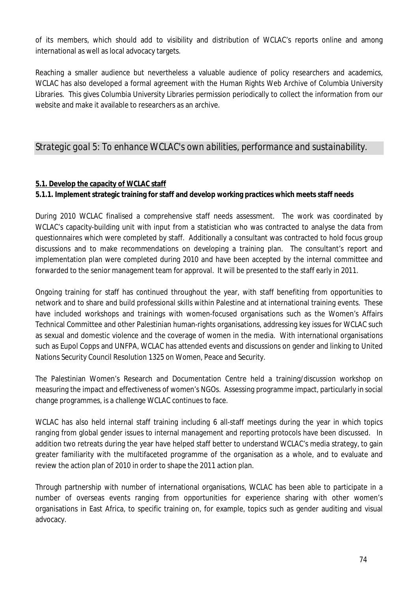of its members, which should add to visibility and distribution of WCLAC's reports online and among international as well as local advocacy targets.

Reaching a smaller audience but nevertheless a valuable audience of policy researchers and academics, WCLAC has also developed a formal agreement with the Human Rights Web Archive of Columbia University Libraries. This gives Columbia University Libraries permission periodically to collect the information from our website and make it available to researchers as an archive.

# *Strategic goal 5: To enhance WCLAC's own abilities, performance and sustainability.*

## **5.1. Develop the capacity of WCLAC staff**

### **5.1.1. Implement strategic training for staff and develop working practices which meets staff needs**

During 2010 WCLAC finalised a comprehensive staff needs assessment. The work was coordinated by WCLAC's capacity-building unit with input from a statistician who was contracted to analyse the data from questionnaires which were completed by staff. Additionally a consultant was contracted to hold focus group discussions and to make recommendations on developing a training plan. The consultant's report and implementation plan were completed during 2010 and have been accepted by the internal committee and forwarded to the senior management team for approval. It will be presented to the staff early in 2011.

Ongoing training for staff has continued throughout the year, with staff benefiting from opportunities to network and to share and build professional skills within Palestine and at international training events. These have included workshops and trainings with women-focused organisations such as the Women's Affairs Technical Committee and other Palestinian human-rights organisations, addressing key issues for WCLAC such as sexual and domestic violence and the coverage of women in the media. With international organisations such as Eupol Copps and UNFPA, WCLAC has attended events and discussions on gender and linking to United Nations Security Council Resolution 1325 on Women, Peace and Security.

The Palestinian Women's Research and Documentation Centre held a training/discussion workshop on measuring the impact and effectiveness of women's NGOs. Assessing programme impact, particularly in social change programmes, is a challenge WCLAC continues to face.

WCLAC has also held internal staff training including 6 all-staff meetings during the year in which topics ranging from global gender issues to internal management and reporting protocols have been discussed. In addition two retreats during the year have helped staff better to understand WCLAC's media strategy, to gain greater familiarity with the multifaceted programme of the organisation as a whole, and to evaluate and review the action plan of 2010 in order to shape the 2011 action plan.

Through partnership with number of international organisations, WCLAC has been able to participate in a number of overseas events ranging from opportunities for experience sharing with other women's organisations in East Africa, to specific training on, for example, topics such as gender auditing and visual advocacy.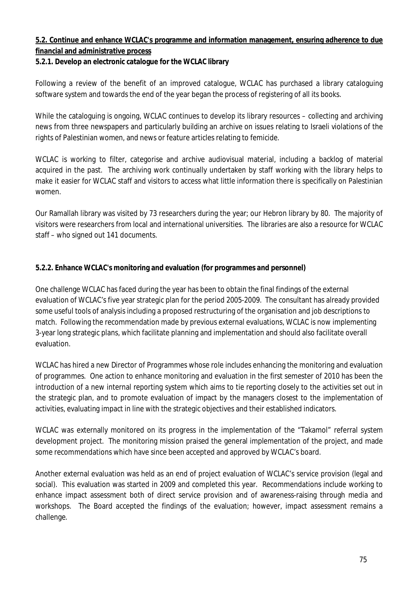## **5.2. Continue and enhance WCLAC's programme and information management, ensuring adherence to due financial and administrative process**

## **5.2.1. Develop an electronic catalogue for the WCLAC library**

Following a review of the benefit of an improved catalogue, WCLAC has purchased a library cataloguing software system and towards the end of the year began the process of registering of all its books.

While the cataloguing is ongoing, WCLAC continues to develop its library resources – collecting and archiving news from three newspapers and particularly building an archive on issues relating to Israeli violations of the rights of Palestinian women, and news or feature articles relating to femicide.

WCLAC is working to filter, categorise and archive audiovisual material, including a backlog of material acquired in the past. The archiving work continually undertaken by staff working with the library helps to make it easier for WCLAC staff and visitors to access what little information there is specifically on Palestinian women.

Our Ramallah library was visited by 73 researchers during the year; our Hebron library by 80. The majority of visitors were researchers from local and international universities. The libraries are also a resource for WCLAC staff – who signed out 141 documents.

### **5.2.2. Enhance WCLAC's monitoring and evaluation (for programmes and personnel)**

One challenge WCLAC has faced during the year has been to obtain the final findings of the external evaluation of WCLAC's five year strategic plan for the period 2005-2009. The consultant has already provided some useful tools of analysis including a proposed restructuring of the organisation and job descriptions to match. Following the recommendation made by previous external evaluations, WCLAC is now implementing 3-year long strategic plans, which facilitate planning and implementation and should also facilitate overall evaluation.

WCLAC has hired a new Director of Programmes whose role includes enhancing the monitoring and evaluation of programmes. One action to enhance monitoring and evaluation in the first semester of 2010 has been the introduction of a new internal reporting system which aims to tie reporting closely to the activities set out in the strategic plan, and to promote evaluation of impact by the managers closest to the implementation of activities, evaluating impact in line with the strategic objectives and their established indicators.

WCLAC was externally monitored on its progress in the implementation of the "Takamol" referral system development project. The monitoring mission praised the general implementation of the project, and made some recommendations which have since been accepted and approved by WCLAC's board.

Another external evaluation was held as an end of project evaluation of WCLAC's service provision (legal and social). This evaluation was started in 2009 and completed this year. Recommendations include working to enhance impact assessment both of direct service provision and of awareness-raising through media and workshops. The Board accepted the findings of the evaluation; however, impact assessment remains a challenge.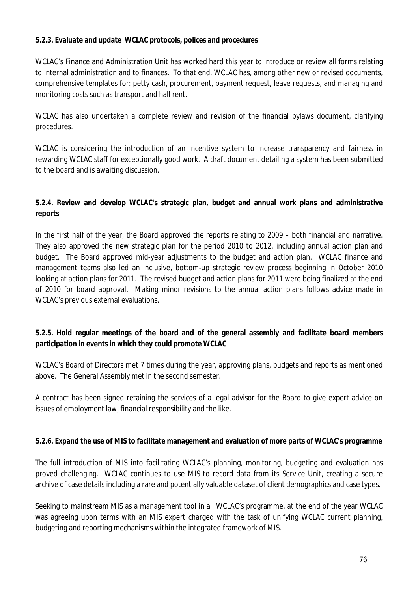#### **5.2.3. Evaluate and update WCLAC protocols, polices and procedures**

WCLAC's Finance and Administration Unit has worked hard this year to introduce or review all forms relating to internal administration and to finances. To that end, WCLAC has, among other new or revised documents, comprehensive templates for: petty cash, procurement, payment request, leave requests, and managing and monitoring costs such as transport and hall rent.

WCLAC has also undertaken a complete review and revision of the financial bylaws document, clarifying procedures.

WCLAC is considering the introduction of an incentive system to increase transparency and fairness in rewarding WCLAC staff for exceptionally good work. A draft document detailing a system has been submitted to the board and is awaiting discussion.

## **5.2.4. Review and develop WCLAC's strategic plan, budget and annual work plans and administrative reports**

In the first half of the year, the Board approved the reports relating to 2009 – both financial and narrative. They also approved the new strategic plan for the period 2010 to 2012, including annual action plan and budget. The Board approved mid-year adjustments to the budget and action plan. WCLAC finance and management teams also led an inclusive, bottom-up strategic review process beginning in October 2010 looking at action plans for 2011. The revised budget and action plans for 2011 were being finalized at the end of 2010 for board approval. Making minor revisions to the annual action plans follows advice made in WCLAC's previous external evaluations.

## **5.2.5. Hold regular meetings of the board and of the general assembly and facilitate board members participation in events in which they could promote WCLAC**

WCLAC's Board of Directors met 7 times during the year, approving plans, budgets and reports as mentioned above. The General Assembly met in the second semester.

A contract has been signed retaining the services of a legal advisor for the Board to give expert advice on issues of employment law, financial responsibility and the like.

### **5.2.6. Expand the use of MIS to facilitate management and evaluation of more parts of WCLAC's programme**

The full introduction of MIS into facilitating WCLAC's planning, monitoring, budgeting and evaluation has proved challenging. WCLAC continues to use MIS to record data from its Service Unit, creating a secure archive of case details including a rare and potentially valuable dataset of client demographics and case types.

Seeking to mainstream MIS as a management tool in all WCLAC's programme, at the end of the year WCLAC was agreeing upon terms with an MIS expert charged with the task of unifying WCLAC current planning, budgeting and reporting mechanisms within the integrated framework of MIS.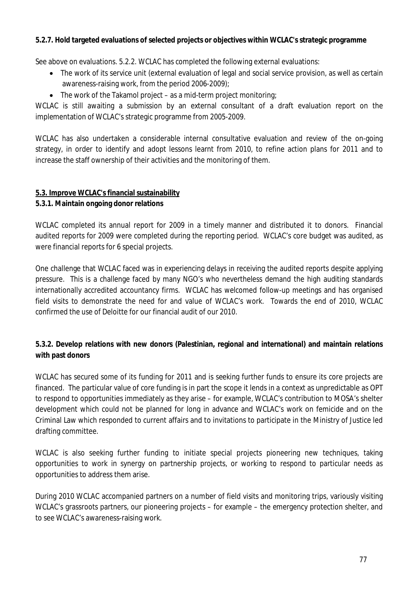#### **5.2.7. Hold targeted evaluations of selected projects or objectives within WCLAC's strategic programme**

See above on evaluations. 5.2.2. WCLAC has completed the following external evaluations:

- The work of its service unit (external evaluation of legal and social service provision, as well as certain awareness-raising work, from the period 2006-2009);
- $\bullet$  The work of the Takamol project as a mid-term project monitoring;

WCLAC is still awaiting a submission by an external consultant of a draft evaluation report on the implementation of WCLAC's strategic programme from 2005-2009.

WCLAC has also undertaken a considerable internal consultative evaluation and review of the on-going strategy, in order to identify and adopt lessons learnt from 2010, to refine action plans for 2011 and to increase the staff ownership of their activities and the monitoring of them.

### **5.3. Improve WCLAC's financial sustainability**

#### **5.3.1. Maintain ongoing donor relations**

WCLAC completed its annual report for 2009 in a timely manner and distributed it to donors. Financial audited reports for 2009 were completed during the reporting period. WCLAC's core budget was audited, as were financial reports for 6 special projects.

One challenge that WCLAC faced was in experiencing delays in receiving the audited reports despite applying pressure. This is a challenge faced by many NGO's who nevertheless demand the high auditing standards internationally accredited accountancy firms. WCLAC has welcomed follow-up meetings and has organised field visits to demonstrate the need for and value of WCLAC's work. Towards the end of 2010, WCLAC confirmed the use of Deloitte for our financial audit of our 2010.

### **5.3.2. Develop relations with new donors (Palestinian, regional and international) and maintain relations with past donors**

WCLAC has secured some of its funding for 2011 and is seeking further funds to ensure its core projects are financed. The particular value of core funding is in part the scope it lends in a context as unpredictable as OPT to respond to opportunities immediately as they arise – for example, WCLAC's contribution to MOSA's shelter development which could not be planned for long in advance and WCLAC's work on femicide and on the Criminal Law which responded to current affairs and to invitations to participate in the Ministry of Justice led drafting committee.

WCLAC is also seeking further funding to initiate special projects pioneering new techniques, taking opportunities to work in synergy on partnership projects, or working to respond to particular needs as opportunities to address them arise.

During 2010 WCLAC accompanied partners on a number of field visits and monitoring trips, variously visiting WCLAC's grassroots partners, our pioneering projects – for example – the emergency protection shelter, and to see WCLAC's awareness-raising work.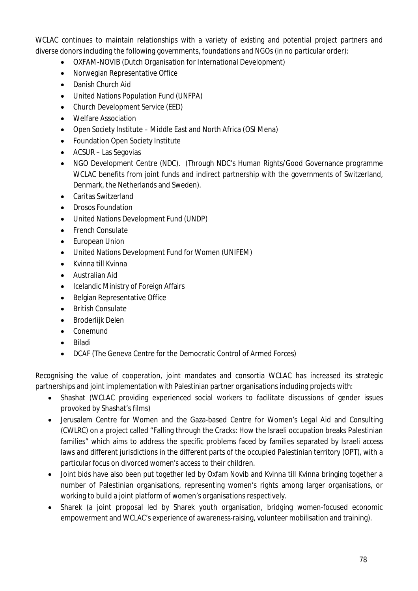WCLAC continues to maintain relationships with a variety of existing and potential project partners and diverse donors including the following governments, foundations and NGOs (in no particular order):

- OXFAM-NOVIB (Dutch Organisation for International Development)
- Norwegian Representative Office
- Danish Church Aid
- United Nations Population Fund (UNFPA)
- Church Development Service (EED)
- Welfare Association
- Open Society Institute Middle East and North Africa (OSI Mena)
- Foundation Open Society Institute
- ACSUR Las Segovias
- NGO Development Centre (NDC). (Through NDC's Human Rights/Good Governance programme WCLAC benefits from joint funds and indirect partnership with the governments of Switzerland, Denmark, the Netherlands and Sweden).
- Caritas Switzerland
- Drosos Foundation
- United Nations Development Fund (UNDP)
- French Consulate
- European Union
- United Nations Development Fund for Women (UNIFEM)
- Kvinna till Kvinna
- Australian Aid
- Icelandic Ministry of Foreign Affairs
- Belgian Representative Office
- British Consulate
- Broderlijk Delen
- Conemund
- Biladi
- DCAF (The Geneva Centre for the Democratic Control of Armed Forces)

Recognising the value of cooperation, joint mandates and consortia WCLAC has increased its strategic partnerships and joint implementation with Palestinian partner organisations including projects with:

- Shashat (WCLAC providing experienced social workers to facilitate discussions of gender issues provoked by Shashat's films)
- Jerusalem Centre for Women and the Gaza-based Centre for Women's Legal Aid and Consulting (CWLRC) on a project called "Falling through the Cracks: How the Israeli occupation breaks Palestinian families" which aims to address the specific problems faced by families separated by Israeli access laws and different jurisdictions in the different parts of the occupied Palestinian territory (OPT), with a particular focus on divorced women's access to their children.
- Joint bids have also been put together led by Oxfam Novib and Kvinna till Kvinna bringing together a number of Palestinian organisations, representing women's rights among larger organisations, or working to build a joint platform of women's organisations respectively.
- Sharek (a joint proposal led by Sharek youth organisation, bridging women-focused economic empowerment and WCLAC's experience of awareness-raising, volunteer mobilisation and training).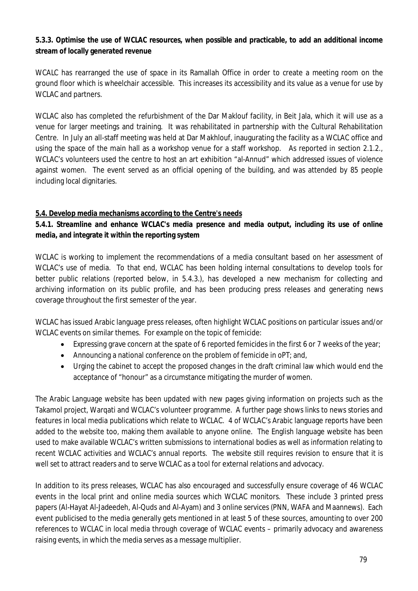## **5.3.3. Optimise the use of WCLAC resources, when possible and practicable, to add an additional income stream of locally generated revenue**

WCALC has rearranged the use of space in its Ramallah Office in order to create a meeting room on the ground floor which is wheelchair accessible. This increases its accessibility and its value as a venue for use by WCLAC and partners.

WCLAC also has completed the refurbishment of the Dar Maklouf facility, in Beit Jala, which it will use as a venue for larger meetings and training. It was rehabilitated in partnership with the Cultural Rehabilitation Centre. In July an all-staff meeting was held at Dar Makhlouf, inaugurating the facility as a WCLAC office and using the space of the main hall as a workshop venue for a staff workshop. As reported in section 2.1.2., WCLAC's volunteers used the centre to host an art exhibition "al-Annud" which addressed issues of violence against women. The event served as an official opening of the building, and was attended by 85 people including local dignitaries.

## **5.4. Develop media mechanisms according to the Centre's needs**

# **5.4.1. Streamline and enhance WCLAC's media presence and media output, including its use of online media, and integrate it within the reporting system**

WCLAC is working to implement the recommendations of a media consultant based on her assessment of WCLAC's use of media. To that end, WCLAC has been holding internal consultations to develop tools for better public relations (reported below, in 5.4.3.), has developed a new mechanism for collecting and archiving information on its public profile, and has been producing press releases and generating news coverage throughout the first semester of the year.

WCLAC has issued Arabic language press releases, often highlight WCLAC positions on particular issues and/or WCLAC events on similar themes. For example on the topic of femicide:

- Expressing grave concern at the spate of 6 reported femicides in the first 6 or 7 weeks of the year;
- Announcing a national conference on the problem of femicide in oPT; and,
- Urging the cabinet to accept the proposed changes in the draft criminal law which would end the acceptance of "honour" as a circumstance mitigating the murder of women.

The Arabic Language website has been updated with new pages giving information on projects such as the Takamol project, Warqati and WCLAC's volunteer programme. A further page shows links to news stories and features in local media publications which relate to WCLAC. 4 of WCLAC's Arabic language reports have been added to the website too, making them available to anyone online. The English language website has been used to make available WCLAC's written submissions to international bodies as well as information relating to recent WCLAC activities and WCLAC's annual reports. The website still requires revision to ensure that it is well set to attract readers and to serve WCLAC as a tool for external relations and advocacy.

In addition to its press releases, WCLAC has also encouraged and successfully ensure coverage of 46 WCLAC events in the local print and online media sources which WCLAC monitors. These include 3 printed press papers (Al-Hayat Al-Jadeedeh, Al-Quds and Al-Ayam) and 3 online services (PNN, WAFA and Maannews). Each event publicised to the media generally gets mentioned in at least 5 of these sources, amounting to over 200 references to WCLAC in local media through coverage of WCLAC events – primarily advocacy and awareness raising events, in which the media serves as a message multiplier.